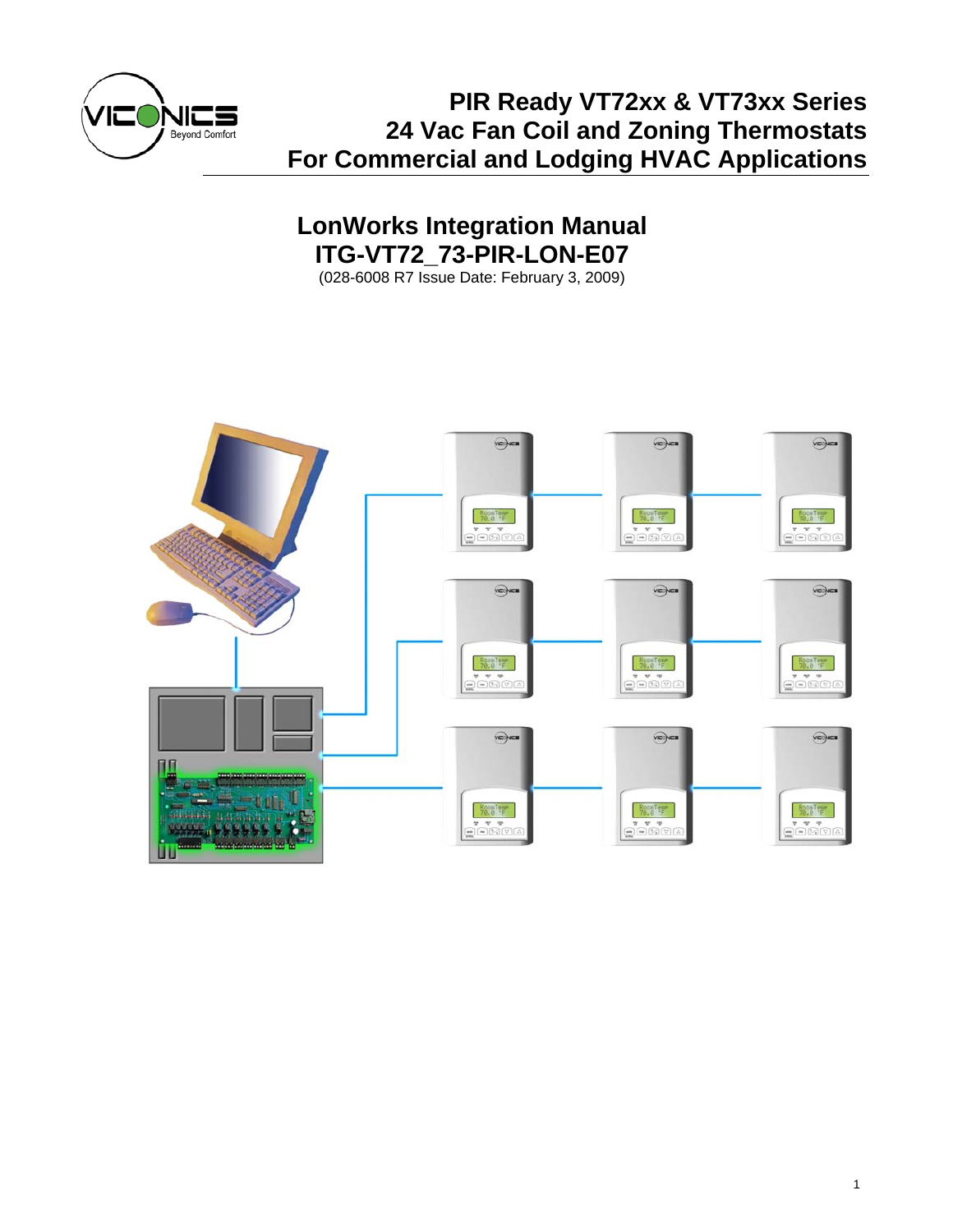

# **PIR Ready VT72xx & VT73xx Series 24 Vac Fan Coil and Zoning Thermostats For Commercial and Lodging HVAC Applications**

# **LonWorks Integration Manual ITG-VT72\_73-PIR-LON-E07**

(028-6008 R7 Issue Date: February 3, 2009)

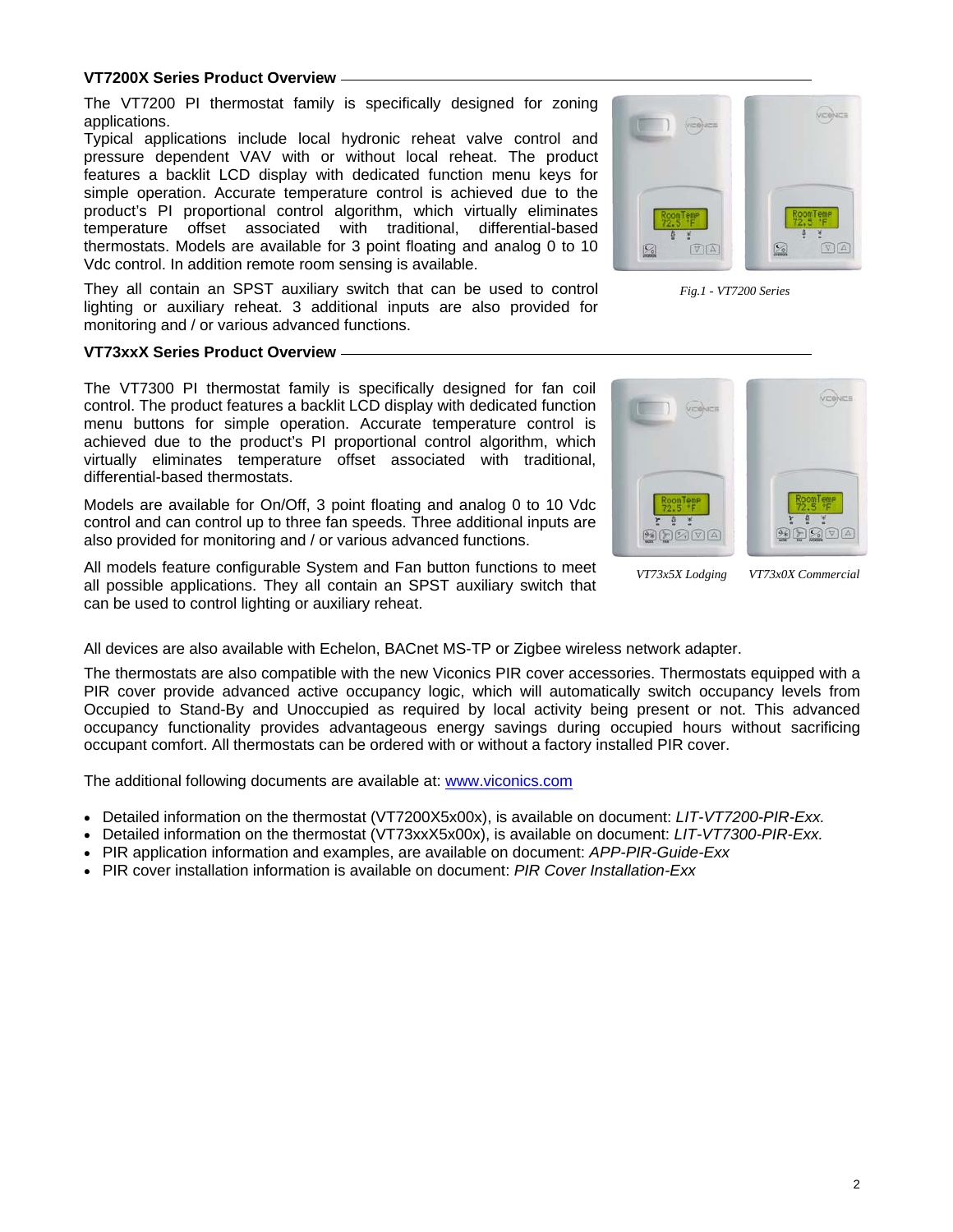# **VT7200X Series Product Overview**

The VT7200 PI thermostat family is specifically designed for zoning applications.

Typical applications include local hydronic reheat valve control and pressure dependent VAV with or without local reheat. The product features a backlit LCD display with dedicated function menu keys for simple operation. Accurate temperature control is achieved due to the product's PI proportional control algorithm, which virtually eliminates temperature offset associated with traditional, differential-based thermostats. Models are available for 3 point floating and analog 0 to 10 Vdc control. In addition remote room sensing is available.

They all contain an SPST auxiliary switch that can be used to control lighting or auxiliary reheat. 3 additional inputs are also provided for monitoring and / or various advanced functions.

# **VT73xxX Series Product Overview**

The VT7300 PI thermostat family is specifically designed for fan coil control. The product features a backlit LCD display with dedicated function menu buttons for simple operation. Accurate temperature control is achieved due to the product's PI proportional control algorithm, which virtually eliminates temperature offset associated with traditional, differential-based thermostats.

Models are available for On/Off, 3 point floating and analog 0 to 10 Vdc control and can control up to three fan speeds. Three additional inputs are also provided for monitoring and / or various advanced functions.

All models feature configurable System and Fan button functions to meet all possible applications. They all contain an SPST auxiliary switch that can be used to control lighting or auxiliary reheat.



*VT73x5X Lodging VT73x0X Commercial* 

All devices are also available with Echelon, BACnet MS-TP or Zigbee wireless network adapter.

The thermostats are also compatible with the new Viconics PIR cover accessories. Thermostats equipped with a PIR cover provide advanced active occupancy logic, which will automatically switch occupancy levels from Occupied to Stand-By and Unoccupied as required by local activity being present or not. This advanced occupancy functionality provides advantageous energy savings during occupied hours without sacrificing occupant comfort. All thermostats can be ordered with or without a factory installed PIR cover.

The additional following documents are available at: www.viconics.com

- Detailed information on the thermostat (VT7200X5x00x), is available on document: *LIT-VT7200-PIR-Exx.*
- Detailed information on the thermostat (VT73xxX5x00x), is available on document: *LIT-VT7300-PIR-Exx.*
- PIR application information and examples, are available on document: *APP-PIR-Guide-Exx*
- PIR cover installation information is available on document: *PIR Cover Installation-Exx*



*Fig.1 - VT7200 Series*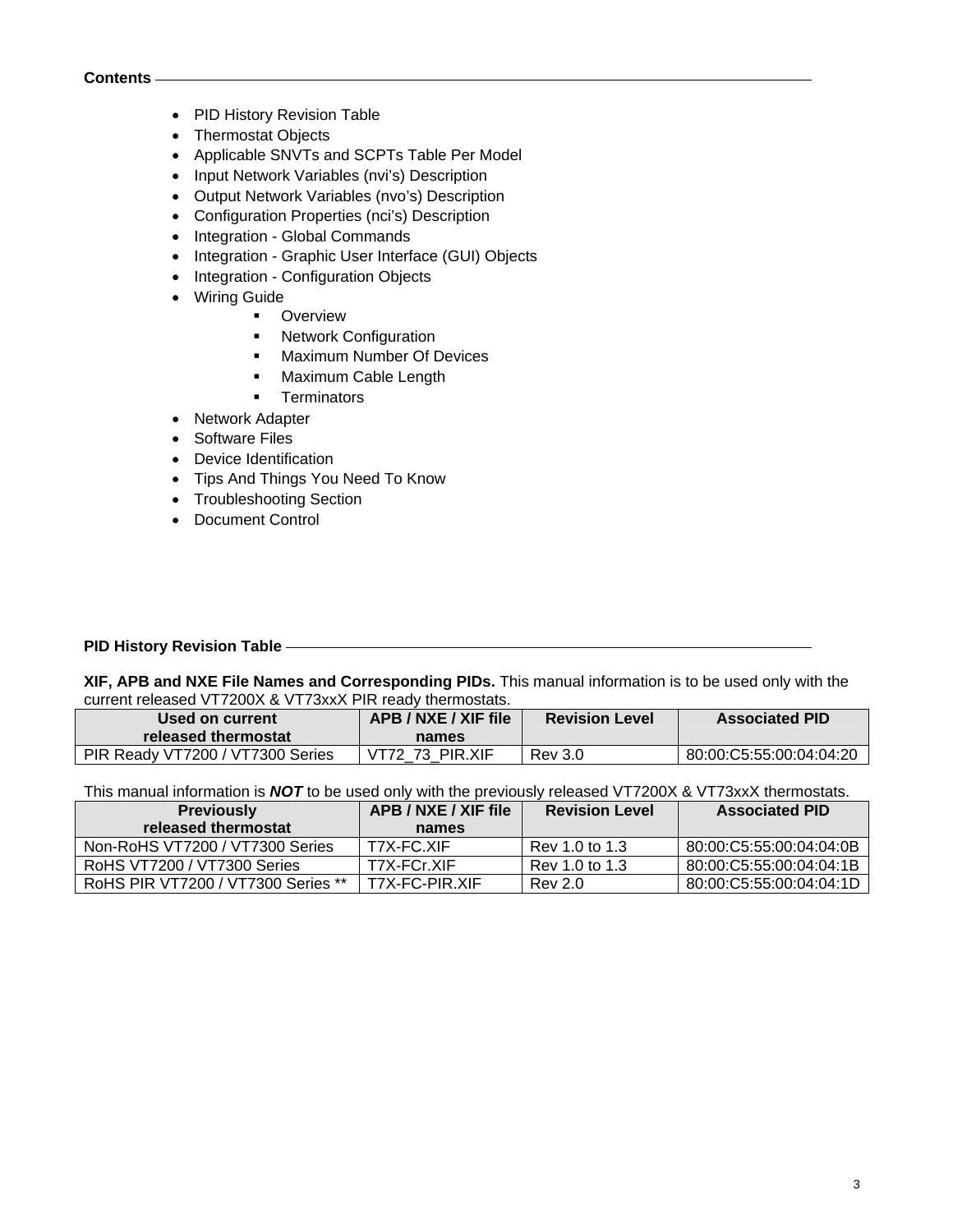- PID History Revision Table
- Thermostat Objects
- Applicable SNVTs and SCPTs Table Per Model
- Input Network Variables (nvi's) Description
- Output Network Variables (nvo's) Description
- Configuration Properties (nci's) Description
- Integration Global Commands
- Integration Graphic User Interface (GUI) Objects
- Integration Configuration Objects
- Wiring Guide
	- **•** Overview
	- **Network Configuration**
	- **Maximum Number Of Devices**
	- **Maximum Cable Length**
	- **Terminators**
- Network Adapter
- Software Files
- Device Identification
- Tips And Things You Need To Know
- Troubleshooting Section
- Document Control

## **PID History Revision Table**

**XIF, APB and NXE File Names and Corresponding PIDs.** This manual information is to be used only with the current released VT7200X & VT73xxX PIR ready thermostats.

| Used on current<br>released thermostat | APB / NXE / XIF file<br>names | <b>Revision Level</b> | <b>Associated PID</b>   |  |  |  |
|----------------------------------------|-------------------------------|-----------------------|-------------------------|--|--|--|
| PIR Ready VT7200 / VT7300 Series       | VT72 73 PIR.XIF               | <b>Rev</b> 3.0        | 80:00:C5:55:00:04:04:20 |  |  |  |

This manual information is *NOT* to be used only with the previously released VT7200X & VT73xxX thermostats.

| <b>Previously</b>                  | APB / NXE / XIF file | <b>Revision Level</b> | <b>Associated PID</b>   |  |  |  |  |
|------------------------------------|----------------------|-----------------------|-------------------------|--|--|--|--|
| released thermostat                | names                |                       |                         |  |  |  |  |
| Non-RoHS VT7200 / VT7300 Series    | T7X-FC.XIF           | Rev 1.0 to 1.3        | 80:00:C5:55:00:04:04:0B |  |  |  |  |
| RoHS VT7200 / VT7300 Series        | T7X-FCr.XIF          | Rev 1.0 to 1.3        | 80:00:C5:55:00:04:04:1B |  |  |  |  |
| RoHS PIR VT7200 / VT7300 Series ** | T7X-FC-PIR.XIF       | <b>Rev 2.0</b>        | 80:00:C5:55:00:04:04:1D |  |  |  |  |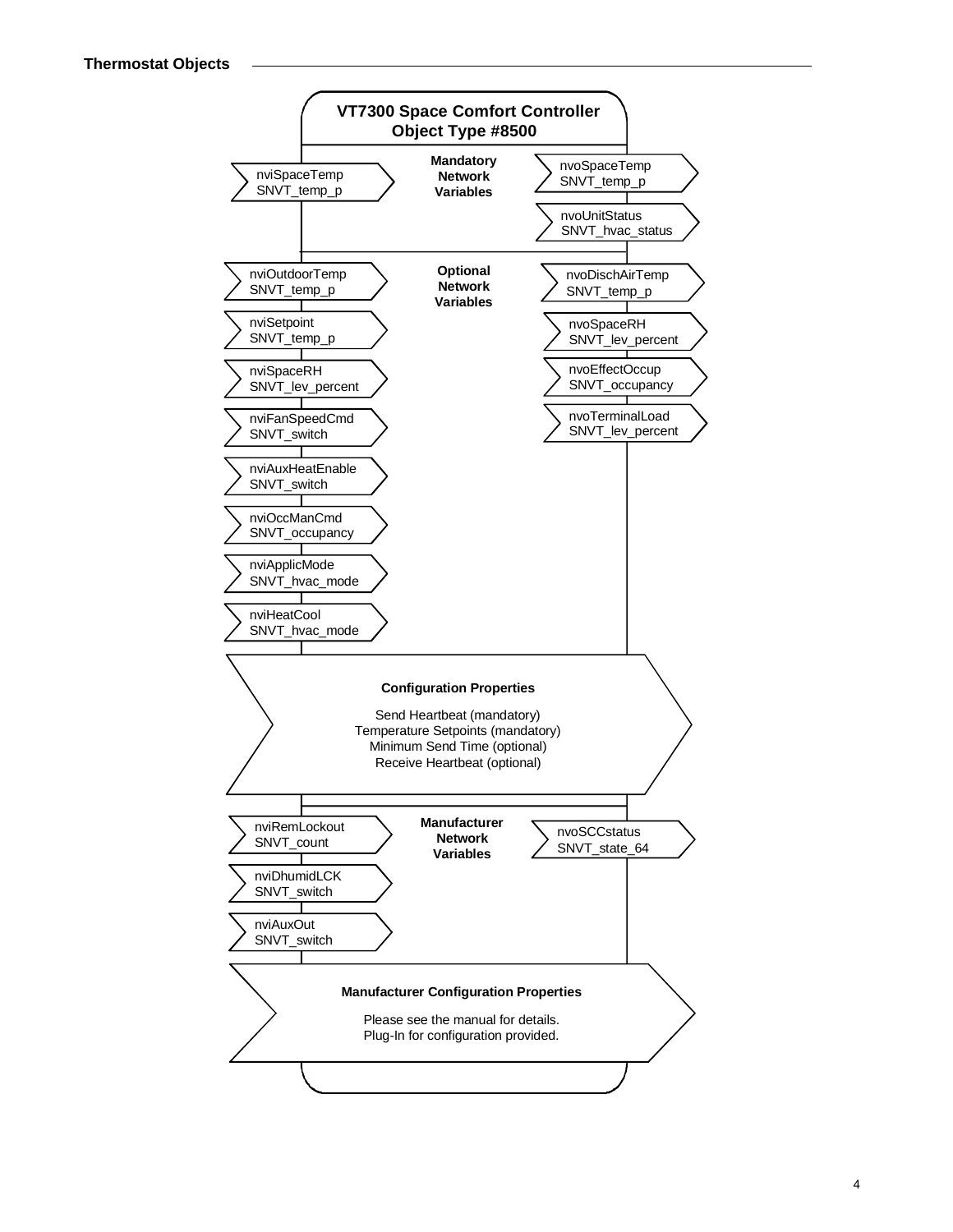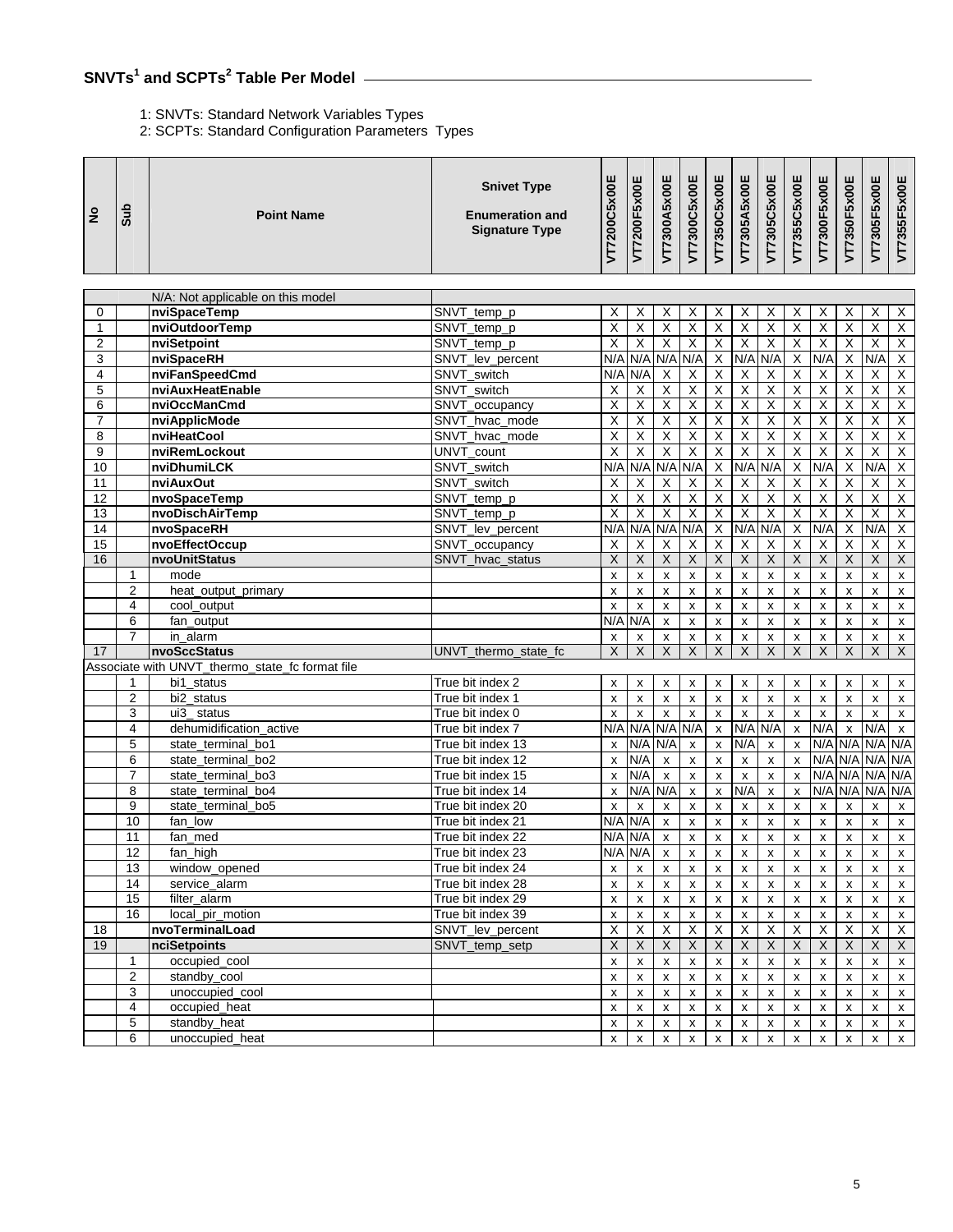# **SNVTs<sup>1</sup> and SCPTs<sup>2</sup> Table Per Model**

# 1: SNVTs: Standard Network Variables Types

2: SCPTs: Standard Configuration Parameters Types

| N/A: Not applicable on this model<br>nviSpaceTemp<br>SNVT_temp_p<br>X<br>Χ<br>X<br>Х<br>Х<br>х<br>Х<br>Χ<br>X<br>X<br>Χ<br>X<br>0<br>$\overline{\mathsf{X}}$<br>$\overline{\mathsf{X}}$<br>Χ<br>$\overline{\mathsf{X}}$<br>X<br>X<br>$\pmb{\mathsf{X}}$<br>X<br>Χ<br>$\overline{\mathsf{x}}$<br>X<br>$\overline{X}$<br>nviOutdoorTemp<br>1<br>SNVT_temp_p<br>Χ<br>$\overline{2}$<br>$\overline{\mathsf{x}}$<br>Χ<br>X<br>$\overline{\mathsf{X}}$<br>$\overline{\mathsf{X}}$<br>X<br>$\overline{\mathsf{x}}$<br>Χ<br>X<br>$\overline{X}$<br>Χ<br>nviSetpoint<br>SNVT_temp_p<br>$\overline{\mathsf{X}}$<br>$\overline{\mathsf{X}}$<br>3<br>N/A<br>N/A<br>N/A<br>N/A<br>N/A<br>$\overline{X}$<br>N/A<br>N/A<br>nviSpaceRH<br>SNVT_lev_percent<br>N/A<br>X<br>$\overline{\mathsf{X}}$<br>$\overline{\mathsf{X}}$<br>Χ<br>nviFanSpeedCmd<br>$\overline{\mathsf{x}}$<br>$\overline{X}$<br>Χ<br>4<br>SNVT_switch<br>N/A<br>N/A<br>X<br>X<br>X<br>Х<br>$\overline{\mathsf{X}}$<br>$\overline{\mathsf{X}}$<br>X<br>$\overline{\mathsf{x}}$<br>5<br>$\times$<br>X<br>$\overline{X}$<br>X<br>$\overline{X}$<br>X<br>$\overline{X}$<br>nviAuxHeatEnable<br>SNVT switch<br>X<br>6<br>Χ<br>$\overline{X}$<br>Χ<br>Χ<br>$\overline{X}$<br>nviOccManCmd<br>SNVT_occupancy<br>X<br>X<br>X<br>X<br>$\times$<br>X<br>X<br>$\overline{\mathsf{X}}$<br>$\overline{\mathsf{x}}$<br>$\overline{\mathsf{x}}$<br>$\overline{\mathsf{X}}$<br>X<br>$\overline{X}$<br>$\overline{\mathsf{x}}$<br>$\overline{X}$<br>$\overline{\mathsf{x}}$<br>$\overline{\mathsf{x}}$<br>$\overline{X}$<br>$\overline{7}$<br>X<br>nviApplicMode<br>SNVT hvac mode<br>$\overline{\mathsf{x}}$<br>X<br>$\overline{\mathsf{x}}$<br>$\overline{\mathsf{X}}$<br>nviHeatCool<br>Χ<br>X<br>Χ<br>$\overline{X}$<br>Χ<br>X<br>Χ<br>$\overline{X}$<br>8<br>SNVT hvac mode<br>$\overline{\mathsf{X}}$<br>$\overline{\mathsf{X}}$<br>$\overline{\mathsf{x}}$<br>$\overline{\mathsf{X}}$<br>$\times$<br>X<br>X<br>$\overline{X}$<br>X<br>$\overline{X}$<br>9<br>nviRemLockout<br>UNVT_count<br>X<br>X<br>$\overline{\mathsf{X}}$<br>N/A<br>N/A<br>$\overline{\mathsf{X}}$<br>N/A<br>$\overline{\mathsf{X}}$<br>N/A<br>$\overline{X}$<br>N/A<br>nviDhumiLCK<br>N/A<br>N/A<br>N/A<br>10<br>SNVT switch<br>$\overline{\mathsf{X}}$<br>$\overline{X}$<br>Χ<br>$\overline{\mathsf{x}}$<br>$\overline{X}$<br>11<br>nviAuxOut<br>SNVT switch<br>X<br>Χ<br>X<br>X<br>X<br>$\times$<br>X<br>X<br>$\overline{\mathsf{X}}$<br>$\overline{\mathsf{X}}$<br>$\overline{\mathsf{x}}$<br>$\overline{\mathsf{X}}$<br>X<br>X<br>$\overline{X}$<br>$\boldsymbol{\mathsf{X}}$<br>Χ<br>X<br>$\overline{X}$<br>12<br>nvoSpaceTemp<br>SNVT_temp_p<br>χ<br>$\overline{X}$<br>$\overline{\mathsf{x}}$<br>X<br>$\overline{\mathsf{x}}$<br>$\overline{\mathsf{x}}$<br>$\overline{\mathsf{X}}$<br>$\overline{\mathsf{x}}$<br>$\overline{\mathsf{x}}$<br>$\overline{\mathsf{x}}$<br>$\overline{\mathsf{x}}$<br>X<br>13<br>nvoDischAirTemp<br>SNVT_temp_p<br>$\overline{\mathsf{X}}$<br>N/A<br>X<br>N/A<br>$\overline{\mathsf{X}}$<br>N/A<br>N/A<br>N/A<br>N/A<br>N/A<br>$\overline{\mathsf{x}}$<br>N/A<br>14<br>nvoSpaceRH<br>SNVT_lev_percent<br>$\overline{X}$<br>X<br>$\overline{\mathsf{X}}$<br>15<br>$\overline{X}$<br>Χ<br>nvoEffectOccup<br>SNVT_occupancy<br>X<br>Χ<br>X<br>X<br>X<br>Χ<br>Х<br>$\overline{\mathsf{X}}$<br>X<br>X<br>$\overline{\mathsf{x}}$<br>$\overline{\mathsf{x}}$<br>X<br>$\overline{X}$<br>X<br>X<br>$\overline{\mathsf{X}}$<br>Χ<br>16<br>nvoUnitStatus<br>X<br>SNVT_hvac_status<br>mode<br>$\pmb{\mathsf{x}}$<br>$\pmb{\mathsf{x}}$<br>$\pmb{\mathsf{x}}$<br>$\pmb{\mathsf{x}}$<br>$\mathbf 1$<br>X<br>x<br>X<br>$\pmb{\mathsf{x}}$<br>x<br>$\pmb{\times}$<br>x<br>$\pmb{\times}$<br>$\overline{2}$<br>$\pmb{\mathsf{x}}$<br>heat output primary<br>X<br>X<br>x<br>$\pmb{\times}$<br>X<br>x<br>x<br>x<br>x<br>x<br>$\boldsymbol{\mathsf{x}}$<br>4<br>cool_output<br>$\pmb{\times}$<br>X<br>x<br>$\pmb{\times}$<br>x<br>$\pmb{\mathsf{x}}$<br>$\pmb{\mathsf{x}}$<br>x<br>$\pmb{\mathsf{x}}$<br>$\pmb{\mathsf{x}}$<br>x<br>$\pmb{\times}$<br>6<br>N/A N/A<br>fan_output<br>$\pmb{\mathsf{x}}$<br>x<br>$\pmb{\mathsf{x}}$<br>$\mathsf{x}$<br>$\pmb{\mathsf{x}}$<br>$\mathsf{x}$<br>$\pmb{\times}$<br>$\mathsf{x}$<br>$\pmb{\times}$<br>x<br>$\overline{7}$<br>in_alarm<br>X<br>x<br>X<br>X<br>$\pmb{\times}$<br>X<br>x<br>X<br>X<br>x<br>X<br>X<br>$\overline{\mathsf{x}}$<br>$\overline{X}$<br>X<br>$\overline{X}$<br>$\overline{X}$<br>$\overline{X}$<br>X<br>$\times$<br>X<br>X<br>$\overline{X}$<br>X<br>17<br>nvoSccStatus<br>UNVT thermo state fc<br>Associate with UNVT_thermo_state_fc format file<br>bi1 status<br>True bit index 2<br>$\mathbf 1$<br>$\pmb{\mathsf{x}}$<br>X<br>X<br>X<br>x<br>x<br>X<br>x<br>X<br>X<br>x<br>х<br>$\overline{2}$<br>True bit index 1<br>bi2 status<br>$\pmb{\mathsf{x}}$<br>x<br>x<br>x<br>X<br>$\boldsymbol{\mathsf{x}}$<br>x<br>x<br>X<br>x<br>$\pmb{\times}$<br>X<br>3<br>ui3 status<br>True bit index 0<br>$\pmb{\mathsf{x}}$<br>$\pmb{\mathsf{x}}$<br>x<br>$\pmb{\mathsf{x}}$<br>$\pmb{\times}$<br>X<br>$\pmb{\mathsf{x}}$<br>x<br>$\pmb{\mathsf{x}}$<br>X<br>$\pmb{\times}$<br>$\pmb{\mathsf{x}}$<br>N/A<br>N/A N/A<br>N/A<br>N/A<br>N/A<br>N/A<br>N/A<br>$\pmb{\mathsf{x}}$<br>$\overline{4}$<br>dehumidification active<br>True bit index 7<br>$\pmb{\mathsf{x}}$<br>$\pmb{\mathsf{x}}$<br>$\boldsymbol{\mathsf{x}}$<br>N/A<br>N/A<br>N/A<br>N/A<br>N/A<br>N/A<br>5<br>N/A<br>state_terminal_bo1<br>True bit index 13<br>$\boldsymbol{\mathsf{x}}$<br>$\pmb{\mathsf{x}}$<br>x<br>X<br>X<br>N/A<br>6<br>state terminal bo2<br>True bit index 12<br>N/A<br>N/A<br>N/A N/A<br>$\pmb{\mathsf{x}}$<br>$\pmb{\mathsf{x}}$<br>X<br>$\pmb{\mathsf{x}}$<br>$\pmb{\mathsf{x}}$<br>$\pmb{\mathsf{x}}$<br>$\pmb{\times}$<br>$\overline{7}$<br>$\mathsf{x}$<br>N/A<br>N/A N/A<br>N/A<br>True bit index 15<br>N/A<br>$\pmb{\times}$<br>state terminal bo3<br>$\pmb{\times}$<br>$\mathsf{x}$<br>$\pmb{\times}$<br>X<br>$\mathsf{x}$<br>8<br>N/A<br>N/A<br>N/A N/A<br>N/A<br>N/A<br>N/A<br>state_terminal_bo4<br>True bit index 14<br>$\pmb{\times}$<br>$\boldsymbol{\mathsf{x}}$<br>$\pmb{\mathsf{x}}$<br>$\pmb{\times}$<br>x<br>9<br>True bit index 20<br>state terminal bo5<br>$\pmb{\mathsf{x}}$<br>$\pmb{\mathsf{x}}$<br>$\pmb{\times}$<br>$\pmb{\times}$<br>$\pmb{\times}$<br>x<br>$\pmb{\times}$<br>x<br>x<br>X<br>X<br>X<br>N/A N/A<br>10<br>fan low<br>True bit index 21<br>x<br>X<br>x<br>x<br>x<br>x<br>x<br>X<br>x<br>X<br>N/A N/A<br>11<br>True bit index 22<br>fan_med<br>$\boldsymbol{\mathsf{x}}$<br>$\pmb{\mathsf{x}}$<br>X<br>$\pmb{\times}$<br>$\boldsymbol{\mathsf{x}}$<br>$\pmb{\times}$<br>x<br>X<br>$\pmb{\mathsf{x}}$<br>X<br>$\overline{12}$<br>N/A N/A<br>tan_nigh<br>True bit index 23<br>X<br>X<br>X<br>X<br>x<br>x<br>x<br>X<br>х<br>х<br>13<br>window_opened<br>$\pmb{\mathsf{x}}$<br>x<br>True bit index 24<br>$\pmb{\mathsf{x}}$<br>$\pmb{\mathsf{x}}$<br>$\pmb{\mathsf{x}}$<br>X<br>$\pmb{\mathsf{x}}$<br>$\pmb{\mathsf{x}}$<br>X<br>$\pmb{\mathsf{X}}$<br>X<br>X<br>14<br>service_alarm<br>True bit index 28<br>$\pmb{\mathsf{x}}$<br>$\pmb{\mathsf{x}}$<br>$\pmb{\mathsf{x}}$<br>$\pmb{\mathsf{x}}$<br>$\pmb{\mathsf{x}}$<br>$\pmb{\mathsf{x}}$<br>$\pmb{\mathsf{x}}$<br>X<br>$\pmb{\mathsf{x}}$<br>X<br>X<br>X<br>15<br>filter_alarm<br>True bit index 29<br>X<br>$\pmb{\chi}$<br>$\pmb{\mathsf{x}}$<br>x<br>X<br>X<br>X<br>X<br>X<br>X<br>X<br>X<br>16<br>local pir motion<br>True bit index 39<br>$\pmb{\mathsf{x}}$<br>X<br>$\pmb{\mathsf{x}}$<br>$\pmb{\mathsf{x}}$<br>x<br>$\pmb{\mathsf{X}}$<br>$\pmb{\mathsf{x}}$<br>X<br>X<br>х<br>X<br>X<br>$\overline{X}$<br>$\overline{X}$<br>$\overline{X}$<br>$\overline{\mathsf{x}}$<br>$\overline{X}$<br>$\overline{X}$<br>$\overline{\mathsf{x}}$<br>$\overline{\mathsf{x}}$<br>nvoTerminalLoad<br>SNVT_lev_percent<br>$\mathsf X$<br>$\boldsymbol{\mathsf{X}}$<br>X<br>$\boldsymbol{\mathsf{X}}$<br>18<br>$\mathsf X$<br>$\boldsymbol{\mathsf{X}}$<br>$\mathsf X$<br>SNVT_temp_setp<br>$\boldsymbol{\mathsf{X}}$<br>X<br>X<br>X<br>$\times$<br>X<br>19<br>nciSetpoints<br>$\boldsymbol{\mathsf{X}}$<br>X<br>$\boldsymbol{\mathsf{X}}$<br>occupied_cool<br>$\pmb{\mathsf{x}}$<br>$\pmb{\mathsf{x}}$<br>$\mathbf{1}$<br>$\pmb{\mathsf{x}}$<br>$\pmb{\mathsf{x}}$<br>$\pmb{\mathsf{x}}$<br>$\pmb{\mathsf{x}}$<br>$\pmb{\mathsf{x}}$<br>$\pmb{\mathsf{x}}$<br>X<br>X<br>x<br>x<br>2<br>standby_cool<br>$\pmb{\mathsf{x}}$<br>$\pmb{\mathsf{x}}$<br>$\pmb{\mathsf{x}}$<br>X<br>$\pmb{\mathsf{x}}$<br>$\pmb{\mathsf{x}}$<br>X<br>$\pmb{\mathsf{x}}$<br>x<br>$\pmb{\mathsf{x}}$<br>$\pmb{\mathsf{x}}$<br>X<br>3<br>unoccupied_cool<br>X<br>$\pmb{\mathsf{x}}$<br>x<br>x<br>x<br>x<br>X<br>X<br>X<br>x<br>$\pmb{\chi}$<br>X<br>4<br>occupied_heat<br>$\pmb{\mathsf{x}}$<br>$\pmb{\mathsf{x}}$<br>$\pmb{\mathsf{x}}$<br>$\pmb{\mathsf{x}}$<br>X<br>$\pmb{\mathsf{X}}$<br>X<br>X<br>X<br>X<br>X<br>X<br>5<br>standby_heat<br>$\pmb{\mathsf{x}}$<br>$\mathsf X$<br>$\pmb{\mathsf{x}}$<br>$\pmb{\mathsf{x}}$<br>$\pmb{\mathsf{x}}$<br>$\pmb{\mathsf{x}}$<br>$\pmb{\mathsf{x}}$<br>$\pmb{\mathsf{X}}$<br>X<br>X<br>X<br>X<br>6<br>unoccupied_heat<br>$\pmb{\mathsf{x}}$<br>$\pmb{\mathsf{x}}$<br>x<br>x<br>X<br>X<br>$\pmb{\mathsf{x}}$<br>x<br>$\pmb{\mathsf{X}}$<br>X<br>X<br>$\boldsymbol{\mathsf{x}}$ | $\frac{1}{2}$ | <b>Sub</b> | <b>Point Name</b> | <b>Snivet Type</b><br><b>Enumeration and</b><br><b>Signature Type</b> | VT7200C5x00E | VT7200F5x00E | VT7300A5x00E | VT7300C5x00E | VT7350C5x00E | VT7305A5x00E | VT7305C5x00E | VT7355C5x00E | VT7300F5x00E | VT7350F5x00E | VT7305F5x00E | VT7355F5x00E |
|-------------------------------------------------------------------------------------------------------------------------------------------------------------------------------------------------------------------------------------------------------------------------------------------------------------------------------------------------------------------------------------------------------------------------------------------------------------------------------------------------------------------------------------------------------------------------------------------------------------------------------------------------------------------------------------------------------------------------------------------------------------------------------------------------------------------------------------------------------------------------------------------------------------------------------------------------------------------------------------------------------------------------------------------------------------------------------------------------------------------------------------------------------------------------------------------------------------------------------------------------------------------------------------------------------------------------------------------------------------------------------------------------------------------------------------------------------------------------------------------------------------------------------------------------------------------------------------------------------------------------------------------------------------------------------------------------------------------------------------------------------------------------------------------------------------------------------------------------------------------------------------------------------------------------------------------------------------------------------------------------------------------------------------------------------------------------------------------------------------------------------------------------------------------------------------------------------------------------------------------------------------------------------------------------------------------------------------------------------------------------------------------------------------------------------------------------------------------------------------------------------------------------------------------------------------------------------------------------------------------------------------------------------------------------------------------------------------------------------------------------------------------------------------------------------------------------------------------------------------------------------------------------------------------------------------------------------------------------------------------------------------------------------------------------------------------------------------------------------------------------------------------------------------------------------------------------------------------------------------------------------------------------------------------------------------------------------------------------------------------------------------------------------------------------------------------------------------------------------------------------------------------------------------------------------------------------------------------------------------------------------------------------------------------------------------------------------------------------------------------------------------------------------------------------------------------------------------------------------------------------------------------------------------------------------------------------------------------------------------------------------------------------------------------------------------------------------------------------------------------------------------------------------------------------------------------------------------------------------------------------------------------------------------------------------------------------------------------------------------------------------------------------------------------------------------------------------------------------------------------------------------------------------------------------------------------------------------------------------------------------------------------------------------------------------------------------------------------------------------------------------------------------------------------------------------------------------------------------------------------------------------------------------------------------------------------------------------------------------------------------------------------------------------------------------------------------------------------------------------------------------------------------------------------------------------------------------------------------------------------------------------------------------------------------------------------------------------------------------------------------------------------------------------------------------------------------------------------------------------------------------------------------------------------------------------------------------------------------------------------------------------------------------------------------------------------------------------------------------------------------------------------------------------------------------------------------------------------------------------------------------------------------------------------------------------------------------------------------------------------------------------------------------------------------------------------------------------------------------------------------------------------------------------------------------------------------------------------------------------------------------------------------------------------------------------------------------------------------------------------------------------------------------------------------------------------------------------------------------------------------------------------------------------------------------------------------------------------------------------------------------------------------------------------------------------------------------------------------------------------------------------------------------------------------------------------------------------------------------------------------------------------------------------------------------------------------------------------------------------------------------------------------------------------------------------------------------------------------------------------------------------------------------------------------------------------------------------------------------------------------------------------------------------------------------------------------------------------------------------------------------------------------------------------------------------------------------------------------------------------------------------------------------------------------------------------------------------------------------------------------------------------------------------------------------------------------------------------------------------------------------------------------------------------------------------------------------------------------------------------------------------------------------------------------------------------------------------------------------------------------------------------------------------------------------------------------------------------------------------------------------------------------------------------------------------------------------------------------------------------------------------------------------------------------------------------------------------------------------------------------------------------------------------------------------------------------------------------------------------------------------------------------------------------------------------------------------------------------------------------------------------------------------------------------------------------------------------------------------------------------------------------------------------------------------------------------------------------------------------------------------------------------------------------------------------------------------------------------------------------------------------------------------------------------------------------------------------------------------------------------------------------------------------------------------------------------------------------------------------------------------------------------------------------------------------------------------------------------------------|---------------|------------|-------------------|-----------------------------------------------------------------------|--------------|--------------|--------------|--------------|--------------|--------------|--------------|--------------|--------------|--------------|--------------|--------------|
|                                                                                                                                                                                                                                                                                                                                                                                                                                                                                                                                                                                                                                                                                                                                                                                                                                                                                                                                                                                                                                                                                                                                                                                                                                                                                                                                                                                                                                                                                                                                                                                                                                                                                                                                                                                                                                                                                                                                                                                                                                                                                                                                                                                                                                                                                                                                                                                                                                                                                                                                                                                                                                                                                                                                                                                                                                                                                                                                                                                                                                                                                                                                                                                                                                                                                                                                                                                                                                                                                                                                                                                                                                                                                                                                                                                                                                                                                                                                                                                                                                                                                                                                                                                                                                                                                                                                                                                                                                                                                                                                                                                                                                                                                                                                                                                                                                                                                                                                                                                                                                                                                                                                                                                                                                                                                                                                                                                                                                                                                                                                                                                                                                                                                                                                                                                                                                                                                                                                                                                                                                                                                                                                                                                                                                                                                                                                                                                                                                                                                                                                                                                                                                                                                                                                                                                                                                                                                                                                                                                                                                                                                                                                                                                                                                                                                                                                                                                                                                                                                                                                                                                                                                                                                                                                                                                                                                                                                                                                                                                                                                                                                                                                                                                                                                                                                                                                                                                                                                                                                                                                                                                                                                                                                                                                                                                                                                                                                                                                                                                                                                                                                                                                                                                                                                                                                                                                                             |               |            |                   |                                                                       |              |              |              |              |              |              |              |              |              |              |              |              |
|                                                                                                                                                                                                                                                                                                                                                                                                                                                                                                                                                                                                                                                                                                                                                                                                                                                                                                                                                                                                                                                                                                                                                                                                                                                                                                                                                                                                                                                                                                                                                                                                                                                                                                                                                                                                                                                                                                                                                                                                                                                                                                                                                                                                                                                                                                                                                                                                                                                                                                                                                                                                                                                                                                                                                                                                                                                                                                                                                                                                                                                                                                                                                                                                                                                                                                                                                                                                                                                                                                                                                                                                                                                                                                                                                                                                                                                                                                                                                                                                                                                                                                                                                                                                                                                                                                                                                                                                                                                                                                                                                                                                                                                                                                                                                                                                                                                                                                                                                                                                                                                                                                                                                                                                                                                                                                                                                                                                                                                                                                                                                                                                                                                                                                                                                                                                                                                                                                                                                                                                                                                                                                                                                                                                                                                                                                                                                                                                                                                                                                                                                                                                                                                                                                                                                                                                                                                                                                                                                                                                                                                                                                                                                                                                                                                                                                                                                                                                                                                                                                                                                                                                                                                                                                                                                                                                                                                                                                                                                                                                                                                                                                                                                                                                                                                                                                                                                                                                                                                                                                                                                                                                                                                                                                                                                                                                                                                                                                                                                                                                                                                                                                                                                                                                                                                                                                                                                             |               |            |                   |                                                                       |              |              |              |              |              |              |              |              |              |              |              |              |
|                                                                                                                                                                                                                                                                                                                                                                                                                                                                                                                                                                                                                                                                                                                                                                                                                                                                                                                                                                                                                                                                                                                                                                                                                                                                                                                                                                                                                                                                                                                                                                                                                                                                                                                                                                                                                                                                                                                                                                                                                                                                                                                                                                                                                                                                                                                                                                                                                                                                                                                                                                                                                                                                                                                                                                                                                                                                                                                                                                                                                                                                                                                                                                                                                                                                                                                                                                                                                                                                                                                                                                                                                                                                                                                                                                                                                                                                                                                                                                                                                                                                                                                                                                                                                                                                                                                                                                                                                                                                                                                                                                                                                                                                                                                                                                                                                                                                                                                                                                                                                                                                                                                                                                                                                                                                                                                                                                                                                                                                                                                                                                                                                                                                                                                                                                                                                                                                                                                                                                                                                                                                                                                                                                                                                                                                                                                                                                                                                                                                                                                                                                                                                                                                                                                                                                                                                                                                                                                                                                                                                                                                                                                                                                                                                                                                                                                                                                                                                                                                                                                                                                                                                                                                                                                                                                                                                                                                                                                                                                                                                                                                                                                                                                                                                                                                                                                                                                                                                                                                                                                                                                                                                                                                                                                                                                                                                                                                                                                                                                                                                                                                                                                                                                                                                                                                                                                                                             |               |            |                   |                                                                       |              |              |              |              |              |              |              |              |              |              |              |              |
|                                                                                                                                                                                                                                                                                                                                                                                                                                                                                                                                                                                                                                                                                                                                                                                                                                                                                                                                                                                                                                                                                                                                                                                                                                                                                                                                                                                                                                                                                                                                                                                                                                                                                                                                                                                                                                                                                                                                                                                                                                                                                                                                                                                                                                                                                                                                                                                                                                                                                                                                                                                                                                                                                                                                                                                                                                                                                                                                                                                                                                                                                                                                                                                                                                                                                                                                                                                                                                                                                                                                                                                                                                                                                                                                                                                                                                                                                                                                                                                                                                                                                                                                                                                                                                                                                                                                                                                                                                                                                                                                                                                                                                                                                                                                                                                                                                                                                                                                                                                                                                                                                                                                                                                                                                                                                                                                                                                                                                                                                                                                                                                                                                                                                                                                                                                                                                                                                                                                                                                                                                                                                                                                                                                                                                                                                                                                                                                                                                                                                                                                                                                                                                                                                                                                                                                                                                                                                                                                                                                                                                                                                                                                                                                                                                                                                                                                                                                                                                                                                                                                                                                                                                                                                                                                                                                                                                                                                                                                                                                                                                                                                                                                                                                                                                                                                                                                                                                                                                                                                                                                                                                                                                                                                                                                                                                                                                                                                                                                                                                                                                                                                                                                                                                                                                                                                                                                                             |               |            |                   |                                                                       |              |              |              |              |              |              |              |              |              |              |              |              |
|                                                                                                                                                                                                                                                                                                                                                                                                                                                                                                                                                                                                                                                                                                                                                                                                                                                                                                                                                                                                                                                                                                                                                                                                                                                                                                                                                                                                                                                                                                                                                                                                                                                                                                                                                                                                                                                                                                                                                                                                                                                                                                                                                                                                                                                                                                                                                                                                                                                                                                                                                                                                                                                                                                                                                                                                                                                                                                                                                                                                                                                                                                                                                                                                                                                                                                                                                                                                                                                                                                                                                                                                                                                                                                                                                                                                                                                                                                                                                                                                                                                                                                                                                                                                                                                                                                                                                                                                                                                                                                                                                                                                                                                                                                                                                                                                                                                                                                                                                                                                                                                                                                                                                                                                                                                                                                                                                                                                                                                                                                                                                                                                                                                                                                                                                                                                                                                                                                                                                                                                                                                                                                                                                                                                                                                                                                                                                                                                                                                                                                                                                                                                                                                                                                                                                                                                                                                                                                                                                                                                                                                                                                                                                                                                                                                                                                                                                                                                                                                                                                                                                                                                                                                                                                                                                                                                                                                                                                                                                                                                                                                                                                                                                                                                                                                                                                                                                                                                                                                                                                                                                                                                                                                                                                                                                                                                                                                                                                                                                                                                                                                                                                                                                                                                                                                                                                                                                             |               |            |                   |                                                                       |              |              |              |              |              |              |              |              |              |              |              |              |
|                                                                                                                                                                                                                                                                                                                                                                                                                                                                                                                                                                                                                                                                                                                                                                                                                                                                                                                                                                                                                                                                                                                                                                                                                                                                                                                                                                                                                                                                                                                                                                                                                                                                                                                                                                                                                                                                                                                                                                                                                                                                                                                                                                                                                                                                                                                                                                                                                                                                                                                                                                                                                                                                                                                                                                                                                                                                                                                                                                                                                                                                                                                                                                                                                                                                                                                                                                                                                                                                                                                                                                                                                                                                                                                                                                                                                                                                                                                                                                                                                                                                                                                                                                                                                                                                                                                                                                                                                                                                                                                                                                                                                                                                                                                                                                                                                                                                                                                                                                                                                                                                                                                                                                                                                                                                                                                                                                                                                                                                                                                                                                                                                                                                                                                                                                                                                                                                                                                                                                                                                                                                                                                                                                                                                                                                                                                                                                                                                                                                                                                                                                                                                                                                                                                                                                                                                                                                                                                                                                                                                                                                                                                                                                                                                                                                                                                                                                                                                                                                                                                                                                                                                                                                                                                                                                                                                                                                                                                                                                                                                                                                                                                                                                                                                                                                                                                                                                                                                                                                                                                                                                                                                                                                                                                                                                                                                                                                                                                                                                                                                                                                                                                                                                                                                                                                                                                                                             |               |            |                   |                                                                       |              |              |              |              |              |              |              |              |              |              |              |              |
|                                                                                                                                                                                                                                                                                                                                                                                                                                                                                                                                                                                                                                                                                                                                                                                                                                                                                                                                                                                                                                                                                                                                                                                                                                                                                                                                                                                                                                                                                                                                                                                                                                                                                                                                                                                                                                                                                                                                                                                                                                                                                                                                                                                                                                                                                                                                                                                                                                                                                                                                                                                                                                                                                                                                                                                                                                                                                                                                                                                                                                                                                                                                                                                                                                                                                                                                                                                                                                                                                                                                                                                                                                                                                                                                                                                                                                                                                                                                                                                                                                                                                                                                                                                                                                                                                                                                                                                                                                                                                                                                                                                                                                                                                                                                                                                                                                                                                                                                                                                                                                                                                                                                                                                                                                                                                                                                                                                                                                                                                                                                                                                                                                                                                                                                                                                                                                                                                                                                                                                                                                                                                                                                                                                                                                                                                                                                                                                                                                                                                                                                                                                                                                                                                                                                                                                                                                                                                                                                                                                                                                                                                                                                                                                                                                                                                                                                                                                                                                                                                                                                                                                                                                                                                                                                                                                                                                                                                                                                                                                                                                                                                                                                                                                                                                                                                                                                                                                                                                                                                                                                                                                                                                                                                                                                                                                                                                                                                                                                                                                                                                                                                                                                                                                                                                                                                                                                                             |               |            |                   |                                                                       |              |              |              |              |              |              |              |              |              |              |              |              |
|                                                                                                                                                                                                                                                                                                                                                                                                                                                                                                                                                                                                                                                                                                                                                                                                                                                                                                                                                                                                                                                                                                                                                                                                                                                                                                                                                                                                                                                                                                                                                                                                                                                                                                                                                                                                                                                                                                                                                                                                                                                                                                                                                                                                                                                                                                                                                                                                                                                                                                                                                                                                                                                                                                                                                                                                                                                                                                                                                                                                                                                                                                                                                                                                                                                                                                                                                                                                                                                                                                                                                                                                                                                                                                                                                                                                                                                                                                                                                                                                                                                                                                                                                                                                                                                                                                                                                                                                                                                                                                                                                                                                                                                                                                                                                                                                                                                                                                                                                                                                                                                                                                                                                                                                                                                                                                                                                                                                                                                                                                                                                                                                                                                                                                                                                                                                                                                                                                                                                                                                                                                                                                                                                                                                                                                                                                                                                                                                                                                                                                                                                                                                                                                                                                                                                                                                                                                                                                                                                                                                                                                                                                                                                                                                                                                                                                                                                                                                                                                                                                                                                                                                                                                                                                                                                                                                                                                                                                                                                                                                                                                                                                                                                                                                                                                                                                                                                                                                                                                                                                                                                                                                                                                                                                                                                                                                                                                                                                                                                                                                                                                                                                                                                                                                                                                                                                                                                             |               |            |                   |                                                                       |              |              |              |              |              |              |              |              |              |              |              |              |
|                                                                                                                                                                                                                                                                                                                                                                                                                                                                                                                                                                                                                                                                                                                                                                                                                                                                                                                                                                                                                                                                                                                                                                                                                                                                                                                                                                                                                                                                                                                                                                                                                                                                                                                                                                                                                                                                                                                                                                                                                                                                                                                                                                                                                                                                                                                                                                                                                                                                                                                                                                                                                                                                                                                                                                                                                                                                                                                                                                                                                                                                                                                                                                                                                                                                                                                                                                                                                                                                                                                                                                                                                                                                                                                                                                                                                                                                                                                                                                                                                                                                                                                                                                                                                                                                                                                                                                                                                                                                                                                                                                                                                                                                                                                                                                                                                                                                                                                                                                                                                                                                                                                                                                                                                                                                                                                                                                                                                                                                                                                                                                                                                                                                                                                                                                                                                                                                                                                                                                                                                                                                                                                                                                                                                                                                                                                                                                                                                                                                                                                                                                                                                                                                                                                                                                                                                                                                                                                                                                                                                                                                                                                                                                                                                                                                                                                                                                                                                                                                                                                                                                                                                                                                                                                                                                                                                                                                                                                                                                                                                                                                                                                                                                                                                                                                                                                                                                                                                                                                                                                                                                                                                                                                                                                                                                                                                                                                                                                                                                                                                                                                                                                                                                                                                                                                                                                                                             |               |            |                   |                                                                       |              |              |              |              |              |              |              |              |              |              |              |              |
|                                                                                                                                                                                                                                                                                                                                                                                                                                                                                                                                                                                                                                                                                                                                                                                                                                                                                                                                                                                                                                                                                                                                                                                                                                                                                                                                                                                                                                                                                                                                                                                                                                                                                                                                                                                                                                                                                                                                                                                                                                                                                                                                                                                                                                                                                                                                                                                                                                                                                                                                                                                                                                                                                                                                                                                                                                                                                                                                                                                                                                                                                                                                                                                                                                                                                                                                                                                                                                                                                                                                                                                                                                                                                                                                                                                                                                                                                                                                                                                                                                                                                                                                                                                                                                                                                                                                                                                                                                                                                                                                                                                                                                                                                                                                                                                                                                                                                                                                                                                                                                                                                                                                                                                                                                                                                                                                                                                                                                                                                                                                                                                                                                                                                                                                                                                                                                                                                                                                                                                                                                                                                                                                                                                                                                                                                                                                                                                                                                                                                                                                                                                                                                                                                                                                                                                                                                                                                                                                                                                                                                                                                                                                                                                                                                                                                                                                                                                                                                                                                                                                                                                                                                                                                                                                                                                                                                                                                                                                                                                                                                                                                                                                                                                                                                                                                                                                                                                                                                                                                                                                                                                                                                                                                                                                                                                                                                                                                                                                                                                                                                                                                                                                                                                                                                                                                                                                                             |               |            |                   |                                                                       |              |              |              |              |              |              |              |              |              |              |              |              |
|                                                                                                                                                                                                                                                                                                                                                                                                                                                                                                                                                                                                                                                                                                                                                                                                                                                                                                                                                                                                                                                                                                                                                                                                                                                                                                                                                                                                                                                                                                                                                                                                                                                                                                                                                                                                                                                                                                                                                                                                                                                                                                                                                                                                                                                                                                                                                                                                                                                                                                                                                                                                                                                                                                                                                                                                                                                                                                                                                                                                                                                                                                                                                                                                                                                                                                                                                                                                                                                                                                                                                                                                                                                                                                                                                                                                                                                                                                                                                                                                                                                                                                                                                                                                                                                                                                                                                                                                                                                                                                                                                                                                                                                                                                                                                                                                                                                                                                                                                                                                                                                                                                                                                                                                                                                                                                                                                                                                                                                                                                                                                                                                                                                                                                                                                                                                                                                                                                                                                                                                                                                                                                                                                                                                                                                                                                                                                                                                                                                                                                                                                                                                                                                                                                                                                                                                                                                                                                                                                                                                                                                                                                                                                                                                                                                                                                                                                                                                                                                                                                                                                                                                                                                                                                                                                                                                                                                                                                                                                                                                                                                                                                                                                                                                                                                                                                                                                                                                                                                                                                                                                                                                                                                                                                                                                                                                                                                                                                                                                                                                                                                                                                                                                                                                                                                                                                                                                             |               |            |                   |                                                                       |              |              |              |              |              |              |              |              |              |              |              |              |
|                                                                                                                                                                                                                                                                                                                                                                                                                                                                                                                                                                                                                                                                                                                                                                                                                                                                                                                                                                                                                                                                                                                                                                                                                                                                                                                                                                                                                                                                                                                                                                                                                                                                                                                                                                                                                                                                                                                                                                                                                                                                                                                                                                                                                                                                                                                                                                                                                                                                                                                                                                                                                                                                                                                                                                                                                                                                                                                                                                                                                                                                                                                                                                                                                                                                                                                                                                                                                                                                                                                                                                                                                                                                                                                                                                                                                                                                                                                                                                                                                                                                                                                                                                                                                                                                                                                                                                                                                                                                                                                                                                                                                                                                                                                                                                                                                                                                                                                                                                                                                                                                                                                                                                                                                                                                                                                                                                                                                                                                                                                                                                                                                                                                                                                                                                                                                                                                                                                                                                                                                                                                                                                                                                                                                                                                                                                                                                                                                                                                                                                                                                                                                                                                                                                                                                                                                                                                                                                                                                                                                                                                                                                                                                                                                                                                                                                                                                                                                                                                                                                                                                                                                                                                                                                                                                                                                                                                                                                                                                                                                                                                                                                                                                                                                                                                                                                                                                                                                                                                                                                                                                                                                                                                                                                                                                                                                                                                                                                                                                                                                                                                                                                                                                                                                                                                                                                                                             |               |            |                   |                                                                       |              |              |              |              |              |              |              |              |              |              |              |              |
|                                                                                                                                                                                                                                                                                                                                                                                                                                                                                                                                                                                                                                                                                                                                                                                                                                                                                                                                                                                                                                                                                                                                                                                                                                                                                                                                                                                                                                                                                                                                                                                                                                                                                                                                                                                                                                                                                                                                                                                                                                                                                                                                                                                                                                                                                                                                                                                                                                                                                                                                                                                                                                                                                                                                                                                                                                                                                                                                                                                                                                                                                                                                                                                                                                                                                                                                                                                                                                                                                                                                                                                                                                                                                                                                                                                                                                                                                                                                                                                                                                                                                                                                                                                                                                                                                                                                                                                                                                                                                                                                                                                                                                                                                                                                                                                                                                                                                                                                                                                                                                                                                                                                                                                                                                                                                                                                                                                                                                                                                                                                                                                                                                                                                                                                                                                                                                                                                                                                                                                                                                                                                                                                                                                                                                                                                                                                                                                                                                                                                                                                                                                                                                                                                                                                                                                                                                                                                                                                                                                                                                                                                                                                                                                                                                                                                                                                                                                                                                                                                                                                                                                                                                                                                                                                                                                                                                                                                                                                                                                                                                                                                                                                                                                                                                                                                                                                                                                                                                                                                                                                                                                                                                                                                                                                                                                                                                                                                                                                                                                                                                                                                                                                                                                                                                                                                                                                                             |               |            |                   |                                                                       |              |              |              |              |              |              |              |              |              |              |              |              |
|                                                                                                                                                                                                                                                                                                                                                                                                                                                                                                                                                                                                                                                                                                                                                                                                                                                                                                                                                                                                                                                                                                                                                                                                                                                                                                                                                                                                                                                                                                                                                                                                                                                                                                                                                                                                                                                                                                                                                                                                                                                                                                                                                                                                                                                                                                                                                                                                                                                                                                                                                                                                                                                                                                                                                                                                                                                                                                                                                                                                                                                                                                                                                                                                                                                                                                                                                                                                                                                                                                                                                                                                                                                                                                                                                                                                                                                                                                                                                                                                                                                                                                                                                                                                                                                                                                                                                                                                                                                                                                                                                                                                                                                                                                                                                                                                                                                                                                                                                                                                                                                                                                                                                                                                                                                                                                                                                                                                                                                                                                                                                                                                                                                                                                                                                                                                                                                                                                                                                                                                                                                                                                                                                                                                                                                                                                                                                                                                                                                                                                                                                                                                                                                                                                                                                                                                                                                                                                                                                                                                                                                                                                                                                                                                                                                                                                                                                                                                                                                                                                                                                                                                                                                                                                                                                                                                                                                                                                                                                                                                                                                                                                                                                                                                                                                                                                                                                                                                                                                                                                                                                                                                                                                                                                                                                                                                                                                                                                                                                                                                                                                                                                                                                                                                                                                                                                                                                             |               |            |                   |                                                                       |              |              |              |              |              |              |              |              |              |              |              |              |
|                                                                                                                                                                                                                                                                                                                                                                                                                                                                                                                                                                                                                                                                                                                                                                                                                                                                                                                                                                                                                                                                                                                                                                                                                                                                                                                                                                                                                                                                                                                                                                                                                                                                                                                                                                                                                                                                                                                                                                                                                                                                                                                                                                                                                                                                                                                                                                                                                                                                                                                                                                                                                                                                                                                                                                                                                                                                                                                                                                                                                                                                                                                                                                                                                                                                                                                                                                                                                                                                                                                                                                                                                                                                                                                                                                                                                                                                                                                                                                                                                                                                                                                                                                                                                                                                                                                                                                                                                                                                                                                                                                                                                                                                                                                                                                                                                                                                                                                                                                                                                                                                                                                                                                                                                                                                                                                                                                                                                                                                                                                                                                                                                                                                                                                                                                                                                                                                                                                                                                                                                                                                                                                                                                                                                                                                                                                                                                                                                                                                                                                                                                                                                                                                                                                                                                                                                                                                                                                                                                                                                                                                                                                                                                                                                                                                                                                                                                                                                                                                                                                                                                                                                                                                                                                                                                                                                                                                                                                                                                                                                                                                                                                                                                                                                                                                                                                                                                                                                                                                                                                                                                                                                                                                                                                                                                                                                                                                                                                                                                                                                                                                                                                                                                                                                                                                                                                                                             |               |            |                   |                                                                       |              |              |              |              |              |              |              |              |              |              |              |              |
|                                                                                                                                                                                                                                                                                                                                                                                                                                                                                                                                                                                                                                                                                                                                                                                                                                                                                                                                                                                                                                                                                                                                                                                                                                                                                                                                                                                                                                                                                                                                                                                                                                                                                                                                                                                                                                                                                                                                                                                                                                                                                                                                                                                                                                                                                                                                                                                                                                                                                                                                                                                                                                                                                                                                                                                                                                                                                                                                                                                                                                                                                                                                                                                                                                                                                                                                                                                                                                                                                                                                                                                                                                                                                                                                                                                                                                                                                                                                                                                                                                                                                                                                                                                                                                                                                                                                                                                                                                                                                                                                                                                                                                                                                                                                                                                                                                                                                                                                                                                                                                                                                                                                                                                                                                                                                                                                                                                                                                                                                                                                                                                                                                                                                                                                                                                                                                                                                                                                                                                                                                                                                                                                                                                                                                                                                                                                                                                                                                                                                                                                                                                                                                                                                                                                                                                                                                                                                                                                                                                                                                                                                                                                                                                                                                                                                                                                                                                                                                                                                                                                                                                                                                                                                                                                                                                                                                                                                                                                                                                                                                                                                                                                                                                                                                                                                                                                                                                                                                                                                                                                                                                                                                                                                                                                                                                                                                                                                                                                                                                                                                                                                                                                                                                                                                                                                                                                                             |               |            |                   |                                                                       |              |              |              |              |              |              |              |              |              |              |              |              |
|                                                                                                                                                                                                                                                                                                                                                                                                                                                                                                                                                                                                                                                                                                                                                                                                                                                                                                                                                                                                                                                                                                                                                                                                                                                                                                                                                                                                                                                                                                                                                                                                                                                                                                                                                                                                                                                                                                                                                                                                                                                                                                                                                                                                                                                                                                                                                                                                                                                                                                                                                                                                                                                                                                                                                                                                                                                                                                                                                                                                                                                                                                                                                                                                                                                                                                                                                                                                                                                                                                                                                                                                                                                                                                                                                                                                                                                                                                                                                                                                                                                                                                                                                                                                                                                                                                                                                                                                                                                                                                                                                                                                                                                                                                                                                                                                                                                                                                                                                                                                                                                                                                                                                                                                                                                                                                                                                                                                                                                                                                                                                                                                                                                                                                                                                                                                                                                                                                                                                                                                                                                                                                                                                                                                                                                                                                                                                                                                                                                                                                                                                                                                                                                                                                                                                                                                                                                                                                                                                                                                                                                                                                                                                                                                                                                                                                                                                                                                                                                                                                                                                                                                                                                                                                                                                                                                                                                                                                                                                                                                                                                                                                                                                                                                                                                                                                                                                                                                                                                                                                                                                                                                                                                                                                                                                                                                                                                                                                                                                                                                                                                                                                                                                                                                                                                                                                                                                             |               |            |                   |                                                                       |              |              |              |              |              |              |              |              |              |              |              |              |
|                                                                                                                                                                                                                                                                                                                                                                                                                                                                                                                                                                                                                                                                                                                                                                                                                                                                                                                                                                                                                                                                                                                                                                                                                                                                                                                                                                                                                                                                                                                                                                                                                                                                                                                                                                                                                                                                                                                                                                                                                                                                                                                                                                                                                                                                                                                                                                                                                                                                                                                                                                                                                                                                                                                                                                                                                                                                                                                                                                                                                                                                                                                                                                                                                                                                                                                                                                                                                                                                                                                                                                                                                                                                                                                                                                                                                                                                                                                                                                                                                                                                                                                                                                                                                                                                                                                                                                                                                                                                                                                                                                                                                                                                                                                                                                                                                                                                                                                                                                                                                                                                                                                                                                                                                                                                                                                                                                                                                                                                                                                                                                                                                                                                                                                                                                                                                                                                                                                                                                                                                                                                                                                                                                                                                                                                                                                                                                                                                                                                                                                                                                                                                                                                                                                                                                                                                                                                                                                                                                                                                                                                                                                                                                                                                                                                                                                                                                                                                                                                                                                                                                                                                                                                                                                                                                                                                                                                                                                                                                                                                                                                                                                                                                                                                                                                                                                                                                                                                                                                                                                                                                                                                                                                                                                                                                                                                                                                                                                                                                                                                                                                                                                                                                                                                                                                                                                                                             |               |            |                   |                                                                       |              |              |              |              |              |              |              |              |              |              |              |              |
|                                                                                                                                                                                                                                                                                                                                                                                                                                                                                                                                                                                                                                                                                                                                                                                                                                                                                                                                                                                                                                                                                                                                                                                                                                                                                                                                                                                                                                                                                                                                                                                                                                                                                                                                                                                                                                                                                                                                                                                                                                                                                                                                                                                                                                                                                                                                                                                                                                                                                                                                                                                                                                                                                                                                                                                                                                                                                                                                                                                                                                                                                                                                                                                                                                                                                                                                                                                                                                                                                                                                                                                                                                                                                                                                                                                                                                                                                                                                                                                                                                                                                                                                                                                                                                                                                                                                                                                                                                                                                                                                                                                                                                                                                                                                                                                                                                                                                                                                                                                                                                                                                                                                                                                                                                                                                                                                                                                                                                                                                                                                                                                                                                                                                                                                                                                                                                                                                                                                                                                                                                                                                                                                                                                                                                                                                                                                                                                                                                                                                                                                                                                                                                                                                                                                                                                                                                                                                                                                                                                                                                                                                                                                                                                                                                                                                                                                                                                                                                                                                                                                                                                                                                                                                                                                                                                                                                                                                                                                                                                                                                                                                                                                                                                                                                                                                                                                                                                                                                                                                                                                                                                                                                                                                                                                                                                                                                                                                                                                                                                                                                                                                                                                                                                                                                                                                                                                                             |               |            |                   |                                                                       |              |              |              |              |              |              |              |              |              |              |              |              |
|                                                                                                                                                                                                                                                                                                                                                                                                                                                                                                                                                                                                                                                                                                                                                                                                                                                                                                                                                                                                                                                                                                                                                                                                                                                                                                                                                                                                                                                                                                                                                                                                                                                                                                                                                                                                                                                                                                                                                                                                                                                                                                                                                                                                                                                                                                                                                                                                                                                                                                                                                                                                                                                                                                                                                                                                                                                                                                                                                                                                                                                                                                                                                                                                                                                                                                                                                                                                                                                                                                                                                                                                                                                                                                                                                                                                                                                                                                                                                                                                                                                                                                                                                                                                                                                                                                                                                                                                                                                                                                                                                                                                                                                                                                                                                                                                                                                                                                                                                                                                                                                                                                                                                                                                                                                                                                                                                                                                                                                                                                                                                                                                                                                                                                                                                                                                                                                                                                                                                                                                                                                                                                                                                                                                                                                                                                                                                                                                                                                                                                                                                                                                                                                                                                                                                                                                                                                                                                                                                                                                                                                                                                                                                                                                                                                                                                                                                                                                                                                                                                                                                                                                                                                                                                                                                                                                                                                                                                                                                                                                                                                                                                                                                                                                                                                                                                                                                                                                                                                                                                                                                                                                                                                                                                                                                                                                                                                                                                                                                                                                                                                                                                                                                                                                                                                                                                                                                             |               |            |                   |                                                                       |              |              |              |              |              |              |              |              |              |              |              |              |
|                                                                                                                                                                                                                                                                                                                                                                                                                                                                                                                                                                                                                                                                                                                                                                                                                                                                                                                                                                                                                                                                                                                                                                                                                                                                                                                                                                                                                                                                                                                                                                                                                                                                                                                                                                                                                                                                                                                                                                                                                                                                                                                                                                                                                                                                                                                                                                                                                                                                                                                                                                                                                                                                                                                                                                                                                                                                                                                                                                                                                                                                                                                                                                                                                                                                                                                                                                                                                                                                                                                                                                                                                                                                                                                                                                                                                                                                                                                                                                                                                                                                                                                                                                                                                                                                                                                                                                                                                                                                                                                                                                                                                                                                                                                                                                                                                                                                                                                                                                                                                                                                                                                                                                                                                                                                                                                                                                                                                                                                                                                                                                                                                                                                                                                                                                                                                                                                                                                                                                                                                                                                                                                                                                                                                                                                                                                                                                                                                                                                                                                                                                                                                                                                                                                                                                                                                                                                                                                                                                                                                                                                                                                                                                                                                                                                                                                                                                                                                                                                                                                                                                                                                                                                                                                                                                                                                                                                                                                                                                                                                                                                                                                                                                                                                                                                                                                                                                                                                                                                                                                                                                                                                                                                                                                                                                                                                                                                                                                                                                                                                                                                                                                                                                                                                                                                                                                                                             |               |            |                   |                                                                       |              |              |              |              |              |              |              |              |              |              |              |              |
|                                                                                                                                                                                                                                                                                                                                                                                                                                                                                                                                                                                                                                                                                                                                                                                                                                                                                                                                                                                                                                                                                                                                                                                                                                                                                                                                                                                                                                                                                                                                                                                                                                                                                                                                                                                                                                                                                                                                                                                                                                                                                                                                                                                                                                                                                                                                                                                                                                                                                                                                                                                                                                                                                                                                                                                                                                                                                                                                                                                                                                                                                                                                                                                                                                                                                                                                                                                                                                                                                                                                                                                                                                                                                                                                                                                                                                                                                                                                                                                                                                                                                                                                                                                                                                                                                                                                                                                                                                                                                                                                                                                                                                                                                                                                                                                                                                                                                                                                                                                                                                                                                                                                                                                                                                                                                                                                                                                                                                                                                                                                                                                                                                                                                                                                                                                                                                                                                                                                                                                                                                                                                                                                                                                                                                                                                                                                                                                                                                                                                                                                                                                                                                                                                                                                                                                                                                                                                                                                                                                                                                                                                                                                                                                                                                                                                                                                                                                                                                                                                                                                                                                                                                                                                                                                                                                                                                                                                                                                                                                                                                                                                                                                                                                                                                                                                                                                                                                                                                                                                                                                                                                                                                                                                                                                                                                                                                                                                                                                                                                                                                                                                                                                                                                                                                                                                                                                                             |               |            |                   |                                                                       |              |              |              |              |              |              |              |              |              |              |              |              |
|                                                                                                                                                                                                                                                                                                                                                                                                                                                                                                                                                                                                                                                                                                                                                                                                                                                                                                                                                                                                                                                                                                                                                                                                                                                                                                                                                                                                                                                                                                                                                                                                                                                                                                                                                                                                                                                                                                                                                                                                                                                                                                                                                                                                                                                                                                                                                                                                                                                                                                                                                                                                                                                                                                                                                                                                                                                                                                                                                                                                                                                                                                                                                                                                                                                                                                                                                                                                                                                                                                                                                                                                                                                                                                                                                                                                                                                                                                                                                                                                                                                                                                                                                                                                                                                                                                                                                                                                                                                                                                                                                                                                                                                                                                                                                                                                                                                                                                                                                                                                                                                                                                                                                                                                                                                                                                                                                                                                                                                                                                                                                                                                                                                                                                                                                                                                                                                                                                                                                                                                                                                                                                                                                                                                                                                                                                                                                                                                                                                                                                                                                                                                                                                                                                                                                                                                                                                                                                                                                                                                                                                                                                                                                                                                                                                                                                                                                                                                                                                                                                                                                                                                                                                                                                                                                                                                                                                                                                                                                                                                                                                                                                                                                                                                                                                                                                                                                                                                                                                                                                                                                                                                                                                                                                                                                                                                                                                                                                                                                                                                                                                                                                                                                                                                                                                                                                                                                             |               |            |                   |                                                                       |              |              |              |              |              |              |              |              |              |              |              |              |
|                                                                                                                                                                                                                                                                                                                                                                                                                                                                                                                                                                                                                                                                                                                                                                                                                                                                                                                                                                                                                                                                                                                                                                                                                                                                                                                                                                                                                                                                                                                                                                                                                                                                                                                                                                                                                                                                                                                                                                                                                                                                                                                                                                                                                                                                                                                                                                                                                                                                                                                                                                                                                                                                                                                                                                                                                                                                                                                                                                                                                                                                                                                                                                                                                                                                                                                                                                                                                                                                                                                                                                                                                                                                                                                                                                                                                                                                                                                                                                                                                                                                                                                                                                                                                                                                                                                                                                                                                                                                                                                                                                                                                                                                                                                                                                                                                                                                                                                                                                                                                                                                                                                                                                                                                                                                                                                                                                                                                                                                                                                                                                                                                                                                                                                                                                                                                                                                                                                                                                                                                                                                                                                                                                                                                                                                                                                                                                                                                                                                                                                                                                                                                                                                                                                                                                                                                                                                                                                                                                                                                                                                                                                                                                                                                                                                                                                                                                                                                                                                                                                                                                                                                                                                                                                                                                                                                                                                                                                                                                                                                                                                                                                                                                                                                                                                                                                                                                                                                                                                                                                                                                                                                                                                                                                                                                                                                                                                                                                                                                                                                                                                                                                                                                                                                                                                                                                                                             |               |            |                   |                                                                       |              |              |              |              |              |              |              |              |              |              |              |              |
|                                                                                                                                                                                                                                                                                                                                                                                                                                                                                                                                                                                                                                                                                                                                                                                                                                                                                                                                                                                                                                                                                                                                                                                                                                                                                                                                                                                                                                                                                                                                                                                                                                                                                                                                                                                                                                                                                                                                                                                                                                                                                                                                                                                                                                                                                                                                                                                                                                                                                                                                                                                                                                                                                                                                                                                                                                                                                                                                                                                                                                                                                                                                                                                                                                                                                                                                                                                                                                                                                                                                                                                                                                                                                                                                                                                                                                                                                                                                                                                                                                                                                                                                                                                                                                                                                                                                                                                                                                                                                                                                                                                                                                                                                                                                                                                                                                                                                                                                                                                                                                                                                                                                                                                                                                                                                                                                                                                                                                                                                                                                                                                                                                                                                                                                                                                                                                                                                                                                                                                                                                                                                                                                                                                                                                                                                                                                                                                                                                                                                                                                                                                                                                                                                                                                                                                                                                                                                                                                                                                                                                                                                                                                                                                                                                                                                                                                                                                                                                                                                                                                                                                                                                                                                                                                                                                                                                                                                                                                                                                                                                                                                                                                                                                                                                                                                                                                                                                                                                                                                                                                                                                                                                                                                                                                                                                                                                                                                                                                                                                                                                                                                                                                                                                                                                                                                                                                                             |               |            |                   |                                                                       |              |              |              |              |              |              |              |              |              |              |              |              |
|                                                                                                                                                                                                                                                                                                                                                                                                                                                                                                                                                                                                                                                                                                                                                                                                                                                                                                                                                                                                                                                                                                                                                                                                                                                                                                                                                                                                                                                                                                                                                                                                                                                                                                                                                                                                                                                                                                                                                                                                                                                                                                                                                                                                                                                                                                                                                                                                                                                                                                                                                                                                                                                                                                                                                                                                                                                                                                                                                                                                                                                                                                                                                                                                                                                                                                                                                                                                                                                                                                                                                                                                                                                                                                                                                                                                                                                                                                                                                                                                                                                                                                                                                                                                                                                                                                                                                                                                                                                                                                                                                                                                                                                                                                                                                                                                                                                                                                                                                                                                                                                                                                                                                                                                                                                                                                                                                                                                                                                                                                                                                                                                                                                                                                                                                                                                                                                                                                                                                                                                                                                                                                                                                                                                                                                                                                                                                                                                                                                                                                                                                                                                                                                                                                                                                                                                                                                                                                                                                                                                                                                                                                                                                                                                                                                                                                                                                                                                                                                                                                                                                                                                                                                                                                                                                                                                                                                                                                                                                                                                                                                                                                                                                                                                                                                                                                                                                                                                                                                                                                                                                                                                                                                                                                                                                                                                                                                                                                                                                                                                                                                                                                                                                                                                                                                                                                                                                             |               |            |                   |                                                                       |              |              |              |              |              |              |              |              |              |              |              |              |
|                                                                                                                                                                                                                                                                                                                                                                                                                                                                                                                                                                                                                                                                                                                                                                                                                                                                                                                                                                                                                                                                                                                                                                                                                                                                                                                                                                                                                                                                                                                                                                                                                                                                                                                                                                                                                                                                                                                                                                                                                                                                                                                                                                                                                                                                                                                                                                                                                                                                                                                                                                                                                                                                                                                                                                                                                                                                                                                                                                                                                                                                                                                                                                                                                                                                                                                                                                                                                                                                                                                                                                                                                                                                                                                                                                                                                                                                                                                                                                                                                                                                                                                                                                                                                                                                                                                                                                                                                                                                                                                                                                                                                                                                                                                                                                                                                                                                                                                                                                                                                                                                                                                                                                                                                                                                                                                                                                                                                                                                                                                                                                                                                                                                                                                                                                                                                                                                                                                                                                                                                                                                                                                                                                                                                                                                                                                                                                                                                                                                                                                                                                                                                                                                                                                                                                                                                                                                                                                                                                                                                                                                                                                                                                                                                                                                                                                                                                                                                                                                                                                                                                                                                                                                                                                                                                                                                                                                                                                                                                                                                                                                                                                                                                                                                                                                                                                                                                                                                                                                                                                                                                                                                                                                                                                                                                                                                                                                                                                                                                                                                                                                                                                                                                                                                                                                                                                                                             |               |            |                   |                                                                       |              |              |              |              |              |              |              |              |              |              |              |              |
|                                                                                                                                                                                                                                                                                                                                                                                                                                                                                                                                                                                                                                                                                                                                                                                                                                                                                                                                                                                                                                                                                                                                                                                                                                                                                                                                                                                                                                                                                                                                                                                                                                                                                                                                                                                                                                                                                                                                                                                                                                                                                                                                                                                                                                                                                                                                                                                                                                                                                                                                                                                                                                                                                                                                                                                                                                                                                                                                                                                                                                                                                                                                                                                                                                                                                                                                                                                                                                                                                                                                                                                                                                                                                                                                                                                                                                                                                                                                                                                                                                                                                                                                                                                                                                                                                                                                                                                                                                                                                                                                                                                                                                                                                                                                                                                                                                                                                                                                                                                                                                                                                                                                                                                                                                                                                                                                                                                                                                                                                                                                                                                                                                                                                                                                                                                                                                                                                                                                                                                                                                                                                                                                                                                                                                                                                                                                                                                                                                                                                                                                                                                                                                                                                                                                                                                                                                                                                                                                                                                                                                                                                                                                                                                                                                                                                                                                                                                                                                                                                                                                                                                                                                                                                                                                                                                                                                                                                                                                                                                                                                                                                                                                                                                                                                                                                                                                                                                                                                                                                                                                                                                                                                                                                                                                                                                                                                                                                                                                                                                                                                                                                                                                                                                                                                                                                                                                                             |               |            |                   |                                                                       |              |              |              |              |              |              |              |              |              |              |              |              |
|                                                                                                                                                                                                                                                                                                                                                                                                                                                                                                                                                                                                                                                                                                                                                                                                                                                                                                                                                                                                                                                                                                                                                                                                                                                                                                                                                                                                                                                                                                                                                                                                                                                                                                                                                                                                                                                                                                                                                                                                                                                                                                                                                                                                                                                                                                                                                                                                                                                                                                                                                                                                                                                                                                                                                                                                                                                                                                                                                                                                                                                                                                                                                                                                                                                                                                                                                                                                                                                                                                                                                                                                                                                                                                                                                                                                                                                                                                                                                                                                                                                                                                                                                                                                                                                                                                                                                                                                                                                                                                                                                                                                                                                                                                                                                                                                                                                                                                                                                                                                                                                                                                                                                                                                                                                                                                                                                                                                                                                                                                                                                                                                                                                                                                                                                                                                                                                                                                                                                                                                                                                                                                                                                                                                                                                                                                                                                                                                                                                                                                                                                                                                                                                                                                                                                                                                                                                                                                                                                                                                                                                                                                                                                                                                                                                                                                                                                                                                                                                                                                                                                                                                                                                                                                                                                                                                                                                                                                                                                                                                                                                                                                                                                                                                                                                                                                                                                                                                                                                                                                                                                                                                                                                                                                                                                                                                                                                                                                                                                                                                                                                                                                                                                                                                                                                                                                                                                             |               |            |                   |                                                                       |              |              |              |              |              |              |              |              |              |              |              |              |
|                                                                                                                                                                                                                                                                                                                                                                                                                                                                                                                                                                                                                                                                                                                                                                                                                                                                                                                                                                                                                                                                                                                                                                                                                                                                                                                                                                                                                                                                                                                                                                                                                                                                                                                                                                                                                                                                                                                                                                                                                                                                                                                                                                                                                                                                                                                                                                                                                                                                                                                                                                                                                                                                                                                                                                                                                                                                                                                                                                                                                                                                                                                                                                                                                                                                                                                                                                                                                                                                                                                                                                                                                                                                                                                                                                                                                                                                                                                                                                                                                                                                                                                                                                                                                                                                                                                                                                                                                                                                                                                                                                                                                                                                                                                                                                                                                                                                                                                                                                                                                                                                                                                                                                                                                                                                                                                                                                                                                                                                                                                                                                                                                                                                                                                                                                                                                                                                                                                                                                                                                                                                                                                                                                                                                                                                                                                                                                                                                                                                                                                                                                                                                                                                                                                                                                                                                                                                                                                                                                                                                                                                                                                                                                                                                                                                                                                                                                                                                                                                                                                                                                                                                                                                                                                                                                                                                                                                                                                                                                                                                                                                                                                                                                                                                                                                                                                                                                                                                                                                                                                                                                                                                                                                                                                                                                                                                                                                                                                                                                                                                                                                                                                                                                                                                                                                                                                                                             |               |            |                   |                                                                       |              |              |              |              |              |              |              |              |              |              |              |              |
|                                                                                                                                                                                                                                                                                                                                                                                                                                                                                                                                                                                                                                                                                                                                                                                                                                                                                                                                                                                                                                                                                                                                                                                                                                                                                                                                                                                                                                                                                                                                                                                                                                                                                                                                                                                                                                                                                                                                                                                                                                                                                                                                                                                                                                                                                                                                                                                                                                                                                                                                                                                                                                                                                                                                                                                                                                                                                                                                                                                                                                                                                                                                                                                                                                                                                                                                                                                                                                                                                                                                                                                                                                                                                                                                                                                                                                                                                                                                                                                                                                                                                                                                                                                                                                                                                                                                                                                                                                                                                                                                                                                                                                                                                                                                                                                                                                                                                                                                                                                                                                                                                                                                                                                                                                                                                                                                                                                                                                                                                                                                                                                                                                                                                                                                                                                                                                                                                                                                                                                                                                                                                                                                                                                                                                                                                                                                                                                                                                                                                                                                                                                                                                                                                                                                                                                                                                                                                                                                                                                                                                                                                                                                                                                                                                                                                                                                                                                                                                                                                                                                                                                                                                                                                                                                                                                                                                                                                                                                                                                                                                                                                                                                                                                                                                                                                                                                                                                                                                                                                                                                                                                                                                                                                                                                                                                                                                                                                                                                                                                                                                                                                                                                                                                                                                                                                                                                                             |               |            |                   |                                                                       |              |              |              |              |              |              |              |              |              |              |              |              |
|                                                                                                                                                                                                                                                                                                                                                                                                                                                                                                                                                                                                                                                                                                                                                                                                                                                                                                                                                                                                                                                                                                                                                                                                                                                                                                                                                                                                                                                                                                                                                                                                                                                                                                                                                                                                                                                                                                                                                                                                                                                                                                                                                                                                                                                                                                                                                                                                                                                                                                                                                                                                                                                                                                                                                                                                                                                                                                                                                                                                                                                                                                                                                                                                                                                                                                                                                                                                                                                                                                                                                                                                                                                                                                                                                                                                                                                                                                                                                                                                                                                                                                                                                                                                                                                                                                                                                                                                                                                                                                                                                                                                                                                                                                                                                                                                                                                                                                                                                                                                                                                                                                                                                                                                                                                                                                                                                                                                                                                                                                                                                                                                                                                                                                                                                                                                                                                                                                                                                                                                                                                                                                                                                                                                                                                                                                                                                                                                                                                                                                                                                                                                                                                                                                                                                                                                                                                                                                                                                                                                                                                                                                                                                                                                                                                                                                                                                                                                                                                                                                                                                                                                                                                                                                                                                                                                                                                                                                                                                                                                                                                                                                                                                                                                                                                                                                                                                                                                                                                                                                                                                                                                                                                                                                                                                                                                                                                                                                                                                                                                                                                                                                                                                                                                                                                                                                                                                             |               |            |                   |                                                                       |              |              |              |              |              |              |              |              |              |              |              |              |
|                                                                                                                                                                                                                                                                                                                                                                                                                                                                                                                                                                                                                                                                                                                                                                                                                                                                                                                                                                                                                                                                                                                                                                                                                                                                                                                                                                                                                                                                                                                                                                                                                                                                                                                                                                                                                                                                                                                                                                                                                                                                                                                                                                                                                                                                                                                                                                                                                                                                                                                                                                                                                                                                                                                                                                                                                                                                                                                                                                                                                                                                                                                                                                                                                                                                                                                                                                                                                                                                                                                                                                                                                                                                                                                                                                                                                                                                                                                                                                                                                                                                                                                                                                                                                                                                                                                                                                                                                                                                                                                                                                                                                                                                                                                                                                                                                                                                                                                                                                                                                                                                                                                                                                                                                                                                                                                                                                                                                                                                                                                                                                                                                                                                                                                                                                                                                                                                                                                                                                                                                                                                                                                                                                                                                                                                                                                                                                                                                                                                                                                                                                                                                                                                                                                                                                                                                                                                                                                                                                                                                                                                                                                                                                                                                                                                                                                                                                                                                                                                                                                                                                                                                                                                                                                                                                                                                                                                                                                                                                                                                                                                                                                                                                                                                                                                                                                                                                                                                                                                                                                                                                                                                                                                                                                                                                                                                                                                                                                                                                                                                                                                                                                                                                                                                                                                                                                                                             |               |            |                   |                                                                       |              |              |              |              |              |              |              |              |              |              |              |              |
|                                                                                                                                                                                                                                                                                                                                                                                                                                                                                                                                                                                                                                                                                                                                                                                                                                                                                                                                                                                                                                                                                                                                                                                                                                                                                                                                                                                                                                                                                                                                                                                                                                                                                                                                                                                                                                                                                                                                                                                                                                                                                                                                                                                                                                                                                                                                                                                                                                                                                                                                                                                                                                                                                                                                                                                                                                                                                                                                                                                                                                                                                                                                                                                                                                                                                                                                                                                                                                                                                                                                                                                                                                                                                                                                                                                                                                                                                                                                                                                                                                                                                                                                                                                                                                                                                                                                                                                                                                                                                                                                                                                                                                                                                                                                                                                                                                                                                                                                                                                                                                                                                                                                                                                                                                                                                                                                                                                                                                                                                                                                                                                                                                                                                                                                                                                                                                                                                                                                                                                                                                                                                                                                                                                                                                                                                                                                                                                                                                                                                                                                                                                                                                                                                                                                                                                                                                                                                                                                                                                                                                                                                                                                                                                                                                                                                                                                                                                                                                                                                                                                                                                                                                                                                                                                                                                                                                                                                                                                                                                                                                                                                                                                                                                                                                                                                                                                                                                                                                                                                                                                                                                                                                                                                                                                                                                                                                                                                                                                                                                                                                                                                                                                                                                                                                                                                                                                                             |               |            |                   |                                                                       |              |              |              |              |              |              |              |              |              |              |              |              |
|                                                                                                                                                                                                                                                                                                                                                                                                                                                                                                                                                                                                                                                                                                                                                                                                                                                                                                                                                                                                                                                                                                                                                                                                                                                                                                                                                                                                                                                                                                                                                                                                                                                                                                                                                                                                                                                                                                                                                                                                                                                                                                                                                                                                                                                                                                                                                                                                                                                                                                                                                                                                                                                                                                                                                                                                                                                                                                                                                                                                                                                                                                                                                                                                                                                                                                                                                                                                                                                                                                                                                                                                                                                                                                                                                                                                                                                                                                                                                                                                                                                                                                                                                                                                                                                                                                                                                                                                                                                                                                                                                                                                                                                                                                                                                                                                                                                                                                                                                                                                                                                                                                                                                                                                                                                                                                                                                                                                                                                                                                                                                                                                                                                                                                                                                                                                                                                                                                                                                                                                                                                                                                                                                                                                                                                                                                                                                                                                                                                                                                                                                                                                                                                                                                                                                                                                                                                                                                                                                                                                                                                                                                                                                                                                                                                                                                                                                                                                                                                                                                                                                                                                                                                                                                                                                                                                                                                                                                                                                                                                                                                                                                                                                                                                                                                                                                                                                                                                                                                                                                                                                                                                                                                                                                                                                                                                                                                                                                                                                                                                                                                                                                                                                                                                                                                                                                                                                             |               |            |                   |                                                                       |              |              |              |              |              |              |              |              |              |              |              |              |
|                                                                                                                                                                                                                                                                                                                                                                                                                                                                                                                                                                                                                                                                                                                                                                                                                                                                                                                                                                                                                                                                                                                                                                                                                                                                                                                                                                                                                                                                                                                                                                                                                                                                                                                                                                                                                                                                                                                                                                                                                                                                                                                                                                                                                                                                                                                                                                                                                                                                                                                                                                                                                                                                                                                                                                                                                                                                                                                                                                                                                                                                                                                                                                                                                                                                                                                                                                                                                                                                                                                                                                                                                                                                                                                                                                                                                                                                                                                                                                                                                                                                                                                                                                                                                                                                                                                                                                                                                                                                                                                                                                                                                                                                                                                                                                                                                                                                                                                                                                                                                                                                                                                                                                                                                                                                                                                                                                                                                                                                                                                                                                                                                                                                                                                                                                                                                                                                                                                                                                                                                                                                                                                                                                                                                                                                                                                                                                                                                                                                                                                                                                                                                                                                                                                                                                                                                                                                                                                                                                                                                                                                                                                                                                                                                                                                                                                                                                                                                                                                                                                                                                                                                                                                                                                                                                                                                                                                                                                                                                                                                                                                                                                                                                                                                                                                                                                                                                                                                                                                                                                                                                                                                                                                                                                                                                                                                                                                                                                                                                                                                                                                                                                                                                                                                                                                                                                                                             |               |            |                   |                                                                       |              |              |              |              |              |              |              |              |              |              |              |              |
|                                                                                                                                                                                                                                                                                                                                                                                                                                                                                                                                                                                                                                                                                                                                                                                                                                                                                                                                                                                                                                                                                                                                                                                                                                                                                                                                                                                                                                                                                                                                                                                                                                                                                                                                                                                                                                                                                                                                                                                                                                                                                                                                                                                                                                                                                                                                                                                                                                                                                                                                                                                                                                                                                                                                                                                                                                                                                                                                                                                                                                                                                                                                                                                                                                                                                                                                                                                                                                                                                                                                                                                                                                                                                                                                                                                                                                                                                                                                                                                                                                                                                                                                                                                                                                                                                                                                                                                                                                                                                                                                                                                                                                                                                                                                                                                                                                                                                                                                                                                                                                                                                                                                                                                                                                                                                                                                                                                                                                                                                                                                                                                                                                                                                                                                                                                                                                                                                                                                                                                                                                                                                                                                                                                                                                                                                                                                                                                                                                                                                                                                                                                                                                                                                                                                                                                                                                                                                                                                                                                                                                                                                                                                                                                                                                                                                                                                                                                                                                                                                                                                                                                                                                                                                                                                                                                                                                                                                                                                                                                                                                                                                                                                                                                                                                                                                                                                                                                                                                                                                                                                                                                                                                                                                                                                                                                                                                                                                                                                                                                                                                                                                                                                                                                                                                                                                                                                                             |               |            |                   |                                                                       |              |              |              |              |              |              |              |              |              |              |              |              |
|                                                                                                                                                                                                                                                                                                                                                                                                                                                                                                                                                                                                                                                                                                                                                                                                                                                                                                                                                                                                                                                                                                                                                                                                                                                                                                                                                                                                                                                                                                                                                                                                                                                                                                                                                                                                                                                                                                                                                                                                                                                                                                                                                                                                                                                                                                                                                                                                                                                                                                                                                                                                                                                                                                                                                                                                                                                                                                                                                                                                                                                                                                                                                                                                                                                                                                                                                                                                                                                                                                                                                                                                                                                                                                                                                                                                                                                                                                                                                                                                                                                                                                                                                                                                                                                                                                                                                                                                                                                                                                                                                                                                                                                                                                                                                                                                                                                                                                                                                                                                                                                                                                                                                                                                                                                                                                                                                                                                                                                                                                                                                                                                                                                                                                                                                                                                                                                                                                                                                                                                                                                                                                                                                                                                                                                                                                                                                                                                                                                                                                                                                                                                                                                                                                                                                                                                                                                                                                                                                                                                                                                                                                                                                                                                                                                                                                                                                                                                                                                                                                                                                                                                                                                                                                                                                                                                                                                                                                                                                                                                                                                                                                                                                                                                                                                                                                                                                                                                                                                                                                                                                                                                                                                                                                                                                                                                                                                                                                                                                                                                                                                                                                                                                                                                                                                                                                                                                             |               |            |                   |                                                                       |              |              |              |              |              |              |              |              |              |              |              |              |
|                                                                                                                                                                                                                                                                                                                                                                                                                                                                                                                                                                                                                                                                                                                                                                                                                                                                                                                                                                                                                                                                                                                                                                                                                                                                                                                                                                                                                                                                                                                                                                                                                                                                                                                                                                                                                                                                                                                                                                                                                                                                                                                                                                                                                                                                                                                                                                                                                                                                                                                                                                                                                                                                                                                                                                                                                                                                                                                                                                                                                                                                                                                                                                                                                                                                                                                                                                                                                                                                                                                                                                                                                                                                                                                                                                                                                                                                                                                                                                                                                                                                                                                                                                                                                                                                                                                                                                                                                                                                                                                                                                                                                                                                                                                                                                                                                                                                                                                                                                                                                                                                                                                                                                                                                                                                                                                                                                                                                                                                                                                                                                                                                                                                                                                                                                                                                                                                                                                                                                                                                                                                                                                                                                                                                                                                                                                                                                                                                                                                                                                                                                                                                                                                                                                                                                                                                                                                                                                                                                                                                                                                                                                                                                                                                                                                                                                                                                                                                                                                                                                                                                                                                                                                                                                                                                                                                                                                                                                                                                                                                                                                                                                                                                                                                                                                                                                                                                                                                                                                                                                                                                                                                                                                                                                                                                                                                                                                                                                                                                                                                                                                                                                                                                                                                                                                                                                                                             |               |            |                   |                                                                       |              |              |              |              |              |              |              |              |              |              |              |              |
|                                                                                                                                                                                                                                                                                                                                                                                                                                                                                                                                                                                                                                                                                                                                                                                                                                                                                                                                                                                                                                                                                                                                                                                                                                                                                                                                                                                                                                                                                                                                                                                                                                                                                                                                                                                                                                                                                                                                                                                                                                                                                                                                                                                                                                                                                                                                                                                                                                                                                                                                                                                                                                                                                                                                                                                                                                                                                                                                                                                                                                                                                                                                                                                                                                                                                                                                                                                                                                                                                                                                                                                                                                                                                                                                                                                                                                                                                                                                                                                                                                                                                                                                                                                                                                                                                                                                                                                                                                                                                                                                                                                                                                                                                                                                                                                                                                                                                                                                                                                                                                                                                                                                                                                                                                                                                                                                                                                                                                                                                                                                                                                                                                                                                                                                                                                                                                                                                                                                                                                                                                                                                                                                                                                                                                                                                                                                                                                                                                                                                                                                                                                                                                                                                                                                                                                                                                                                                                                                                                                                                                                                                                                                                                                                                                                                                                                                                                                                                                                                                                                                                                                                                                                                                                                                                                                                                                                                                                                                                                                                                                                                                                                                                                                                                                                                                                                                                                                                                                                                                                                                                                                                                                                                                                                                                                                                                                                                                                                                                                                                                                                                                                                                                                                                                                                                                                                                                             |               |            |                   |                                                                       |              |              |              |              |              |              |              |              |              |              |              |              |
|                                                                                                                                                                                                                                                                                                                                                                                                                                                                                                                                                                                                                                                                                                                                                                                                                                                                                                                                                                                                                                                                                                                                                                                                                                                                                                                                                                                                                                                                                                                                                                                                                                                                                                                                                                                                                                                                                                                                                                                                                                                                                                                                                                                                                                                                                                                                                                                                                                                                                                                                                                                                                                                                                                                                                                                                                                                                                                                                                                                                                                                                                                                                                                                                                                                                                                                                                                                                                                                                                                                                                                                                                                                                                                                                                                                                                                                                                                                                                                                                                                                                                                                                                                                                                                                                                                                                                                                                                                                                                                                                                                                                                                                                                                                                                                                                                                                                                                                                                                                                                                                                                                                                                                                                                                                                                                                                                                                                                                                                                                                                                                                                                                                                                                                                                                                                                                                                                                                                                                                                                                                                                                                                                                                                                                                                                                                                                                                                                                                                                                                                                                                                                                                                                                                                                                                                                                                                                                                                                                                                                                                                                                                                                                                                                                                                                                                                                                                                                                                                                                                                                                                                                                                                                                                                                                                                                                                                                                                                                                                                                                                                                                                                                                                                                                                                                                                                                                                                                                                                                                                                                                                                                                                                                                                                                                                                                                                                                                                                                                                                                                                                                                                                                                                                                                                                                                                                                             |               |            |                   |                                                                       |              |              |              |              |              |              |              |              |              |              |              |              |
|                                                                                                                                                                                                                                                                                                                                                                                                                                                                                                                                                                                                                                                                                                                                                                                                                                                                                                                                                                                                                                                                                                                                                                                                                                                                                                                                                                                                                                                                                                                                                                                                                                                                                                                                                                                                                                                                                                                                                                                                                                                                                                                                                                                                                                                                                                                                                                                                                                                                                                                                                                                                                                                                                                                                                                                                                                                                                                                                                                                                                                                                                                                                                                                                                                                                                                                                                                                                                                                                                                                                                                                                                                                                                                                                                                                                                                                                                                                                                                                                                                                                                                                                                                                                                                                                                                                                                                                                                                                                                                                                                                                                                                                                                                                                                                                                                                                                                                                                                                                                                                                                                                                                                                                                                                                                                                                                                                                                                                                                                                                                                                                                                                                                                                                                                                                                                                                                                                                                                                                                                                                                                                                                                                                                                                                                                                                                                                                                                                                                                                                                                                                                                                                                                                                                                                                                                                                                                                                                                                                                                                                                                                                                                                                                                                                                                                                                                                                                                                                                                                                                                                                                                                                                                                                                                                                                                                                                                                                                                                                                                                                                                                                                                                                                                                                                                                                                                                                                                                                                                                                                                                                                                                                                                                                                                                                                                                                                                                                                                                                                                                                                                                                                                                                                                                                                                                                                                             |               |            |                   |                                                                       |              |              |              |              |              |              |              |              |              |              |              |              |
|                                                                                                                                                                                                                                                                                                                                                                                                                                                                                                                                                                                                                                                                                                                                                                                                                                                                                                                                                                                                                                                                                                                                                                                                                                                                                                                                                                                                                                                                                                                                                                                                                                                                                                                                                                                                                                                                                                                                                                                                                                                                                                                                                                                                                                                                                                                                                                                                                                                                                                                                                                                                                                                                                                                                                                                                                                                                                                                                                                                                                                                                                                                                                                                                                                                                                                                                                                                                                                                                                                                                                                                                                                                                                                                                                                                                                                                                                                                                                                                                                                                                                                                                                                                                                                                                                                                                                                                                                                                                                                                                                                                                                                                                                                                                                                                                                                                                                                                                                                                                                                                                                                                                                                                                                                                                                                                                                                                                                                                                                                                                                                                                                                                                                                                                                                                                                                                                                                                                                                                                                                                                                                                                                                                                                                                                                                                                                                                                                                                                                                                                                                                                                                                                                                                                                                                                                                                                                                                                                                                                                                                                                                                                                                                                                                                                                                                                                                                                                                                                                                                                                                                                                                                                                                                                                                                                                                                                                                                                                                                                                                                                                                                                                                                                                                                                                                                                                                                                                                                                                                                                                                                                                                                                                                                                                                                                                                                                                                                                                                                                                                                                                                                                                                                                                                                                                                                                                             |               |            |                   |                                                                       |              |              |              |              |              |              |              |              |              |              |              |              |
|                                                                                                                                                                                                                                                                                                                                                                                                                                                                                                                                                                                                                                                                                                                                                                                                                                                                                                                                                                                                                                                                                                                                                                                                                                                                                                                                                                                                                                                                                                                                                                                                                                                                                                                                                                                                                                                                                                                                                                                                                                                                                                                                                                                                                                                                                                                                                                                                                                                                                                                                                                                                                                                                                                                                                                                                                                                                                                                                                                                                                                                                                                                                                                                                                                                                                                                                                                                                                                                                                                                                                                                                                                                                                                                                                                                                                                                                                                                                                                                                                                                                                                                                                                                                                                                                                                                                                                                                                                                                                                                                                                                                                                                                                                                                                                                                                                                                                                                                                                                                                                                                                                                                                                                                                                                                                                                                                                                                                                                                                                                                                                                                                                                                                                                                                                                                                                                                                                                                                                                                                                                                                                                                                                                                                                                                                                                                                                                                                                                                                                                                                                                                                                                                                                                                                                                                                                                                                                                                                                                                                                                                                                                                                                                                                                                                                                                                                                                                                                                                                                                                                                                                                                                                                                                                                                                                                                                                                                                                                                                                                                                                                                                                                                                                                                                                                                                                                                                                                                                                                                                                                                                                                                                                                                                                                                                                                                                                                                                                                                                                                                                                                                                                                                                                                                                                                                                                                             |               |            |                   |                                                                       |              |              |              |              |              |              |              |              |              |              |              |              |
|                                                                                                                                                                                                                                                                                                                                                                                                                                                                                                                                                                                                                                                                                                                                                                                                                                                                                                                                                                                                                                                                                                                                                                                                                                                                                                                                                                                                                                                                                                                                                                                                                                                                                                                                                                                                                                                                                                                                                                                                                                                                                                                                                                                                                                                                                                                                                                                                                                                                                                                                                                                                                                                                                                                                                                                                                                                                                                                                                                                                                                                                                                                                                                                                                                                                                                                                                                                                                                                                                                                                                                                                                                                                                                                                                                                                                                                                                                                                                                                                                                                                                                                                                                                                                                                                                                                                                                                                                                                                                                                                                                                                                                                                                                                                                                                                                                                                                                                                                                                                                                                                                                                                                                                                                                                                                                                                                                                                                                                                                                                                                                                                                                                                                                                                                                                                                                                                                                                                                                                                                                                                                                                                                                                                                                                                                                                                                                                                                                                                                                                                                                                                                                                                                                                                                                                                                                                                                                                                                                                                                                                                                                                                                                                                                                                                                                                                                                                                                                                                                                                                                                                                                                                                                                                                                                                                                                                                                                                                                                                                                                                                                                                                                                                                                                                                                                                                                                                                                                                                                                                                                                                                                                                                                                                                                                                                                                                                                                                                                                                                                                                                                                                                                                                                                                                                                                                                                             |               |            |                   |                                                                       |              |              |              |              |              |              |              |              |              |              |              |              |
|                                                                                                                                                                                                                                                                                                                                                                                                                                                                                                                                                                                                                                                                                                                                                                                                                                                                                                                                                                                                                                                                                                                                                                                                                                                                                                                                                                                                                                                                                                                                                                                                                                                                                                                                                                                                                                                                                                                                                                                                                                                                                                                                                                                                                                                                                                                                                                                                                                                                                                                                                                                                                                                                                                                                                                                                                                                                                                                                                                                                                                                                                                                                                                                                                                                                                                                                                                                                                                                                                                                                                                                                                                                                                                                                                                                                                                                                                                                                                                                                                                                                                                                                                                                                                                                                                                                                                                                                                                                                                                                                                                                                                                                                                                                                                                                                                                                                                                                                                                                                                                                                                                                                                                                                                                                                                                                                                                                                                                                                                                                                                                                                                                                                                                                                                                                                                                                                                                                                                                                                                                                                                                                                                                                                                                                                                                                                                                                                                                                                                                                                                                                                                                                                                                                                                                                                                                                                                                                                                                                                                                                                                                                                                                                                                                                                                                                                                                                                                                                                                                                                                                                                                                                                                                                                                                                                                                                                                                                                                                                                                                                                                                                                                                                                                                                                                                                                                                                                                                                                                                                                                                                                                                                                                                                                                                                                                                                                                                                                                                                                                                                                                                                                                                                                                                                                                                                                                             |               |            |                   |                                                                       |              |              |              |              |              |              |              |              |              |              |              |              |
|                                                                                                                                                                                                                                                                                                                                                                                                                                                                                                                                                                                                                                                                                                                                                                                                                                                                                                                                                                                                                                                                                                                                                                                                                                                                                                                                                                                                                                                                                                                                                                                                                                                                                                                                                                                                                                                                                                                                                                                                                                                                                                                                                                                                                                                                                                                                                                                                                                                                                                                                                                                                                                                                                                                                                                                                                                                                                                                                                                                                                                                                                                                                                                                                                                                                                                                                                                                                                                                                                                                                                                                                                                                                                                                                                                                                                                                                                                                                                                                                                                                                                                                                                                                                                                                                                                                                                                                                                                                                                                                                                                                                                                                                                                                                                                                                                                                                                                                                                                                                                                                                                                                                                                                                                                                                                                                                                                                                                                                                                                                                                                                                                                                                                                                                                                                                                                                                                                                                                                                                                                                                                                                                                                                                                                                                                                                                                                                                                                                                                                                                                                                                                                                                                                                                                                                                                                                                                                                                                                                                                                                                                                                                                                                                                                                                                                                                                                                                                                                                                                                                                                                                                                                                                                                                                                                                                                                                                                                                                                                                                                                                                                                                                                                                                                                                                                                                                                                                                                                                                                                                                                                                                                                                                                                                                                                                                                                                                                                                                                                                                                                                                                                                                                                                                                                                                                                                                             |               |            |                   |                                                                       |              |              |              |              |              |              |              |              |              |              |              |              |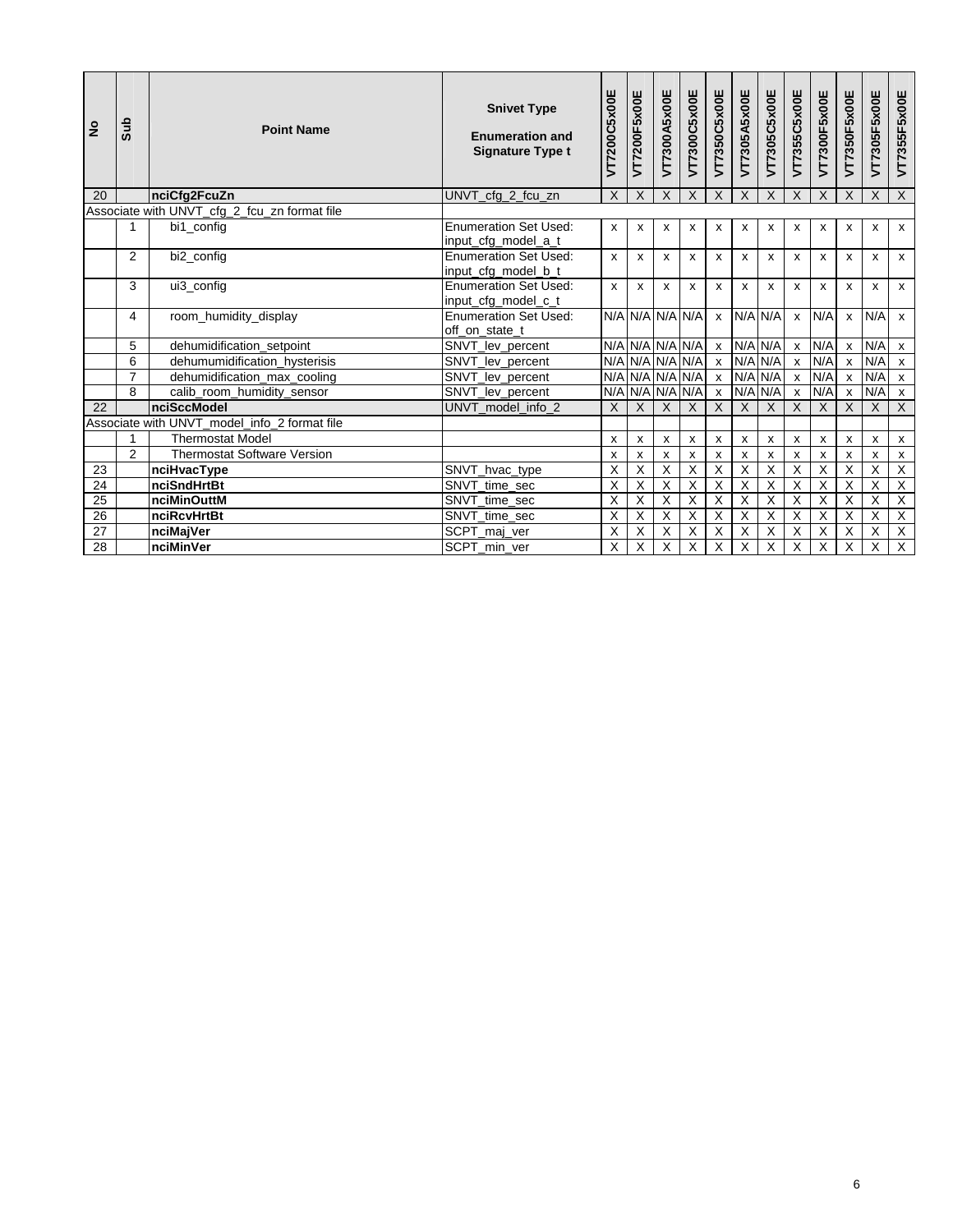| $\epsilon$      | <b>Sub</b>     | <b>Point Name</b>                            | <b>Snivet Type</b><br><b>Enumeration and</b><br><b>Signature Type t</b> | VT7200C5x00E            | VT7200F5x00E              | VT7300A5x00E            | VT7300C5x00E            | VT7350C5x00E            | VT7305A5x00E            | VT7305C5x00E   | VT7355C5x00E            | VT7300F5x00E              | VT7350F5x00E   | VT7305F5x00E            | VT7355F5x00E              |
|-----------------|----------------|----------------------------------------------|-------------------------------------------------------------------------|-------------------------|---------------------------|-------------------------|-------------------------|-------------------------|-------------------------|----------------|-------------------------|---------------------------|----------------|-------------------------|---------------------------|
| 20              |                | nciCfg2FcuZn                                 | UNVT cfg 2 fcu zn                                                       | X                       | $\times$                  | X                       | X                       | $\sf X$                 | $\sf X$                 | $\times$       | $\mathsf{X}$            | $\sf X$                   | $\times$       | X                       | X                         |
|                 |                | Associate with UNVT_cfg_2_fcu_zn format file |                                                                         |                         |                           |                         |                         |                         |                         |                |                         |                           |                |                         |                           |
|                 | 1              | bi1 config                                   | <b>Enumeration Set Used:</b><br>input cfg model a t                     | x                       | X                         | х                       | x                       | x                       | x                       | $\mathsf{x}$   | х                       | $\boldsymbol{\mathsf{x}}$ | X              | х                       | $\mathsf{x}$              |
|                 | $\overline{2}$ | bi2 config                                   | <b>Enumeration Set Used:</b><br>input cfg model b t                     | $\mathsf{x}$            | $\mathsf{x}$              | x                       | X                       | x                       | X                       | $\mathsf{x}$   | X                       | $\boldsymbol{\mathsf{x}}$ | $\mathsf{x}$   | X                       | $\mathsf{x}$              |
|                 | 3              | ui3_config                                   | <b>Enumeration Set Used:</b><br>input_cfg_model_c_t                     | $\mathsf{x}$            | X                         | x                       | $\mathbf{x}$            | X                       | x                       | $\mathsf{x}$   | x                       | $\mathsf{x}$              | $\mathsf{x}$   | x                       | $\mathsf{x}$              |
|                 | 4              | room humidity display                        | <b>Enumeration Set Used:</b><br>off on state t                          |                         |                           |                         | N/A N/A N/A N/A         | $\mathsf{x}$            |                         | N/A N/A        | $\mathsf{x}$            | N/A                       | x              | N/A                     | $\mathsf{x}$              |
|                 | 5              | dehumidification_setpoint                    | SNVT_lev_percent                                                        |                         |                           |                         | N/A N/A N/A N/A         | $\pmb{\mathsf{x}}$      |                         | N/A N/A        | $\pmb{\mathsf{x}}$      | N/A                       | X              | N/A                     | $\pmb{\mathsf{x}}$        |
|                 | 6              | dehumumidification hysterisis                | SNVT lev percent                                                        |                         |                           |                         | N/A N/A N/A N/A         | $\mathsf{x}$            |                         | $N/A$ $N/A$    | $\pmb{\mathsf{x}}$      | N/A                       | $\mathsf{x}$   | N/A                     | $\boldsymbol{\mathsf{x}}$ |
|                 | $\overline{7}$ | dehumidification_max_cooling                 | SNVT_lev_percent                                                        |                         |                           |                         | N/A N/A N/A N/A         | $\mathsf X$             |                         | $N/A$ $N/A$    | $\pmb{\mathsf{x}}$      | N/A                       | $\mathsf{x}$   | N/A                     | $\pmb{\mathsf{x}}$        |
|                 | 8              | calib_room_humidity_sensor                   | SNVT_lev_percent                                                        |                         |                           | N/A N/A N/A N/A         |                         | $\overline{\mathbf{x}}$ |                         | $N/A$ $N/A$    | $\overline{\mathbf{x}}$ | N/A                       | $\pmb{\chi}$   | N/A                     | $\mathsf{x}$              |
| 22              |                | <b>nciSccModel</b>                           | UNVT model info 2                                                       | X                       | $\times$                  | $\times$                | X                       | X                       | $\sf X$                 | $\times$       | $\sf X$                 | $\times$                  | X              | X                       | $\mathsf{X}$              |
|                 |                | Associate with UNVT_model_info_2 format file |                                                                         |                         |                           |                         |                         |                         |                         |                |                         |                           |                |                         |                           |
|                 |                | <b>Thermostat Model</b>                      |                                                                         | x                       | x                         | X                       | X                       | $\pmb{\chi}$            | x                       | x              | x                       | X                         | x              | x                       | $\pmb{\mathsf{X}}$        |
|                 | $\mathfrak{p}$ | <b>Thermostat Software Version</b>           |                                                                         | x                       | x                         | x                       | x                       | x                       | x                       | X              | x                       | X                         | x              | X                       | $\boldsymbol{x}$          |
| 23              |                | nciHvacType                                  | SNVT_hvac_type                                                          | X                       | X                         | Χ                       | X                       | X                       | X                       | Χ              | X                       | X                         | Χ              | X                       | $\overline{X}$            |
| $\overline{24}$ |                | nciSndHrtBt                                  | SNVT_time_sec                                                           | X                       | $\overline{X}$            | $\overline{\mathsf{x}}$ | $\overline{\mathsf{X}}$ | $\overline{X}$          | $\overline{\mathsf{x}}$ | $\overline{X}$ | $\overline{\mathsf{x}}$ | $\overline{\mathsf{x}}$   | $\overline{X}$ | $\overline{\mathsf{x}}$ | $\overline{X}$            |
| 25              |                | nciMinOuttM                                  | SNVT_time_sec                                                           | X                       | $\boldsymbol{\mathsf{X}}$ | X                       | X                       | X                       | X                       | X              | X                       | X                         | X              | X                       | X                         |
| 26              |                | nciRcvHrtBt                                  | SNVT time sec                                                           | X                       | $\overline{\mathsf{x}}$   | χ                       | $\overline{\mathsf{x}}$ | $\overline{\mathsf{x}}$ | $\overline{\mathsf{x}}$ | $\overline{X}$ | $\overline{\mathsf{x}}$ | $\overline{\mathsf{x}}$   | χ              | $\overline{\mathsf{x}}$ | $\overline{X}$            |
| 27              |                | nciMajVer                                    | SCPT_maj_ver                                                            | X                       | X                         | Χ                       | X                       | X                       | Χ                       | X              | X                       | X                         | X              | Χ                       | $\overline{X}$            |
| 28              |                | nciMinVer                                    | SCPT min ver                                                            | $\overline{\mathsf{x}}$ | $\overline{\mathsf{x}}$   | $\overline{\mathsf{x}}$ | $\overline{X}$          | $\overline{X}$          | $\overline{\mathsf{x}}$ | $\overline{X}$ | $\overline{\mathsf{x}}$ | $\overline{\mathsf{x}}$   | $\overline{X}$ | $\overline{\mathsf{x}}$ | $\overline{X}$            |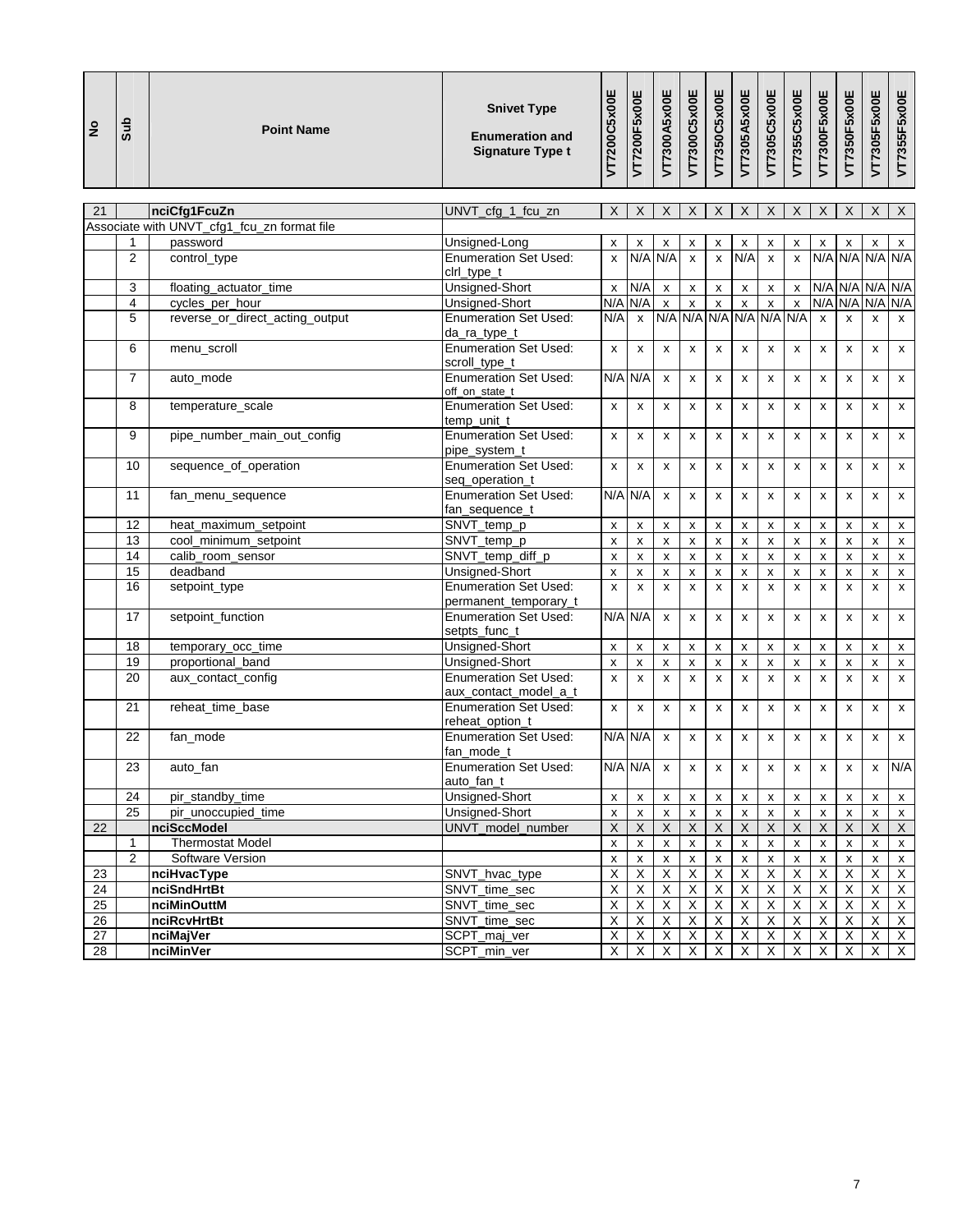| $\mathsf X$<br>$\mathsf X$<br>$\boldsymbol{\mathsf{X}}$<br>$\mathsf X$<br>X<br>$\mathsf X$<br>$\mathsf X$<br>X<br>$\mathsf X$<br>X<br>$\boldsymbol{\mathsf{X}}$<br>21<br>nciCfg1FcuZn<br>UNVT_cfg_1_fcu_zn<br>Associate with UNVT_cfg1_fcu_zn format file<br>password<br>Unsigned-Long<br>1<br>x<br>X<br>x<br>x<br>x<br>X<br>X<br>x<br>х<br>х<br>х<br>N/A N/A N/A N/A<br>$\overline{2}$<br><b>Enumeration Set Used:</b><br>N/A N/A<br>N/A<br>control_type<br>$\mathsf{x}$<br>$\mathsf{x}$<br>$\pmb{\mathsf{x}}$<br>$\mathsf{x}$<br>$\pmb{\chi}$<br>ciri_type_t<br>N/A<br>N/A N/A N/A N/A<br>Unsigned-Short<br>3<br>floating actuator time<br>$\pmb{\chi}$<br>$\pmb{\mathsf{x}}$<br>$\pmb{\mathsf{x}}$<br>$\mathsf{x}$<br>x<br>X<br>$\pmb{\mathsf{x}}$<br>N/A<br>cycles per hour<br><b>Unsigned-Short</b><br>N/A<br>$\pmb{\mathsf{x}}$<br>N/A<br>N/A N/A N/A<br>4<br>$\pmb{\chi}$<br>$\pmb{\mathsf{x}}$<br>$\pmb{\mathsf{x}}$<br>$\pmb{\mathsf{x}}$<br>$\pmb{\chi}$<br>N/A N/A<br>N/A<br>N/A N/A N/A<br><b>Enumeration Set Used:</b><br>$\mathsf{x}$<br>reverse_or_direct_acting_output<br>N/A<br>5<br>$\mathsf{x}$<br>$\mathsf{x}$<br>$\pmb{\mathsf{x}}$<br>da_ra_type_t<br><b>Enumeration Set Used:</b><br>6<br>menu_scroll<br>x<br>x<br>X<br>x<br>X<br>x<br>X<br>X<br>x<br>X<br>X<br>scroll_type_t<br><b>Enumeration Set Used:</b><br>N/A N/A<br>$\overline{7}$<br>auto_mode<br>$\pmb{\mathsf{x}}$<br>$\pmb{\mathsf{x}}$<br>$\pmb{\mathsf{x}}$<br>$\pmb{\mathsf{x}}$<br>x<br>x<br>X<br>x<br>x<br>off_on_state_t<br><b>Enumeration Set Used:</b><br>8<br>temperature_scale<br>$\pmb{\times}$<br>X<br>X<br>x<br>x<br>x<br>x<br>x<br>X<br>X<br>X<br>temp_unit_t | <b>Sub</b><br>$\frac{9}{2}$ | <b>Point Name</b> | <b>Snivet Type</b><br><b>Enumeration and</b><br><b>Signature Type t</b> | VT7200C5x00E | VT7200F5x00E | VT7300A5x00E | VT7300C5x00E | VT7350C5x00E | VT7305A5x00E | VT7305C5x00E | VT7355C5x00E | VT7300F5x00E | VT7350F5x00E | VT7305F5x00E | VT7355F5x00E              |
|----------------------------------------------------------------------------------------------------------------------------------------------------------------------------------------------------------------------------------------------------------------------------------------------------------------------------------------------------------------------------------------------------------------------------------------------------------------------------------------------------------------------------------------------------------------------------------------------------------------------------------------------------------------------------------------------------------------------------------------------------------------------------------------------------------------------------------------------------------------------------------------------------------------------------------------------------------------------------------------------------------------------------------------------------------------------------------------------------------------------------------------------------------------------------------------------------------------------------------------------------------------------------------------------------------------------------------------------------------------------------------------------------------------------------------------------------------------------------------------------------------------------------------------------------------------------------------------------------------------------------------------------------------------|-----------------------------|-------------------|-------------------------------------------------------------------------|--------------|--------------|--------------|--------------|--------------|--------------|--------------|--------------|--------------|--------------|--------------|---------------------------|
|                                                                                                                                                                                                                                                                                                                                                                                                                                                                                                                                                                                                                                                                                                                                                                                                                                                                                                                                                                                                                                                                                                                                                                                                                                                                                                                                                                                                                                                                                                                                                                                                                                                                |                             |                   |                                                                         |              |              |              |              |              |              |              |              |              |              |              | $\mathsf{X}$              |
|                                                                                                                                                                                                                                                                                                                                                                                                                                                                                                                                                                                                                                                                                                                                                                                                                                                                                                                                                                                                                                                                                                                                                                                                                                                                                                                                                                                                                                                                                                                                                                                                                                                                |                             |                   |                                                                         |              |              |              |              |              |              |              |              |              |              |              |                           |
|                                                                                                                                                                                                                                                                                                                                                                                                                                                                                                                                                                                                                                                                                                                                                                                                                                                                                                                                                                                                                                                                                                                                                                                                                                                                                                                                                                                                                                                                                                                                                                                                                                                                |                             |                   |                                                                         |              |              |              |              |              |              |              |              |              |              |              | X                         |
|                                                                                                                                                                                                                                                                                                                                                                                                                                                                                                                                                                                                                                                                                                                                                                                                                                                                                                                                                                                                                                                                                                                                                                                                                                                                                                                                                                                                                                                                                                                                                                                                                                                                |                             |                   |                                                                         |              |              |              |              |              |              |              |              |              |              |              |                           |
|                                                                                                                                                                                                                                                                                                                                                                                                                                                                                                                                                                                                                                                                                                                                                                                                                                                                                                                                                                                                                                                                                                                                                                                                                                                                                                                                                                                                                                                                                                                                                                                                                                                                |                             |                   |                                                                         |              |              |              |              |              |              |              |              |              |              |              |                           |
|                                                                                                                                                                                                                                                                                                                                                                                                                                                                                                                                                                                                                                                                                                                                                                                                                                                                                                                                                                                                                                                                                                                                                                                                                                                                                                                                                                                                                                                                                                                                                                                                                                                                |                             |                   |                                                                         |              |              |              |              |              |              |              |              |              |              |              |                           |
|                                                                                                                                                                                                                                                                                                                                                                                                                                                                                                                                                                                                                                                                                                                                                                                                                                                                                                                                                                                                                                                                                                                                                                                                                                                                                                                                                                                                                                                                                                                                                                                                                                                                |                             |                   |                                                                         |              |              |              |              |              |              |              |              |              |              |              | $\mathsf{x}$              |
|                                                                                                                                                                                                                                                                                                                                                                                                                                                                                                                                                                                                                                                                                                                                                                                                                                                                                                                                                                                                                                                                                                                                                                                                                                                                                                                                                                                                                                                                                                                                                                                                                                                                |                             |                   |                                                                         |              |              |              |              |              |              |              |              |              |              |              |                           |
|                                                                                                                                                                                                                                                                                                                                                                                                                                                                                                                                                                                                                                                                                                                                                                                                                                                                                                                                                                                                                                                                                                                                                                                                                                                                                                                                                                                                                                                                                                                                                                                                                                                                |                             |                   |                                                                         |              |              |              |              |              |              |              |              |              |              |              | X                         |
|                                                                                                                                                                                                                                                                                                                                                                                                                                                                                                                                                                                                                                                                                                                                                                                                                                                                                                                                                                                                                                                                                                                                                                                                                                                                                                                                                                                                                                                                                                                                                                                                                                                                |                             |                   |                                                                         |              |              |              |              |              |              |              |              |              |              |              |                           |
|                                                                                                                                                                                                                                                                                                                                                                                                                                                                                                                                                                                                                                                                                                                                                                                                                                                                                                                                                                                                                                                                                                                                                                                                                                                                                                                                                                                                                                                                                                                                                                                                                                                                |                             |                   |                                                                         |              |              |              |              |              |              |              |              |              |              |              | $\pmb{\mathsf{x}}$        |
|                                                                                                                                                                                                                                                                                                                                                                                                                                                                                                                                                                                                                                                                                                                                                                                                                                                                                                                                                                                                                                                                                                                                                                                                                                                                                                                                                                                                                                                                                                                                                                                                                                                                |                             |                   |                                                                         |              |              |              |              |              |              |              |              |              |              |              | $\pmb{\mathsf{x}}$        |
| pipe_number_main_out_config<br><b>Enumeration Set Used:</b><br>9<br>$\pmb{\times}$<br>x<br>x<br>x<br>x<br>x<br>x<br>x<br>x<br>X<br>x<br>pipe_system_t                                                                                                                                                                                                                                                                                                                                                                                                                                                                                                                                                                                                                                                                                                                                                                                                                                                                                                                                                                                                                                                                                                                                                                                                                                                                                                                                                                                                                                                                                                          |                             |                   |                                                                         |              |              |              |              |              |              |              |              |              |              |              | $\pmb{\mathsf{x}}$        |
| <b>Enumeration Set Used:</b><br>10<br>sequence_of_operation<br>$\pmb{\mathsf{x}}$<br>x<br>$\pmb{\mathsf{x}}$<br>x<br>X<br>$\pmb{\mathsf{x}}$<br>x<br>x<br>X<br>X<br>x<br>seq_operation_t                                                                                                                                                                                                                                                                                                                                                                                                                                                                                                                                                                                                                                                                                                                                                                                                                                                                                                                                                                                                                                                                                                                                                                                                                                                                                                                                                                                                                                                                       |                             |                   |                                                                         |              |              |              |              |              |              |              |              |              |              |              | $\pmb{\mathsf{x}}$        |
| <b>Enumeration Set Used:</b><br>N/A N/A<br>11<br>fan_menu_sequence<br>X<br>x<br>X<br>x<br>X<br>x<br>x<br>$\mathsf{x}$<br>X<br>fan_sequence_t                                                                                                                                                                                                                                                                                                                                                                                                                                                                                                                                                                                                                                                                                                                                                                                                                                                                                                                                                                                                                                                                                                                                                                                                                                                                                                                                                                                                                                                                                                                   |                             |                   |                                                                         |              |              |              |              |              |              |              |              |              |              |              | $\pmb{\mathsf{x}}$        |
| SNVT_temp_p<br>12<br>heat_maximum_setpoint<br>x<br>X<br>$\boldsymbol{\mathsf{x}}$<br>X<br>X<br>X<br>X<br>X<br>X<br>X<br>x                                                                                                                                                                                                                                                                                                                                                                                                                                                                                                                                                                                                                                                                                                                                                                                                                                                                                                                                                                                                                                                                                                                                                                                                                                                                                                                                                                                                                                                                                                                                      |                             |                   |                                                                         |              |              |              |              |              |              |              |              |              |              |              | $\boldsymbol{\mathsf{x}}$ |
| 13<br>cool_minimum_setpoint<br>SNVT_temp_p<br>$\pmb{\mathsf{x}}$<br>$\pmb{\mathsf{x}}$<br>$\pmb{\mathsf{x}}$<br>$\pmb{\mathsf{x}}$<br>x<br>X<br>$\pmb{\mathsf{x}}$<br>$\pmb{\mathsf{x}}$<br>$\pmb{\mathsf{x}}$<br>X<br>X                                                                                                                                                                                                                                                                                                                                                                                                                                                                                                                                                                                                                                                                                                                                                                                                                                                                                                                                                                                                                                                                                                                                                                                                                                                                                                                                                                                                                                       |                             |                   |                                                                         |              |              |              |              |              |              |              |              |              |              |              | $\pmb{\mathsf{x}}$        |
| SNVT_temp_diff_p<br>calib_room_sensor<br>14<br>$\pmb{\chi}$<br>$\pmb{\mathsf{x}}$<br>$\pmb{\mathsf{x}}$<br>$\pmb{\mathsf{x}}$<br>$\pmb{\mathsf{x}}$<br>$\pmb{\mathsf{x}}$<br>$\pmb{\mathsf{x}}$<br>X<br>$\pmb{\mathsf{x}}$<br>$\pmb{\times}$<br>$\pmb{\mathsf{x}}$                                                                                                                                                                                                                                                                                                                                                                                                                                                                                                                                                                                                                                                                                                                                                                                                                                                                                                                                                                                                                                                                                                                                                                                                                                                                                                                                                                                             |                             |                   |                                                                         |              |              |              |              |              |              |              |              |              |              |              | $\pmb{\mathsf{x}}$        |
| 15<br>deadband<br>Unsigned-Short<br>$\pmb{\mathsf{x}}$<br>$\pmb{\mathsf{x}}$<br>$\pmb{\times}$<br>x<br>$\pmb{\mathsf{x}}$<br>x<br>X<br>x<br>X<br>x<br>x                                                                                                                                                                                                                                                                                                                                                                                                                                                                                                                                                                                                                                                                                                                                                                                                                                                                                                                                                                                                                                                                                                                                                                                                                                                                                                                                                                                                                                                                                                        |                             |                   |                                                                         |              |              |              |              |              |              |              |              |              |              |              | $\pmb{\mathsf{x}}$        |
| 16<br><b>Enumeration Set Used:</b><br>$\pmb{\chi}$<br>$\pmb{\times}$<br>$\pmb{\mathsf{x}}$<br>x<br>$\pmb{\mathsf{x}}$<br>x<br>$\pmb{\mathsf{x}}$<br>$\pmb{\mathsf{x}}$<br>setpoint_type<br>x<br>x<br>x<br>permanent_temporary_t                                                                                                                                                                                                                                                                                                                                                                                                                                                                                                                                                                                                                                                                                                                                                                                                                                                                                                                                                                                                                                                                                                                                                                                                                                                                                                                                                                                                                                |                             |                   |                                                                         |              |              |              |              |              |              |              |              |              |              |              | $\pmb{\mathsf{x}}$        |
| setpoint_function<br><b>Enumeration Set Used:</b><br>N/A N/A<br>17<br>X<br>x<br>x<br>x<br>x<br>x<br>x<br>x<br>x<br>setpts_func_t                                                                                                                                                                                                                                                                                                                                                                                                                                                                                                                                                                                                                                                                                                                                                                                                                                                                                                                                                                                                                                                                                                                                                                                                                                                                                                                                                                                                                                                                                                                               |                             |                   |                                                                         |              |              |              |              |              |              |              |              |              |              |              | X                         |
| Unsigned-Short<br>18<br>temporary_occ_time<br>x<br>X<br>x<br>X<br>x<br>x<br>X<br>x<br>X<br>X<br>x                                                                                                                                                                                                                                                                                                                                                                                                                                                                                                                                                                                                                                                                                                                                                                                                                                                                                                                                                                                                                                                                                                                                                                                                                                                                                                                                                                                                                                                                                                                                                              |                             |                   |                                                                         |              |              |              |              |              |              |              |              |              |              |              | $\boldsymbol{\mathsf{x}}$ |
| proportional band<br>19<br>Unsigned-Short<br>$\pmb{\mathsf{x}}$<br>$\pmb{\mathsf{x}}$<br>X<br>$\pmb{\mathsf{x}}$<br>$\pmb{\mathsf{x}}$<br>$\pmb{\mathsf{x}}$<br>X<br>x<br>$\pmb{\mathsf{x}}$<br>$\pmb{\mathsf{x}}$<br>$\pmb{\mathsf{x}}$                                                                                                                                                                                                                                                                                                                                                                                                                                                                                                                                                                                                                                                                                                                                                                                                                                                                                                                                                                                                                                                                                                                                                                                                                                                                                                                                                                                                                       |                             |                   |                                                                         |              |              |              |              |              |              |              |              |              |              |              | $\pmb{\mathsf{X}}$        |
| <b>Enumeration Set Used:</b><br>aux_contact_config<br>$\pmb{\chi}$<br>$\pmb{\mathsf{x}}$<br>20<br>x<br>$\pmb{\mathsf{x}}$<br>$\pmb{\mathsf{x}}$<br>$\pmb{\mathsf{x}}$<br>x<br>$\pmb{\mathsf{x}}$<br>$\pmb{\mathsf{x}}$<br>x<br>$\pmb{\times}$<br>aux contact model a t                                                                                                                                                                                                                                                                                                                                                                                                                                                                                                                                                                                                                                                                                                                                                                                                                                                                                                                                                                                                                                                                                                                                                                                                                                                                                                                                                                                         |                             |                   |                                                                         |              |              |              |              |              |              |              |              |              |              |              | $\pmb{\chi}$              |
| 21<br><b>Enumeration Set Used:</b><br>reheat_time_base<br>x<br>x<br>x<br>x<br>X<br>x<br>x<br>x<br>X<br>x<br>x<br>reheat_option_t                                                                                                                                                                                                                                                                                                                                                                                                                                                                                                                                                                                                                                                                                                                                                                                                                                                                                                                                                                                                                                                                                                                                                                                                                                                                                                                                                                                                                                                                                                                               |                             |                   |                                                                         |              |              |              |              |              |              |              |              |              |              |              | x                         |
| N/A N/A<br><b>Enumeration Set Used:</b><br>$\mathsf{x}$<br>$\pmb{\mathsf{x}}$<br>22<br>fan_mode<br>$\mathsf{x}$<br>$\mathsf{x}$<br>$\mathsf{x}$<br>$\mathsf{x}$<br>x<br>x<br>X<br>fan_mode_t                                                                                                                                                                                                                                                                                                                                                                                                                                                                                                                                                                                                                                                                                                                                                                                                                                                                                                                                                                                                                                                                                                                                                                                                                                                                                                                                                                                                                                                                   |                             |                   |                                                                         |              |              |              |              |              |              |              |              |              |              |              | $\pmb{\mathsf{x}}$        |
| N/A N/A<br>23<br>Enumeration Set Used:<br>auto_fan<br>$\mathbf{x}$<br>$\mathbf{x}$<br>$\mathbf{x}$<br>$\mathbf x$<br>$\mathbf{x}$<br>$\pmb{\mathsf{x}}$<br>$\mathsf x$<br>$\mathsf X$<br>$\pmb{\mathsf{x}}$                                                                                                                                                                                                                                                                                                                                                                                                                                                                                                                                                                                                                                                                                                                                                                                                                                                                                                                                                                                                                                                                                                                                                                                                                                                                                                                                                                                                                                                    |                             |                   |                                                                         |              |              |              |              |              |              |              |              |              |              |              | N/A                       |
| auto_fan_t<br><b>Unsigned-Short</b><br>24<br>pir_standby_time<br>X<br>X<br>X<br>X<br>X<br>X<br>x<br>X<br>X<br>X<br>X                                                                                                                                                                                                                                                                                                                                                                                                                                                                                                                                                                                                                                                                                                                                                                                                                                                                                                                                                                                                                                                                                                                                                                                                                                                                                                                                                                                                                                                                                                                                           |                             |                   |                                                                         |              |              |              |              |              |              |              |              |              |              |              | $\pmb{\mathsf{X}}$        |
| $\overline{25}$<br>Unsigned-Short<br>pir_unoccupied_time<br>$\pmb{\mathsf{x}}$<br>X<br>X<br>$\pmb{\mathsf{x}}$<br>X<br>X<br>x<br>X<br>x<br>X<br>х                                                                                                                                                                                                                                                                                                                                                                                                                                                                                                                                                                                                                                                                                                                                                                                                                                                                                                                                                                                                                                                                                                                                                                                                                                                                                                                                                                                                                                                                                                              |                             |                   |                                                                         |              |              |              |              |              |              |              |              |              |              |              | X                         |
| $\overline{\mathsf{x}}$<br>$\overline{X}$<br>$\overline{X}$<br>$\overline{X}$<br>22<br>nciSccModel<br>UNVT model number<br>X<br>$\mathsf X$<br>$\mathsf X$<br>$\boldsymbol{\mathsf{X}}$<br>X<br>X<br>$\boldsymbol{X}$                                                                                                                                                                                                                                                                                                                                                                                                                                                                                                                                                                                                                                                                                                                                                                                                                                                                                                                                                                                                                                                                                                                                                                                                                                                                                                                                                                                                                                          |                             |                   |                                                                         |              |              |              |              |              |              |              |              |              |              |              | $\mathsf{X}$              |
| <b>Thermostat Model</b><br>1<br>x<br>$\pmb{\mathsf{x}}$<br>$\pmb{\mathsf{x}}$<br>$\pmb{\mathsf{x}}$<br>X<br>х<br>X<br>X<br>X<br>X<br>x                                                                                                                                                                                                                                                                                                                                                                                                                                                                                                                                                                                                                                                                                                                                                                                                                                                                                                                                                                                                                                                                                                                                                                                                                                                                                                                                                                                                                                                                                                                         |                             |                   |                                                                         |              |              |              |              |              |              |              |              |              |              |              | X                         |
| 2<br>Software Version<br>$\pmb{\mathsf{x}}$<br>$\pmb{\mathsf{x}}$<br>$\pmb{\mathsf{x}}$<br>$\pmb{\mathsf{x}}$<br>$\pmb{\mathsf{x}}$<br>$\pmb{\mathsf{x}}$<br>$\pmb{\mathsf{x}}$<br>X<br>X<br>X<br>X                                                                                                                                                                                                                                                                                                                                                                                                                                                                                                                                                                                                                                                                                                                                                                                                                                                                                                                                                                                                                                                                                                                                                                                                                                                                                                                                                                                                                                                            |                             |                   |                                                                         |              |              |              |              |              |              |              |              |              |              |              | $\pmb{\mathsf{x}}$        |
| $\overline{X}$<br>$\overline{X}$<br>$\overline{X}$<br>$\overline{\mathsf{x}}$<br>$\overline{X}$<br>$\overline{X}$<br>$\overline{X}$<br>nciHvacType<br>Χ<br>X<br>$\boldsymbol{\mathsf{X}}$<br>X<br>23<br>SNVT_hvac_type                                                                                                                                                                                                                                                                                                                                                                                                                                                                                                                                                                                                                                                                                                                                                                                                                                                                                                                                                                                                                                                                                                                                                                                                                                                                                                                                                                                                                                         |                             |                   |                                                                         |              |              |              |              |              |              |              |              |              |              |              | $\mathsf X$               |
| 24<br>nciSndHrtBt<br>SNVT_time_sec<br>X<br>$\overline{X}$<br>X<br>X<br>X<br>X<br>X<br>X<br>X<br>X<br>X                                                                                                                                                                                                                                                                                                                                                                                                                                                                                                                                                                                                                                                                                                                                                                                                                                                                                                                                                                                                                                                                                                                                                                                                                                                                                                                                                                                                                                                                                                                                                         |                             |                   |                                                                         |              |              |              |              |              |              |              |              |              |              |              | X                         |
| $\overline{X}$<br>$\overline{X}$<br>$\overline{\mathsf{x}}$<br>$\overline{X}$<br>$\overline{\mathsf{x}}$<br>25<br>SNVT_time_sec<br>X<br>X<br>X<br>X<br>X<br>nciMinOuttM<br>$\boldsymbol{\mathsf{X}}$<br>$\overline{X}$<br>$\overline{\mathsf{x}}$<br>SNVT_time_sec                                                                                                                                                                                                                                                                                                                                                                                                                                                                                                                                                                                                                                                                                                                                                                                                                                                                                                                                                                                                                                                                                                                                                                                                                                                                                                                                                                                             |                             |                   |                                                                         |              |              |              |              |              |              |              |              |              |              |              | $\mathsf X$               |
| 26<br>nciRcvHrtBt<br>$\boldsymbol{\mathsf{X}}$<br>$\boldsymbol{\mathsf{X}}$<br>$\boldsymbol{\mathsf{X}}$<br>$\boldsymbol{\mathsf{X}}$<br>X<br>$\boldsymbol{\mathsf{X}}$<br>X<br>X<br>$\boldsymbol{\mathsf{X}}$<br>27<br>nciMajVer<br>$\mathsf X$<br>SCPT_maj_ver<br>X<br>X<br>X<br>X<br>X<br>X<br>X<br>X<br>X<br>X                                                                                                                                                                                                                                                                                                                                                                                                                                                                                                                                                                                                                                                                                                                                                                                                                                                                                                                                                                                                                                                                                                                                                                                                                                                                                                                                             |                             |                   |                                                                         |              |              |              |              |              |              |              |              |              |              |              | $\mathsf X$<br>X          |
| $\overline{X}$<br>$\overline{X}$<br>$\overline{X}$<br>$\overline{\mathsf{x}}$<br>$\overline{X}$<br>$\overline{X}$<br>$\overline{X}$<br>$\overline{X}$<br>$\overline{X}$<br>28<br>nciMinVer<br>SCPT_min_ver<br>X<br>X                                                                                                                                                                                                                                                                                                                                                                                                                                                                                                                                                                                                                                                                                                                                                                                                                                                                                                                                                                                                                                                                                                                                                                                                                                                                                                                                                                                                                                           |                             |                   |                                                                         |              |              |              |              |              |              |              |              |              |              |              | $\overline{X}$            |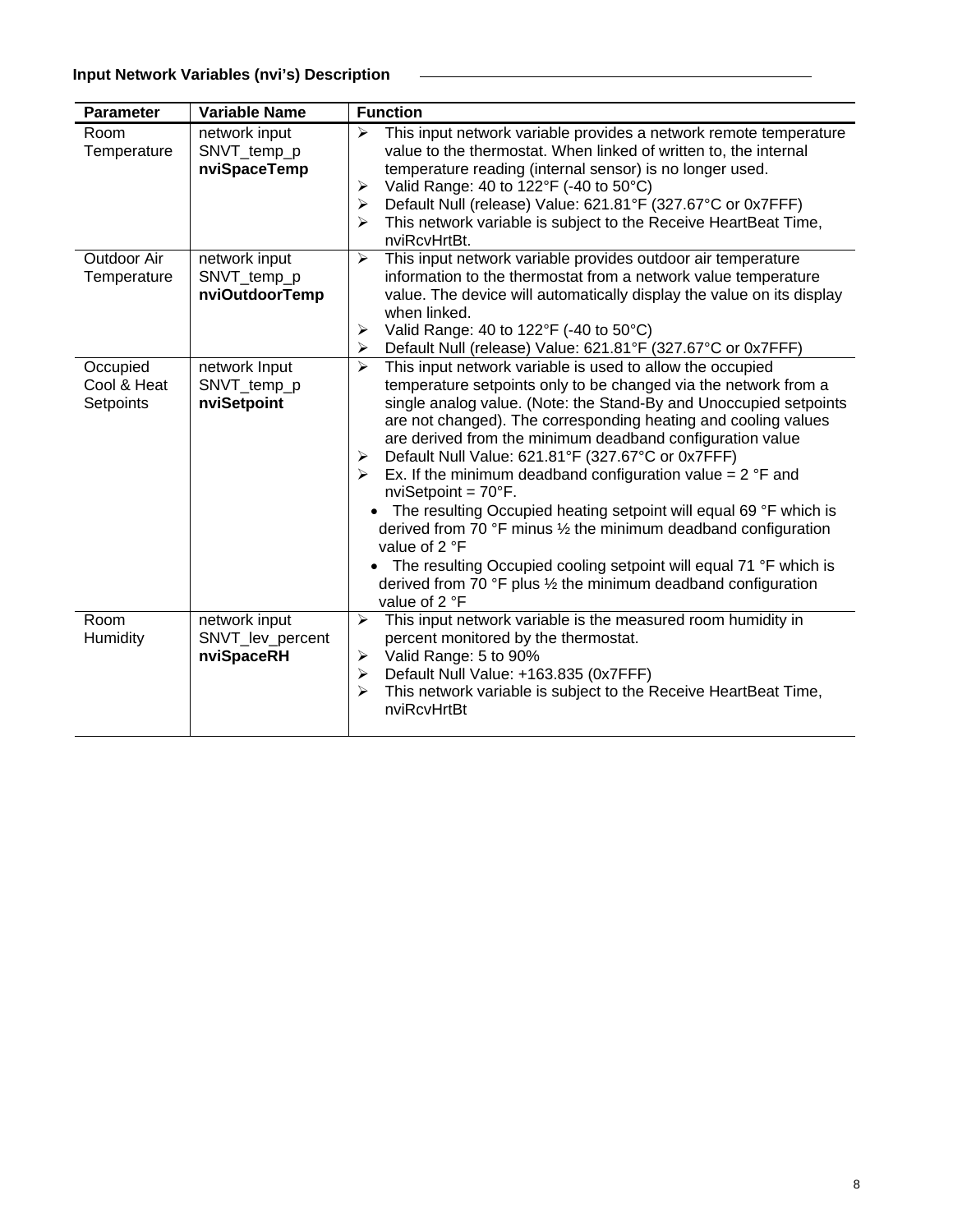| <b>Parameter</b>                     | <b>Variable Name</b>                            | <b>Function</b>                                                                                                                                                                                                                                                                                                                                                                                                                                                                                                                                                                                                                                                                                                                                                                                                                                                                        |
|--------------------------------------|-------------------------------------------------|----------------------------------------------------------------------------------------------------------------------------------------------------------------------------------------------------------------------------------------------------------------------------------------------------------------------------------------------------------------------------------------------------------------------------------------------------------------------------------------------------------------------------------------------------------------------------------------------------------------------------------------------------------------------------------------------------------------------------------------------------------------------------------------------------------------------------------------------------------------------------------------|
| Room<br>Temperature                  | network input<br>SNVT_temp_p<br>nviSpaceTemp    | This input network variable provides a network remote temperature<br>➤<br>value to the thermostat. When linked of written to, the internal<br>temperature reading (internal sensor) is no longer used.<br>Valid Range: 40 to 122°F (-40 to 50°C)<br>➤<br>Default Null (release) Value: 621.81°F (327.67°C or 0x7FFF)<br>$\blacktriangleright$<br>This network variable is subject to the Receive HeartBeat Time,<br>⋗<br>nviRcvHrtBt.                                                                                                                                                                                                                                                                                                                                                                                                                                                  |
| Outdoor Air<br>Temperature           | network input<br>SNVT_temp_p<br>nviOutdoorTemp  | This input network variable provides outdoor air temperature<br>$\blacktriangleright$<br>information to the thermostat from a network value temperature<br>value. The device will automatically display the value on its display<br>when linked.<br>Valid Range: 40 to 122°F (-40 to 50°C)<br>➤<br>Default Null (release) Value: 621.81°F (327.67°C or 0x7FFF)<br>➤                                                                                                                                                                                                                                                                                                                                                                                                                                                                                                                    |
| Occupied<br>Cool & Heat<br>Setpoints | network Input<br>SNVT_temp_p<br>nviSetpoint     | This input network variable is used to allow the occupied<br>↘<br>temperature setpoints only to be changed via the network from a<br>single analog value. (Note: the Stand-By and Unoccupied setpoints<br>are not changed). The corresponding heating and cooling values<br>are derived from the minimum deadband configuration value<br>Default Null Value: 621.81°F (327.67°C or 0x7FFF)<br>≻<br>Ex. If the minimum deadband configuration value = $2 \text{ }^{\circ}$ F and<br>$\blacktriangleright$<br>nviSetpoint = $70^{\circ}$ F.<br>The resulting Occupied heating setpoint will equal 69 °F which is<br>derived from 70 $\degree$ F minus 1/2 the minimum deadband configuration<br>value of 2 °F<br>The resulting Occupied cooling setpoint will equal 71 °F which is<br>derived from 70 $\degree$ F plus $\frac{1}{2}$ the minimum deadband configuration<br>value of 2 °F |
| Room<br>Humidity                     | network input<br>SNVT_lev_percent<br>nviSpaceRH | This input network variable is the measured room humidity in<br>$\blacktriangleright$<br>percent monitored by the thermostat.<br>Valid Range: 5 to 90%<br>$\blacktriangleright$<br>Default Null Value: +163.835 (0x7FFF)<br>➤<br>This network variable is subject to the Receive HeartBeat Time,<br>↘<br>nviRcvHrtBt                                                                                                                                                                                                                                                                                                                                                                                                                                                                                                                                                                   |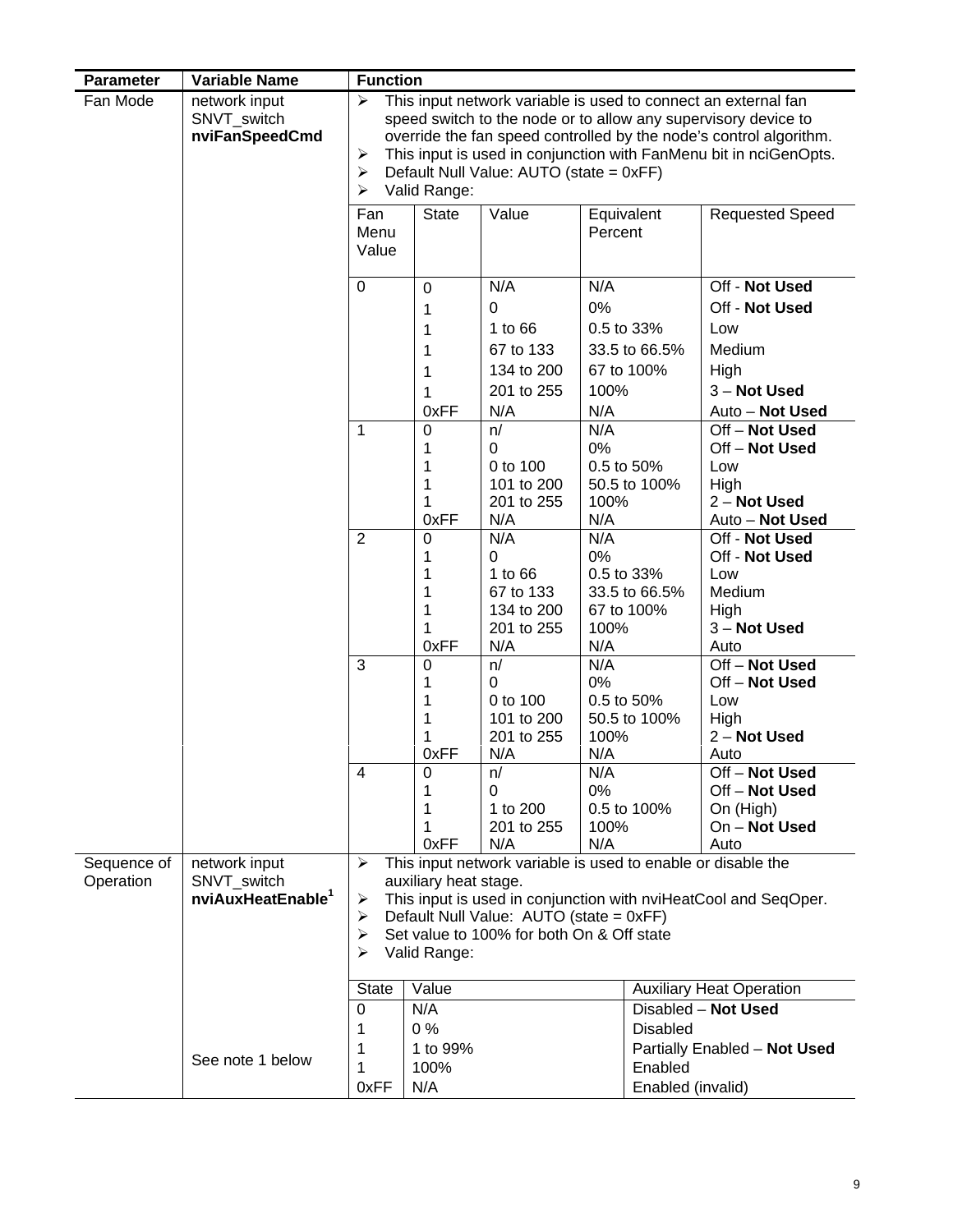| <b>Parameter</b> | <b>Variable Name</b>                           | <b>Function</b>      |                       |                                                              |         |                   |                                                                                                                                                                                                                                                                             |  |  |  |
|------------------|------------------------------------------------|----------------------|-----------------------|--------------------------------------------------------------|---------|-------------------|-----------------------------------------------------------------------------------------------------------------------------------------------------------------------------------------------------------------------------------------------------------------------------|--|--|--|
| Fan Mode         | network input<br>SNVT_switch<br>nviFanSpeedCmd | ⋗<br>➤<br>➤<br>⋗     | Valid Range:          | Default Null Value: AUTO (state = 0xFF)                      |         |                   | This input network variable is used to connect an external fan<br>speed switch to the node or to allow any supervisory device to<br>override the fan speed controlled by the node's control algorithm.<br>This input is used in conjunction with FanMenu bit in nciGenOpts. |  |  |  |
|                  |                                                | Fan<br>Menu<br>Value | <b>State</b>          | Value                                                        | Percent | Equivalent        | <b>Requested Speed</b>                                                                                                                                                                                                                                                      |  |  |  |
|                  |                                                | $\pmb{0}$            | $\mathbf 0$           | N/A                                                          | N/A     |                   | Off - Not Used                                                                                                                                                                                                                                                              |  |  |  |
|                  |                                                |                      | 1                     | $\overline{0}$                                               | 0%      |                   | Off - Not Used                                                                                                                                                                                                                                                              |  |  |  |
|                  |                                                |                      | 1                     | 1 to 66                                                      |         | 0.5 to 33%        | Low                                                                                                                                                                                                                                                                         |  |  |  |
|                  |                                                |                      | 1                     | 67 to 133                                                    |         | 33.5 to 66.5%     | Medium                                                                                                                                                                                                                                                                      |  |  |  |
|                  |                                                |                      | 1                     | 134 to 200                                                   |         | 67 to 100%        | High                                                                                                                                                                                                                                                                        |  |  |  |
|                  |                                                |                      | 1                     | 201 to 255                                                   | 100%    |                   | 3 - Not Used                                                                                                                                                                                                                                                                |  |  |  |
|                  |                                                |                      | 0xFF                  | N/A                                                          | N/A     |                   | Auto - Not Used                                                                                                                                                                                                                                                             |  |  |  |
|                  |                                                | 1                    | 0                     | n/                                                           | N/A     |                   | Off - Not Used                                                                                                                                                                                                                                                              |  |  |  |
|                  |                                                |                      | 1<br>1                | $\Omega$<br>0 to 100                                         | 0%      | 0.5 to 50%        | Off-Not Used<br>Low                                                                                                                                                                                                                                                         |  |  |  |
|                  |                                                |                      | 1                     | 101 to 200                                                   |         | 50.5 to 100%      | High                                                                                                                                                                                                                                                                        |  |  |  |
|                  |                                                |                      | 1                     | 201 to 255                                                   | 100%    |                   | 2 - Not Used                                                                                                                                                                                                                                                                |  |  |  |
|                  |                                                |                      | 0xFF                  | N/A                                                          | N/A     |                   | Auto - Not Used                                                                                                                                                                                                                                                             |  |  |  |
|                  |                                                | $\overline{2}$       | 0                     | N/A                                                          | N/A     |                   | Off - Not Used                                                                                                                                                                                                                                                              |  |  |  |
|                  |                                                |                      | 1                     | 0<br>1 to 66                                                 | 0%      | 0.5 to 33%        | Off - Not Used<br>Low                                                                                                                                                                                                                                                       |  |  |  |
|                  |                                                |                      | 1<br>1                | 67 to 133                                                    |         | 33.5 to 66.5%     | Medium                                                                                                                                                                                                                                                                      |  |  |  |
|                  |                                                |                      | 1                     | 134 to 200                                                   |         | 67 to 100%        | High                                                                                                                                                                                                                                                                        |  |  |  |
|                  |                                                |                      | 1                     | 201 to 255                                                   | 100%    |                   | 3 - Not Used                                                                                                                                                                                                                                                                |  |  |  |
|                  |                                                |                      | 0xFF                  | N/A                                                          | N/A     |                   | Auto                                                                                                                                                                                                                                                                        |  |  |  |
|                  |                                                | 3                    | $\mathbf 0$           | n/                                                           | N/A     |                   | Off-Not Used                                                                                                                                                                                                                                                                |  |  |  |
|                  |                                                |                      | 1<br>1                | 0<br>0 to 100                                                | 0%      | 0.5 to 50%        | Off-Not Used<br>Low                                                                                                                                                                                                                                                         |  |  |  |
|                  |                                                |                      | 1                     | 101 to 200                                                   |         | 50.5 to 100%      | High                                                                                                                                                                                                                                                                        |  |  |  |
|                  |                                                |                      | 1                     | 201 to 255                                                   | 100%    |                   | 2 - Not Used                                                                                                                                                                                                                                                                |  |  |  |
|                  |                                                |                      | 0xFF                  | N/A                                                          | N/A     |                   | Auto                                                                                                                                                                                                                                                                        |  |  |  |
|                  |                                                | 4                    | 0                     | n/                                                           | N/A     |                   | Off-Not Used                                                                                                                                                                                                                                                                |  |  |  |
|                  |                                                |                      | 1<br>1                | 0<br>1 to 200                                                | 0%      | 0.5 to 100%       | Off - Not Used<br>On (High)                                                                                                                                                                                                                                                 |  |  |  |
|                  |                                                |                      | 1                     | 201 to 255                                                   | 100%    |                   | On - Not Used                                                                                                                                                                                                                                                               |  |  |  |
|                  |                                                |                      | 0xFF                  | N/A                                                          | N/A     |                   | Auto                                                                                                                                                                                                                                                                        |  |  |  |
| Sequence of      | network input                                  | ≻                    |                       | This input network variable is used to enable or disable the |         |                   |                                                                                                                                                                                                                                                                             |  |  |  |
| Operation        | SNVT switch                                    |                      | auxiliary heat stage. |                                                              |         |                   |                                                                                                                                                                                                                                                                             |  |  |  |
|                  | nviAuxHeatEnable <sup>1</sup>                  | ➤<br>➤               |                       | Default Null Value: AUTO (state = 0xFF)                      |         |                   | This input is used in conjunction with nviHeatCool and SeqOper.                                                                                                                                                                                                             |  |  |  |
|                  |                                                | ➤                    |                       | Set value to 100% for both On & Off state                    |         |                   |                                                                                                                                                                                                                                                                             |  |  |  |
|                  |                                                | ➤                    | Valid Range:          |                                                              |         |                   |                                                                                                                                                                                                                                                                             |  |  |  |
|                  |                                                |                      |                       |                                                              |         |                   |                                                                                                                                                                                                                                                                             |  |  |  |
|                  |                                                | <b>State</b>         | Value                 |                                                              |         |                   | <b>Auxiliary Heat Operation</b><br>Disabled - Not Used                                                                                                                                                                                                                      |  |  |  |
|                  |                                                | 0<br>1               | N/A<br>0%             |                                                              |         | <b>Disabled</b>   |                                                                                                                                                                                                                                                                             |  |  |  |
|                  |                                                | 1                    | 1 to 99%              |                                                              |         |                   | Partially Enabled - Not Used                                                                                                                                                                                                                                                |  |  |  |
|                  | See note 1 below                               | 1                    | 100%                  |                                                              |         | Enabled           |                                                                                                                                                                                                                                                                             |  |  |  |
|                  |                                                | 0xFF                 | N/A                   |                                                              |         | Enabled (invalid) |                                                                                                                                                                                                                                                                             |  |  |  |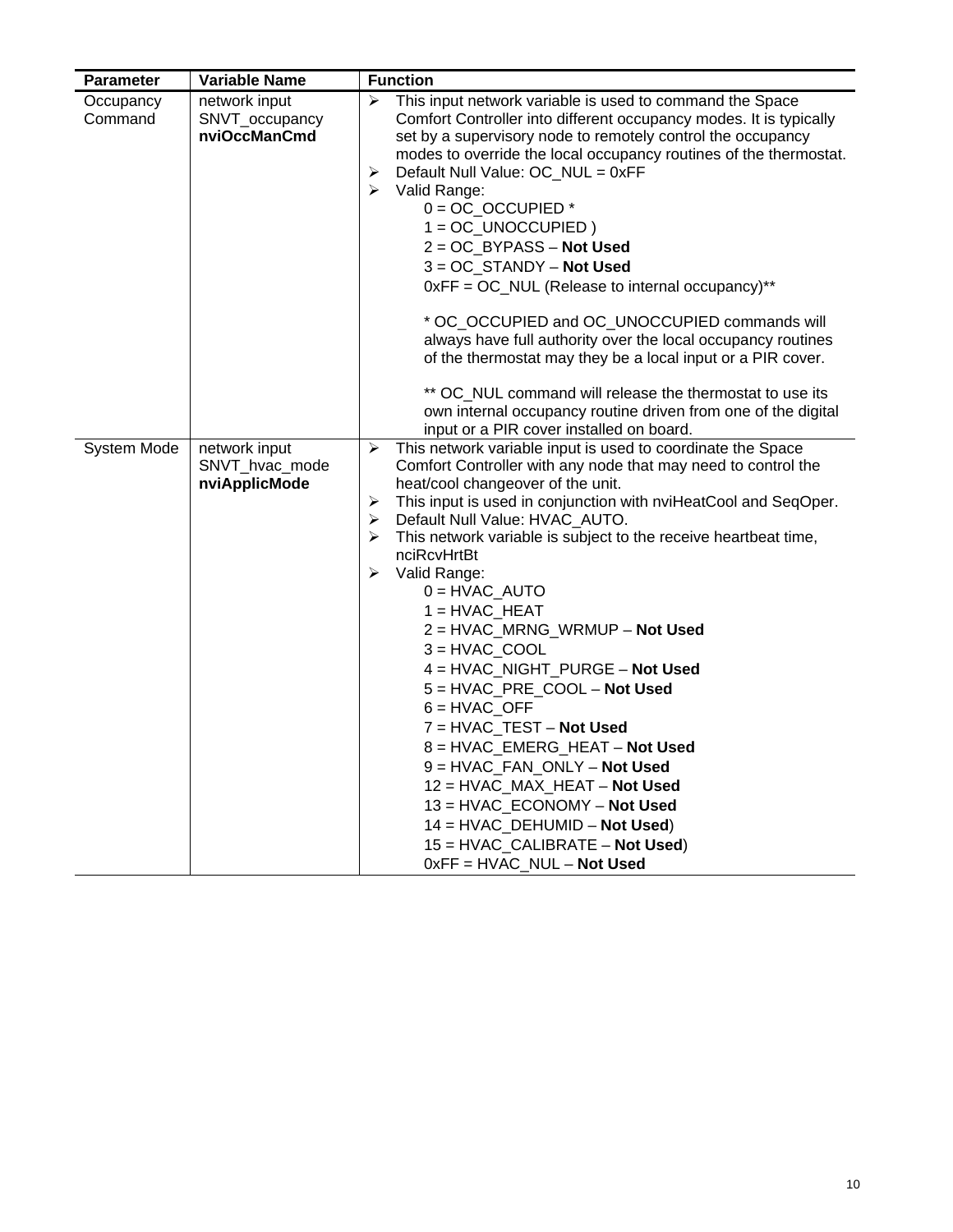| Parameter            | <b>Variable Name</b>                             | <b>Function</b>                                                                                                                                                                                                                                                                                                                                                                                                                                                                                                                                                                                                                                                                                                                                                                                                                                                          |
|----------------------|--------------------------------------------------|--------------------------------------------------------------------------------------------------------------------------------------------------------------------------------------------------------------------------------------------------------------------------------------------------------------------------------------------------------------------------------------------------------------------------------------------------------------------------------------------------------------------------------------------------------------------------------------------------------------------------------------------------------------------------------------------------------------------------------------------------------------------------------------------------------------------------------------------------------------------------|
| Occupancy<br>Command | network input<br>SNVT_occupancy<br>nviOccManCmd  | This input network variable is used to command the Space<br>➤<br>Comfort Controller into different occupancy modes. It is typically<br>set by a supervisory node to remotely control the occupancy<br>modes to override the local occupancy routines of the thermostat.<br>➤<br>Default Null Value: OC_NUL = 0xFF<br>➤<br>Valid Range:<br>$0 = OC\_OCCUPIED*$<br>$1 = OC_UNOCCUPIED$ )<br>$2 = OC$ _BYPASS – Not Used<br>$3 = OC$ STANDY – Not Used<br>0xFF = OC_NUL (Release to internal occupancy)**<br>* OC_OCCUPIED and OC_UNOCCUPIED commands will<br>always have full authority over the local occupancy routines<br>of the thermostat may they be a local input or a PIR cover.<br>** OC_NUL command will release the thermostat to use its<br>own internal occupancy routine driven from one of the digital<br>input or a PIR cover installed on board.          |
| System Mode          | network input<br>SNVT_hvac_mode<br>nviApplicMode | This network variable input is used to coordinate the Space<br>➤<br>Comfort Controller with any node that may need to control the<br>heat/cool changeover of the unit.<br>This input is used in conjunction with nviHeatCool and SeqOper.<br>➤<br>Default Null Value: HVAC_AUTO.<br>➤<br>This network variable is subject to the receive heartbeat time,<br>➤<br>nciRcvHrtBt<br>➤<br>Valid Range:<br>$0 = HVAC_AUTO$<br>$1 = HVAC_HEAT$<br>2 = HVAC_MRNG_WRMUP - Not Used<br>$3 = HVAC$ <sub>_COOL</sub><br>4 = HVAC_NIGHT_PURGE - Not Used<br>5 = HVAC_PRE_COOL - Not Used<br>$6 = HVAC_OFF$<br>$7 = HVAC_TEST - Not Used$<br>8 = HVAC_EMERG_HEAT - Not Used<br>$9 = HVAC_FAN_ONLY - Not Used$<br>12 = HVAC_MAX_HEAT - Not Used<br>13 = HVAC_ECONOMY - Not Used<br>$14 = HVAC_DEHUMID - Not Used)$<br>$15 = HVAC_CALIBRATE - Not Used)$<br>$0xFF = HVAC_NUL - Not Used$ |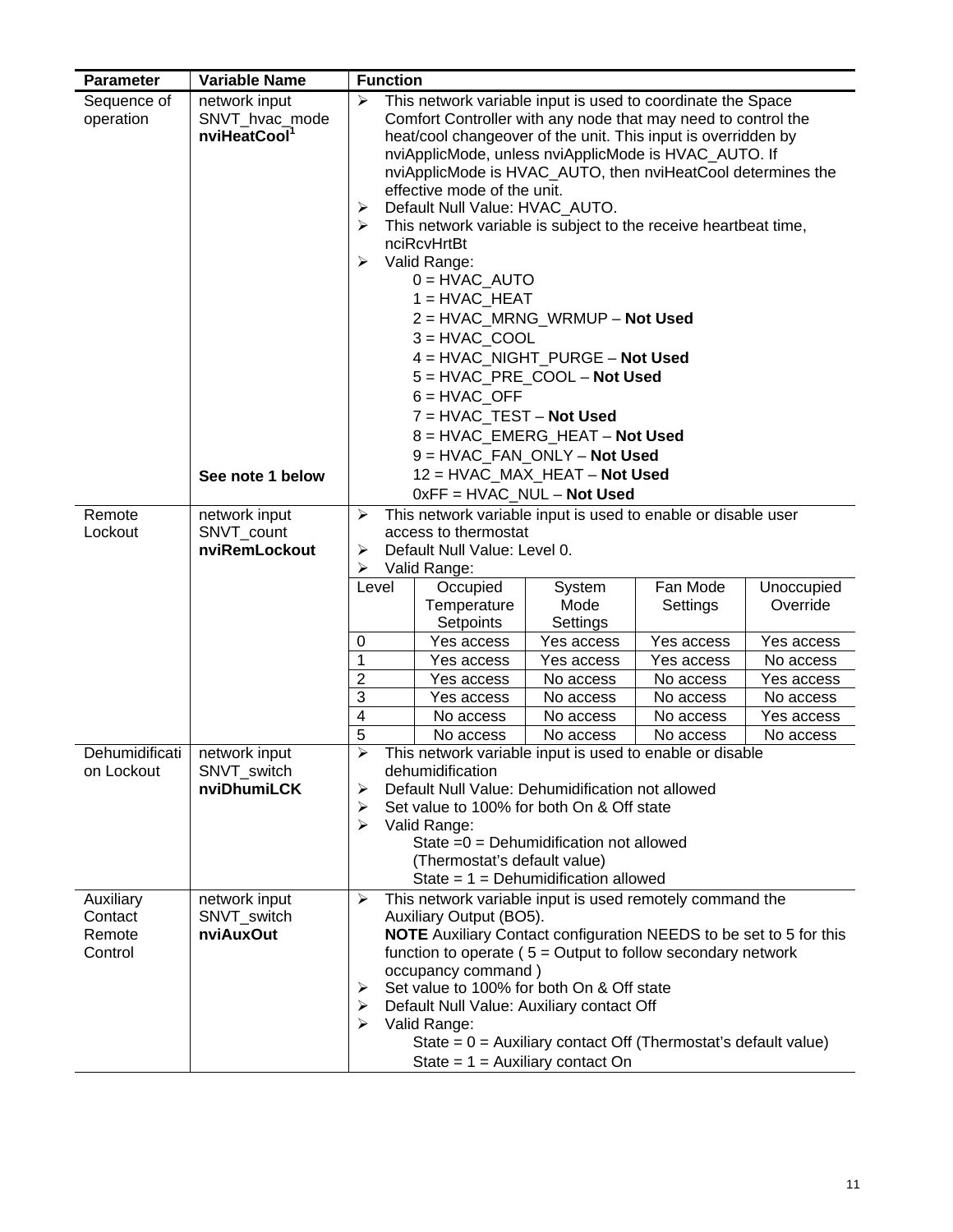| <b>Parameter</b>                          | <b>Variable Name</b>                                                            | <b>Function</b>                                                                                                                                                                                                                                                                                                                                                                                                                                                                                                                                                                                                                                                                                                                                                                                                                                                                                                                  |  |  |  |  |  |  |  |  |  |
|-------------------------------------------|---------------------------------------------------------------------------------|----------------------------------------------------------------------------------------------------------------------------------------------------------------------------------------------------------------------------------------------------------------------------------------------------------------------------------------------------------------------------------------------------------------------------------------------------------------------------------------------------------------------------------------------------------------------------------------------------------------------------------------------------------------------------------------------------------------------------------------------------------------------------------------------------------------------------------------------------------------------------------------------------------------------------------|--|--|--|--|--|--|--|--|--|
| Sequence of<br>operation                  | network input<br>SNVT_hvac_mode<br>nviHeatCool <sup>1</sup><br>See note 1 below | ➤<br>This network variable input is used to coordinate the Space<br>Comfort Controller with any node that may need to control the<br>heat/cool changeover of the unit. This input is overridden by<br>nviApplicMode, unless nviApplicMode is HVAC_AUTO. If<br>nviApplicMode is HVAC_AUTO, then nviHeatCool determines the<br>effective mode of the unit.<br>Default Null Value: HVAC_AUTO.<br>➤<br>This network variable is subject to the receive heartbeat time,<br>➤<br>nciRcvHrtBt<br>Valid Range:<br>➤<br>$0 = HVAC$ AUTO<br>$1 = HVAC_HEAT$<br>2 = HVAC_MRNG_WRMUP - Not Used<br>$3 = HVAC$ COOL<br>4 = HVAC_NIGHT_PURGE - Not Used<br>5 = HVAC PRE COOL - Not Used<br>$6 = HVAC$ OFF<br>7 = HVAC TEST - Not Used<br>8 = HVAC_EMERG_HEAT - Not Used<br>9 = HVAC_FAN_ONLY - Not Used<br>12 = HVAC_MAX_HEAT - Not Used<br>$0xFF = HVAC_NUL - Not Used$<br>This network variable input is used to enable or disable user<br>➤ |  |  |  |  |  |  |  |  |  |
| Remote<br>Lockout                         | network input<br>SNVT_count<br>nviRemLockout                                    | access to thermostat<br>Default Null Value: Level 0.<br>➤<br>Valid Range:<br>➤<br>Fan Mode<br>Occupied<br>System<br>Unoccupied<br>Level<br>Temperature<br>Mode<br>Override<br>Settings<br>Setpoints<br>Settings<br>Yes access<br>Yes access<br>Yes access<br>0<br>Yes access<br>1<br>Yes access<br>Yes access<br>Yes access<br>No access<br>$\overline{2}$<br>Yes access<br>No access<br>No access<br>Yes access<br>3<br>No access<br>Yes access<br>No access<br>No access<br>4<br>No access<br>No access<br>No access<br>Yes access                                                                                                                                                                                                                                                                                                                                                                                             |  |  |  |  |  |  |  |  |  |
| Dehumidificati<br>on Lockout              | network input<br>SNVT_switch<br>nviDhumiLCK                                     | 5<br>No access<br>No access<br>No access<br>No access<br>≻<br>This network variable input is used to enable or disable<br>dehumidification<br>Default Null Value: Dehumidification not allowed<br>➤<br>Set value to 100% for both On & Off state<br>≻<br>Valid Range:<br>➤<br>State $=0$ = Dehumidification not allowed<br>(Thermostat's default value)                                                                                                                                                                                                                                                                                                                                                                                                                                                                                                                                                                          |  |  |  |  |  |  |  |  |  |
| Auxiliary<br>Contact<br>Remote<br>Control | network input<br>SNVT_switch<br>nviAuxOut                                       | State = $1 =$ Dehumidification allowed<br>This network variable input is used remotely command the<br>➤<br>Auxiliary Output (BO5).<br><b>NOTE</b> Auxiliary Contact configuration NEEDS to be set to 5 for this<br>function to operate ( $5 =$ Output to follow secondary network<br>occupancy command)<br>Set value to 100% for both On & Off state<br>➤<br>Default Null Value: Auxiliary contact Off<br>➤<br>➤<br>Valid Range:<br>State = $0$ = Auxiliary contact Off (Thermostat's default value)<br>State = $1$ = Auxiliary contact On                                                                                                                                                                                                                                                                                                                                                                                       |  |  |  |  |  |  |  |  |  |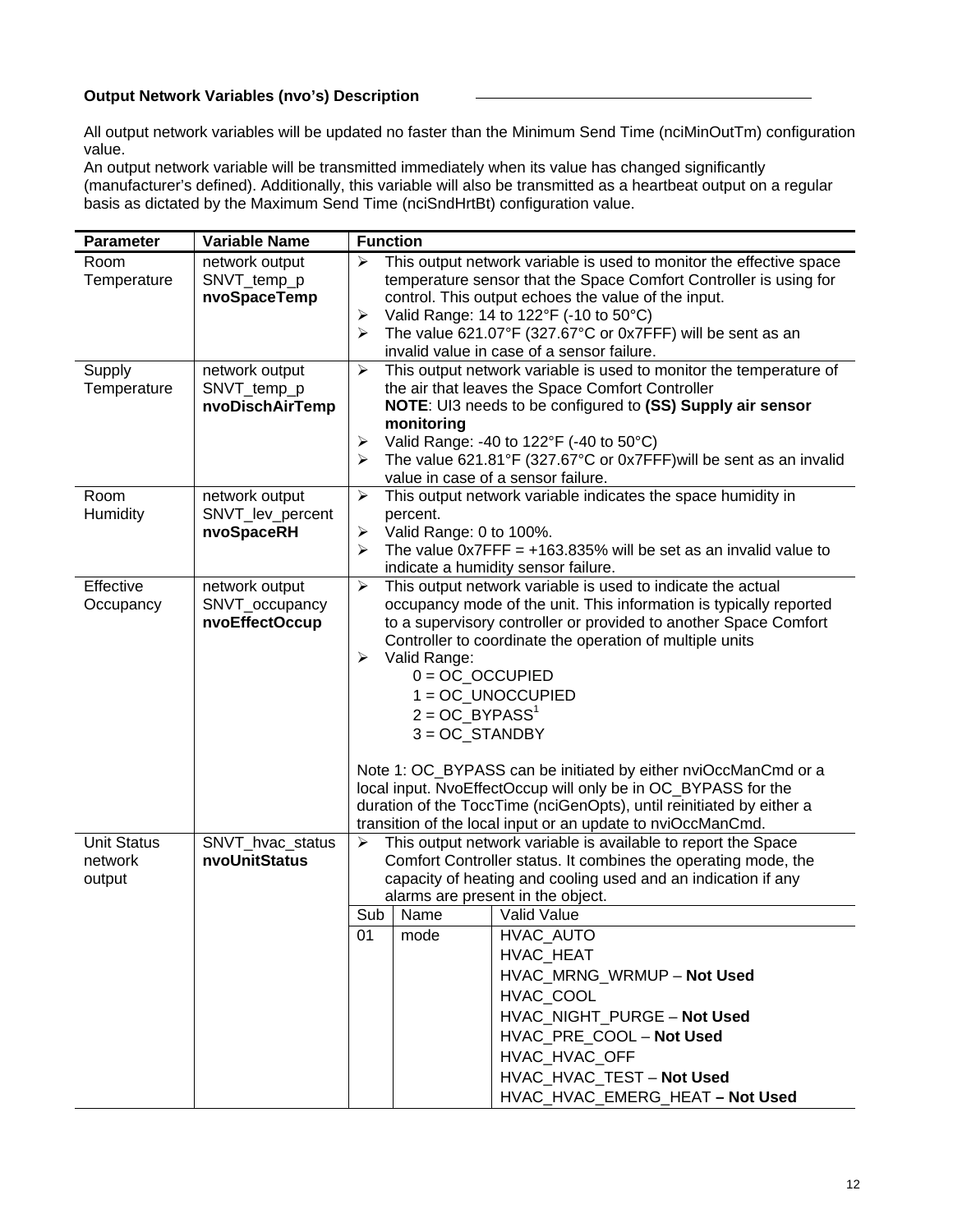# **Output Network Variables (nvo's) Description**

All output network variables will be updated no faster than the Minimum Send Time (nciMinOutTm) configuration value.

An output network variable will be transmitted immediately when its value has changed significantly (manufacturer's defined). Additionally, this variable will also be transmitted as a heartbeat output on a regular basis as dictated by the Maximum Send Time (nciSndHrtBt) configuration value.

| <b>Parameter</b>    | <b>Variable Name</b>           | <b>Function</b>                                                                                                                               |
|---------------------|--------------------------------|-----------------------------------------------------------------------------------------------------------------------------------------------|
| Room<br>Temperature | network output<br>SNVT_temp_p  | This output network variable is used to monitor the effective space<br>➤<br>temperature sensor that the Space Comfort Controller is using for |
|                     | nvoSpaceTemp                   | control. This output echoes the value of the input.                                                                                           |
|                     |                                | Valid Range: 14 to 122°F (-10 to 50°C)<br>➤                                                                                                   |
|                     |                                | The value 621.07°F (327.67°C or 0x7FFF) will be sent as an<br>➤                                                                               |
|                     |                                | invalid value in case of a sensor failure.                                                                                                    |
| Supply              | network output                 | This output network variable is used to monitor the temperature of<br>$\blacktriangleright$                                                   |
| Temperature         | SNVT_temp_p                    | the air that leaves the Space Comfort Controller                                                                                              |
|                     | nvoDischAirTemp                | NOTE: UI3 needs to be configured to (SS) Supply air sensor                                                                                    |
|                     |                                | monitoring                                                                                                                                    |
|                     |                                | Valid Range: -40 to 122°F (-40 to 50°C)<br>$\blacktriangleright$                                                                              |
|                     |                                | The value 621.81°F (327.67°C or 0x7FFF) will be sent as an invalid<br>➤                                                                       |
|                     |                                | value in case of a sensor failure.                                                                                                            |
| Room                | network output                 | This output network variable indicates the space humidity in<br>➤                                                                             |
| Humidity            | SNVT_lev_percent<br>nvoSpaceRH | percent.<br>Valid Range: 0 to 100%.<br>➤                                                                                                      |
|                     |                                | The value $0x7FF = +163.835\%$ will be set as an invalid value to<br>➤                                                                        |
|                     |                                | indicate a humidity sensor failure.                                                                                                           |
| Effective           | network output                 | $\blacktriangleright$<br>This output network variable is used to indicate the actual                                                          |
| Occupancy           | SNVT_occupancy                 | occupancy mode of the unit. This information is typically reported                                                                            |
|                     | nvoEffectOccup                 | to a supervisory controller or provided to another Space Comfort                                                                              |
|                     |                                | Controller to coordinate the operation of multiple units                                                                                      |
|                     |                                | $\blacktriangleright$<br>Valid Range:                                                                                                         |
|                     |                                | $0 = OC$ OCCUPIED                                                                                                                             |
|                     |                                | $1 = OC_UNOCCUPIED$                                                                                                                           |
|                     |                                | $2 = OC_BYPASS1$                                                                                                                              |
|                     |                                | $3 = OC_STANDBY$                                                                                                                              |
|                     |                                |                                                                                                                                               |
|                     |                                | Note 1: OC_BYPASS can be initiated by either nviOccManCmd or a<br>local input. NvoEffectOccup will only be in OC_BYPASS for the               |
|                     |                                | duration of the ToccTime (nciGenOpts), until reinitiated by either a                                                                          |
|                     |                                | transition of the local input or an update to nviOccManCmd.                                                                                   |
| <b>Unit Status</b>  | SNVT hvac status               | This output network variable is available to report the Space<br>≻                                                                            |
| network             | nvoUnitStatus                  | Comfort Controller status. It combines the operating mode, the                                                                                |
| output              |                                | capacity of heating and cooling used and an indication if any                                                                                 |
|                     |                                | alarms are present in the object.                                                                                                             |
|                     |                                | Name<br>Valid Value<br>Sub                                                                                                                    |
|                     |                                | HVAC_AUTO<br>01<br>mode                                                                                                                       |
|                     |                                | HVAC HEAT                                                                                                                                     |
|                     |                                | HVAC MRNG WRMUP - Not Used                                                                                                                    |
|                     |                                | <b>HVAC COOL</b>                                                                                                                              |
|                     |                                | HVAC_NIGHT_PURGE - Not Used                                                                                                                   |
|                     |                                | HVAC_PRE_COOL - Not Used                                                                                                                      |
|                     |                                | HVAC HVAC OFF                                                                                                                                 |
|                     |                                | HVAC HVAC TEST - Not Used                                                                                                                     |
|                     |                                | HVAC HVAC EMERG HEAT - Not Used                                                                                                               |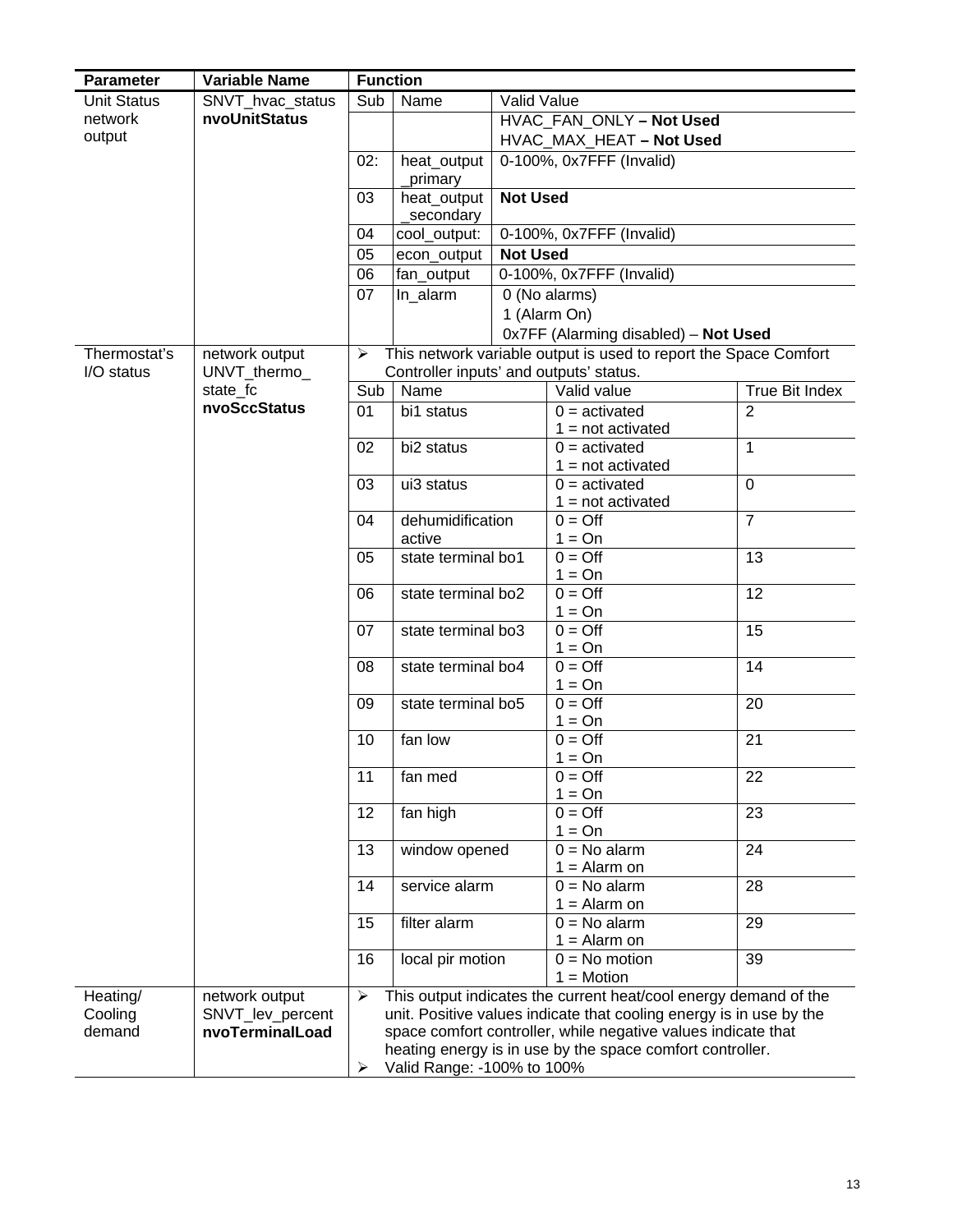| <b>Parameter</b>   | <b>Variable Name</b> | <b>Function</b>       |                                         |                          |                                                                     |                       |  |  |  |
|--------------------|----------------------|-----------------------|-----------------------------------------|--------------------------|---------------------------------------------------------------------|-----------------------|--|--|--|
| <b>Unit Status</b> | SNVT_hvac_status     | Sub                   | Name                                    | Valid Value              |                                                                     |                       |  |  |  |
| network            | nvoUnitStatus        |                       |                                         |                          | HVAC_FAN_ONLY - Not Used                                            |                       |  |  |  |
| output             |                      |                       |                                         |                          | HVAC_MAX_HEAT - Not Used                                            |                       |  |  |  |
|                    |                      | 02:                   | heat_output                             |                          | 0-100%, 0x7FFF (Invalid)                                            |                       |  |  |  |
|                    |                      |                       | primary                                 |                          |                                                                     |                       |  |  |  |
|                    |                      | 03                    | heat_output<br>secondary                | <b>Not Used</b>          |                                                                     |                       |  |  |  |
|                    |                      | 04                    | cool_output:                            | 0-100%, 0x7FFF (Invalid) |                                                                     |                       |  |  |  |
|                    |                      | 05                    | econ output                             | <b>Not Used</b>          |                                                                     |                       |  |  |  |
|                    |                      | 06                    | fan_output                              | 0-100%, 0x7FFF (Invalid) |                                                                     |                       |  |  |  |
|                    |                      | 07                    | In alarm                                |                          | 0 (No alarms)                                                       |                       |  |  |  |
|                    |                      |                       |                                         |                          | 1 (Alarm On)                                                        |                       |  |  |  |
|                    |                      |                       |                                         |                          | 0x7FF (Alarming disabled) - Not Used                                |                       |  |  |  |
| Thermostat's       | network output       | ➤                     |                                         |                          | This network variable output is used to report the Space Comfort    |                       |  |  |  |
| I/O status         | UNVT_thermo_         |                       | Controller inputs' and outputs' status. |                          |                                                                     |                       |  |  |  |
|                    | state_fc             | Sub                   | Name                                    |                          | Valid value                                                         | <b>True Bit Index</b> |  |  |  |
|                    | nvoSccStatus         | 01                    | bi1 status                              |                          | $0 =$ activated<br>$1 = not activated$                              | $\overline{2}$        |  |  |  |
|                    |                      | 02                    | bi2 status                              |                          | $0 =$ activated<br>$1 = not activated$                              | $\mathbf{1}$          |  |  |  |
|                    |                      | 03                    | ui3 status                              |                          | $0 =$ activated                                                     | $\overline{0}$        |  |  |  |
|                    |                      |                       |                                         |                          | $1 = not activated$                                                 |                       |  |  |  |
|                    |                      | 04                    | dehumidification                        |                          | $0 = \text{Off}$                                                    | $\overline{7}$        |  |  |  |
|                    |                      |                       | active                                  |                          | $1 = On$                                                            |                       |  |  |  |
|                    |                      | 05                    | state terminal bo1                      |                          | $0 = \text{Off}$                                                    | 13                    |  |  |  |
|                    |                      |                       |                                         |                          | $1 = On$                                                            |                       |  |  |  |
|                    |                      | 06                    | state terminal bo2                      |                          | $0 = \text{Off}$<br>$1 = On$                                        | 12                    |  |  |  |
|                    |                      | 07                    | state terminal bo3                      |                          | $0 = \text{Off}$<br>$1 = On$                                        | 15                    |  |  |  |
|                    |                      | 08                    | state terminal bo4                      |                          | $0 = \text{Off}$<br>$1 = On$                                        | 14                    |  |  |  |
|                    |                      | 09                    | state terminal bo5                      |                          | $0 = \text{Off}$                                                    | 20                    |  |  |  |
|                    |                      |                       |                                         |                          | $1 = On$                                                            |                       |  |  |  |
|                    |                      | 10                    | fan low                                 |                          | $0 = \text{Off}$                                                    | 21                    |  |  |  |
|                    |                      | 11                    | fan med                                 |                          | $1 = On$<br>$0 = \text{Off}$                                        | 22                    |  |  |  |
|                    |                      |                       |                                         |                          | $1 = On$                                                            |                       |  |  |  |
|                    |                      | 12                    | fan high                                |                          | $0 = \text{Off}$                                                    | 23                    |  |  |  |
|                    |                      |                       |                                         |                          | $1 = On$                                                            |                       |  |  |  |
|                    |                      | 13                    | window opened                           |                          | $0 = No$ alarm                                                      | $\overline{24}$       |  |  |  |
|                    |                      |                       |                                         |                          | $1 =$ Alarm on                                                      |                       |  |  |  |
|                    |                      | 14                    | service alarm                           |                          | $0 = No$ alarm                                                      | 28                    |  |  |  |
|                    |                      |                       |                                         |                          | $1 =$ Alarm on                                                      |                       |  |  |  |
|                    |                      | 15                    | filter alarm                            |                          | $0 = No$ alarm<br>$1 =$ Alarm on                                    | $\overline{29}$       |  |  |  |
|                    |                      | 16                    | local pir motion                        |                          | $0 = No$ motion<br>$1 = Motion$                                     | 39                    |  |  |  |
| Heating/           | network output       | $\blacktriangleright$ |                                         |                          | This output indicates the current heat/cool energy demand of the    |                       |  |  |  |
| Cooling            | SNVT_lev_percent     |                       |                                         |                          | unit. Positive values indicate that cooling energy is in use by the |                       |  |  |  |
| demand             | nvoTerminalLoad      |                       |                                         |                          | space comfort controller, while negative values indicate that       |                       |  |  |  |
|                    |                      |                       |                                         |                          | heating energy is in use by the space comfort controller.           |                       |  |  |  |
|                    |                      | ➤                     | Valid Range: -100% to 100%              |                          |                                                                     |                       |  |  |  |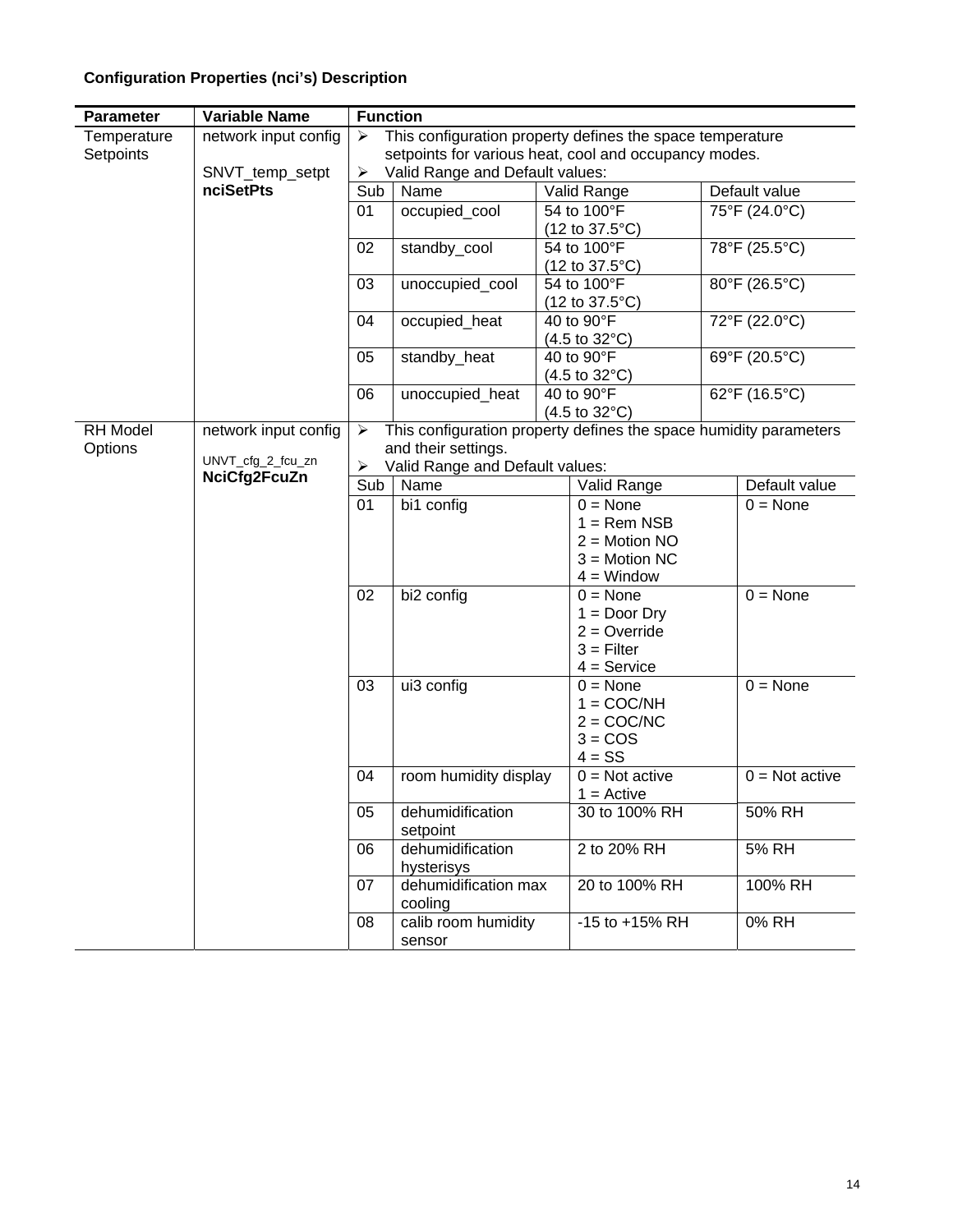# **Configuration Properties (nci's) Description**

| <b>Parameter</b>         | <b>Variable Name</b> | <b>Function</b> |                                                                                                                    |               |                                                         |  |                   |
|--------------------------|----------------------|-----------------|--------------------------------------------------------------------------------------------------------------------|---------------|---------------------------------------------------------|--|-------------------|
| Temperature<br>Setpoints | network input config | ⋗               | This configuration property defines the space temperature<br>setpoints for various heat, cool and occupancy modes. |               |                                                         |  |                   |
|                          | SNVT_temp_setpt      | ➤               | Valid Range and Default values:                                                                                    |               |                                                         |  |                   |
|                          | <b>nciSetPts</b>     | Sub             | Name                                                                                                               |               | Valid Range                                             |  | Default value     |
|                          |                      | 01              | occupied_cool                                                                                                      |               | 54 to 100°F                                             |  | 75°F (24.0°C)     |
|                          |                      |                 |                                                                                                                    |               | $(12 \text{ to } 37.5^{\circ}\text{C})$                 |  |                   |
|                          |                      | 02              | standby_cool                                                                                                       |               | 54 to 100°F                                             |  | 78°F (25.5°C)     |
|                          |                      | 03              | unoccupied_cool                                                                                                    |               | $(12 \text{ to } 37.5^{\circ} \text{C})$<br>54 to 100°F |  | 80°F (26.5°C)     |
|                          |                      |                 |                                                                                                                    |               | $(12 \text{ to } 37.5^{\circ} \text{C})$                |  |                   |
|                          |                      | 04              | occupied_heat                                                                                                      |               | 40 to 90°F<br>$(4.5 \text{ to } 32^{\circ}\text{C})$    |  | 72°F (22.0°C)     |
|                          |                      | 05              | standby_heat                                                                                                       |               | 40 to 90°F                                              |  | 69°F (20.5°C)     |
|                          |                      |                 |                                                                                                                    |               | $(4.5 \text{ to } 32^{\circ}\text{C})$                  |  |                   |
|                          |                      | 06              | unoccupied_heat                                                                                                    |               | 40 to 90°F                                              |  | 62°F (16.5°C)     |
| RH Model                 | network input config | ➤               | This configuration property defines the space humidity parameters                                                  |               | $(4.5 \text{ to } 32^{\circ}\text{C})$                  |  |                   |
| Options                  |                      |                 | and their settings.                                                                                                |               |                                                         |  |                   |
|                          | UNVT_cfg_2_fcu_zn    | ➤               | Valid Range and Default values:                                                                                    |               |                                                         |  |                   |
|                          | NciCfg2FcuZn         | Sub             | Name                                                                                                               |               | Valid Range                                             |  | Default value     |
|                          |                      | 01              | bi1 config                                                                                                         |               | $0 = \text{None}$                                       |  | $0 = \text{None}$ |
|                          |                      |                 |                                                                                                                    |               | $1 =$ Rem NSB                                           |  |                   |
|                          |                      |                 |                                                                                                                    |               | $2 = Motion NO$<br>$3 = Motion NC$                      |  |                   |
|                          |                      |                 |                                                                                                                    |               | $4 =$ Window                                            |  |                   |
|                          |                      | 02              | bi2 config                                                                                                         |               | $0 = \text{None}$                                       |  | $0 = \text{None}$ |
|                          |                      |                 |                                                                                                                    |               | $1 = Door$ Dry                                          |  |                   |
|                          |                      |                 |                                                                                                                    |               | $2 =$ Override                                          |  |                   |
|                          |                      |                 |                                                                                                                    |               | $3 =$ Filter                                            |  |                   |
|                          |                      | 03              | ui3 config                                                                                                         |               | $4 =$ Service<br>$0 = \text{None}$                      |  | $0 = \text{None}$ |
|                          |                      |                 |                                                                                                                    |               | $1 = COC/NH$                                            |  |                   |
|                          |                      |                 |                                                                                                                    |               | $2 = COC/NC$                                            |  |                   |
|                          |                      |                 |                                                                                                                    |               | $3 = COS$                                               |  |                   |
|                          |                      |                 |                                                                                                                    |               | $4 = SS$                                                |  |                   |
|                          |                      | 04              | room humidity display                                                                                              |               | $0 = Not active$<br>$1 =$ Active                        |  | $0 = Not active$  |
|                          |                      | 05              | dehumidification<br>setpoint                                                                                       |               | 30 to 100% RH                                           |  | 50% RH            |
|                          |                      | 06              | dehumidification<br>hysterisys                                                                                     |               | 2 to 20% RH                                             |  | 5% RH             |
|                          |                      | 07              | dehumidification max<br>cooling                                                                                    | 20 to 100% RH |                                                         |  | 100% RH           |
|                          |                      | 08              | calib room humidity<br>sensor                                                                                      |               | $-15$ to $+15%$ RH                                      |  | 0% RH             |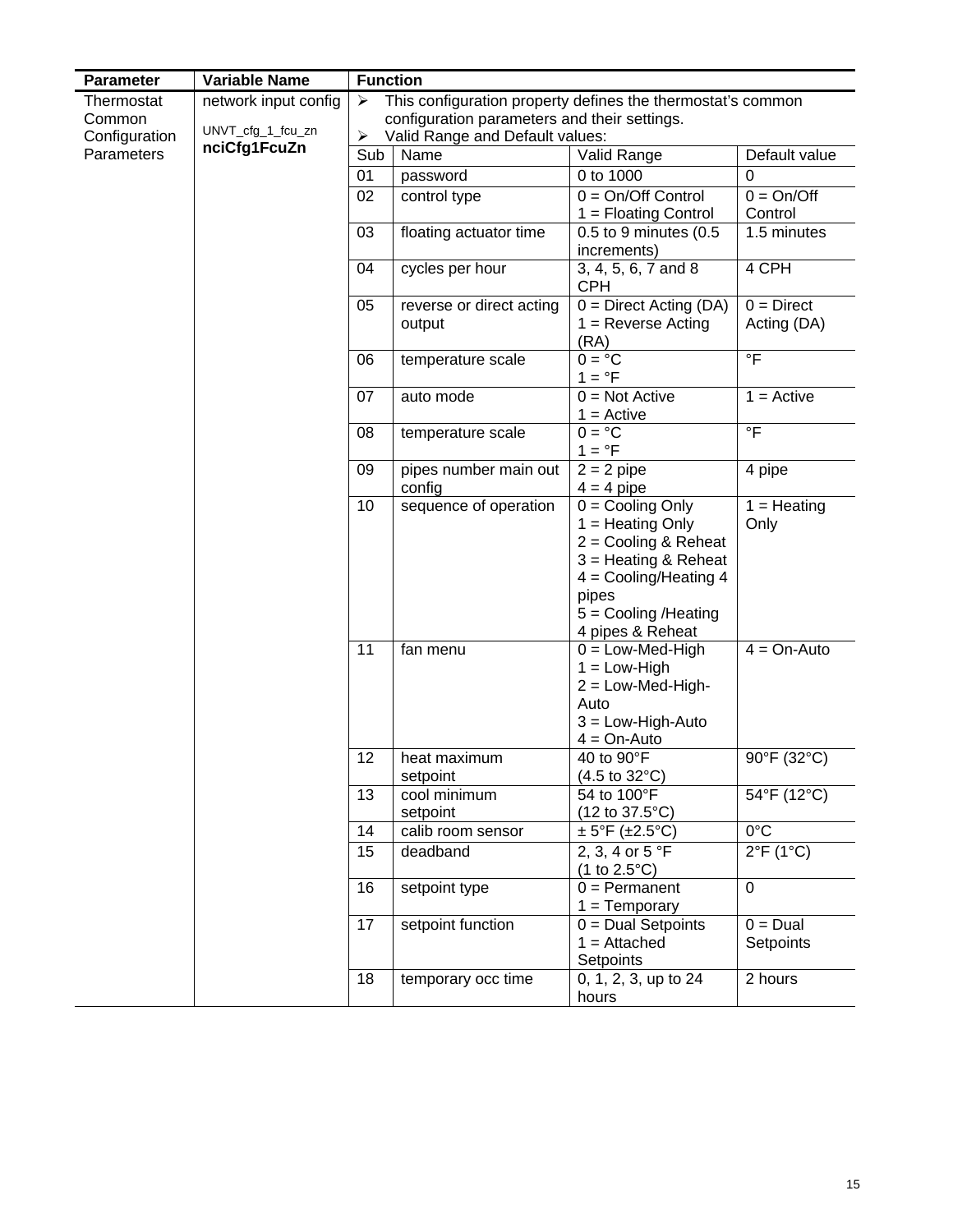| Parameter     | <b>Variable Name</b>              | <b>Function</b> |                                                             |                                                                                                                                                                                |                                      |
|---------------|-----------------------------------|-----------------|-------------------------------------------------------------|--------------------------------------------------------------------------------------------------------------------------------------------------------------------------------|--------------------------------------|
| Thermostat    | network input config              | ➤               | This configuration property defines the thermostat's common |                                                                                                                                                                                |                                      |
| Common        |                                   |                 | configuration parameters and their settings.                |                                                                                                                                                                                |                                      |
| Configuration | UNVT_cfg_1_fcu_zn<br>nciCfg1FcuZn | ➤               | Valid Range and Default values:                             |                                                                                                                                                                                |                                      |
| Parameters    |                                   | Sub             | Name                                                        | Valid Range                                                                                                                                                                    | Default value                        |
|               |                                   | 01              | password                                                    | 0 to 1000                                                                                                                                                                      | $\mathbf 0$                          |
|               |                                   | 02              | control type                                                | $0 = On/Off Control$                                                                                                                                                           | $0 = On/Off$                         |
|               |                                   |                 |                                                             | $1 =$ Floating Control                                                                                                                                                         | Control                              |
|               |                                   | 03              | floating actuator time                                      | 0.5 to 9 minutes (0.5<br>increments)                                                                                                                                           | 1.5 minutes                          |
|               |                                   | 04              | cycles per hour                                             | 3, 4, 5, 6, 7 and 8<br><b>CPH</b>                                                                                                                                              | 4 CPH                                |
|               |                                   | 05              | reverse or direct acting<br>output                          | $0 =$ Direct Acting (DA)<br>$1 =$ Reverse Acting<br>(RA)                                                                                                                       | $0 = Direct$<br>Acting (DA)          |
|               |                                   | 06              | temperature scale                                           | $0 = {}^{\circ}C$<br>$1 = \degree F$                                                                                                                                           | $\overline{\overline{F}}$            |
|               |                                   | 07              | auto mode                                                   | $0 = Not Active$<br>$1 =$ Active                                                                                                                                               | $1 =$ Active                         |
|               |                                   | 08              | temperature scale                                           | $0 = \degree C$<br>$1 = \degree F$                                                                                                                                             | $\circ$ F                            |
|               |                                   | 09              | pipes number main out<br>config                             | $2 = 2$ pipe<br>$4 = 4$ pipe                                                                                                                                                   | 4 pipe                               |
|               |                                   | 10              | sequence of operation                                       | $0 =$ Cooling Only<br>$1 =$ Heating Only<br>$2 =$ Cooling & Reheat<br>$3$ = Heating & Reheat<br>$4 =$ Cooling/Heating 4<br>pipes<br>$5 =$ Cooling /Heating<br>4 pipes & Reheat | $\overline{1}$ = Heating<br>Only     |
|               |                                   | 11              | fan menu                                                    | $0 = Low-Med-High$<br>$1 = Low-High$<br>$2 = Low-Med-High-$<br>Auto<br>$3 = Low-High-Auto$<br>$4 = On-Auto$                                                                    | $4 = On-Auto$                        |
|               |                                   | 12              | heat maximum<br>setpoint                                    | 40 to 90°F<br>$(4.5 \text{ to } 32^{\circ}\text{C})$                                                                                                                           | 90°F (32°C)                          |
|               |                                   | 13              | cool minimum<br>setpoint                                    | 54 to 100°F<br>$(12 \text{ to } 37.5^{\circ}\text{C})$                                                                                                                         | 54°F (12°C)                          |
|               |                                   | 14              | calib room sensor                                           | $\pm$ 5°F ( $\pm$ 2.5°C)                                                                                                                                                       | $0^{\circ}$ C                        |
|               |                                   | 15              | deadband                                                    | 2, 3, 4 or 5 °F<br>$(1 to 2.5^{\circ}C)$                                                                                                                                       | $2^{\circ} \overline{F(1^{\circ}C)}$ |
|               |                                   | 16              | setpoint type                                               | $0 = Permannent$<br>$1 = Temporary$                                                                                                                                            | $\mathbf 0$                          |
|               |                                   | 17              | setpoint function                                           | $0 = Dual$ Setpoints<br>$1 =$ Attached<br>Setpoints                                                                                                                            | $0 = Dual$<br>Setpoints              |
|               |                                   | 18              | temporary occ time                                          | 0, 1, 2, 3, up to 24<br>hours                                                                                                                                                  | 2 hours                              |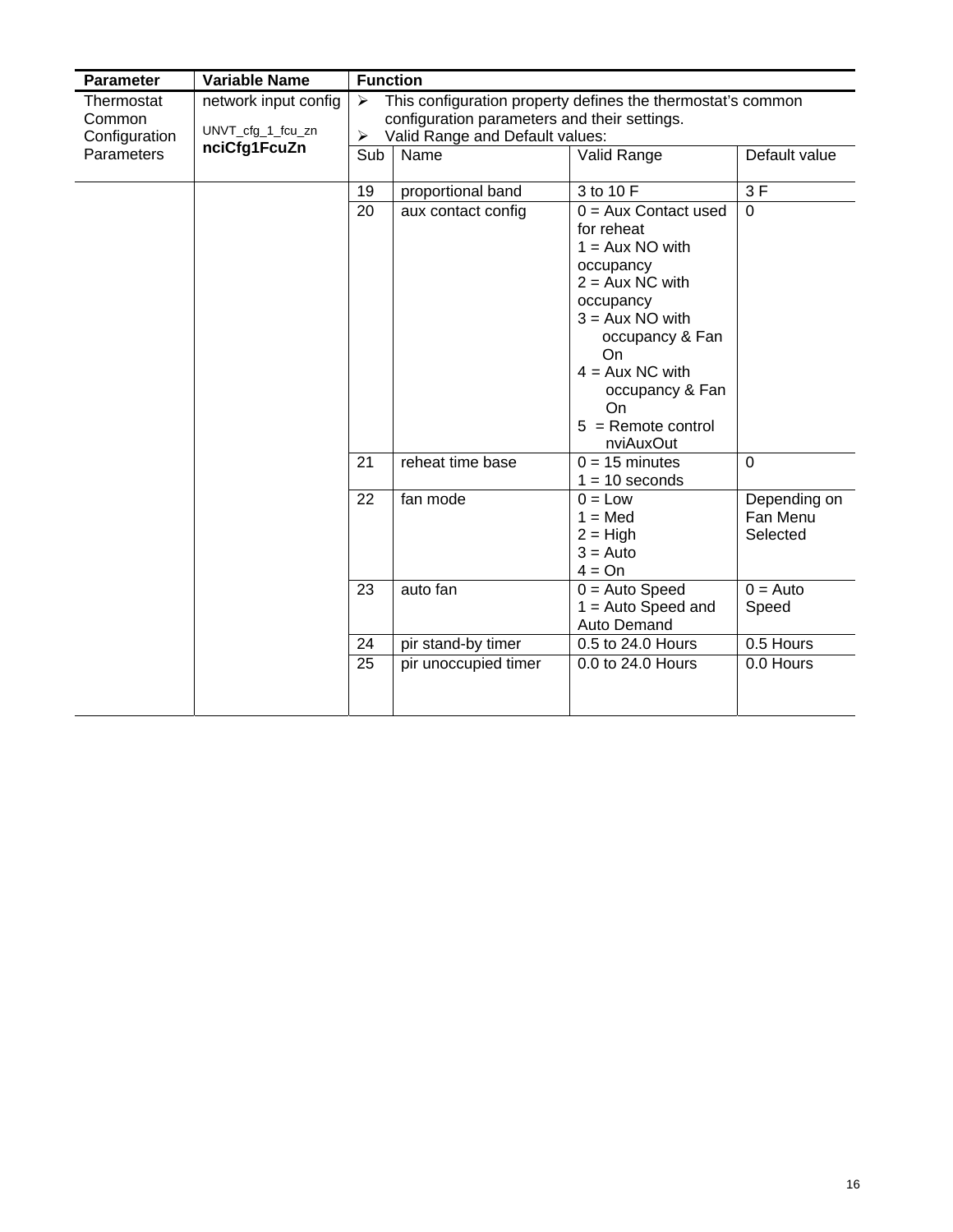| <b>Parameter</b>  | <b>Variable Name</b> | <b>Function</b>                                                                      |                                              |                                                                                                                                                                                                                              |                                      |
|-------------------|----------------------|--------------------------------------------------------------------------------------|----------------------------------------------|------------------------------------------------------------------------------------------------------------------------------------------------------------------------------------------------------------------------------|--------------------------------------|
| Thermostat        | network input config | This configuration property defines the thermostat's common<br>$\blacktriangleright$ |                                              |                                                                                                                                                                                                                              |                                      |
| Common            | UNVT_cfg_1_fcu_zn    |                                                                                      | configuration parameters and their settings. |                                                                                                                                                                                                                              |                                      |
| Configuration     | nciCfg1FcuZn         | Valid Range and Default values:<br>➤                                                 |                                              |                                                                                                                                                                                                                              |                                      |
| <b>Parameters</b> |                      | Sub                                                                                  | Name                                         | Valid Range                                                                                                                                                                                                                  | Default value                        |
|                   |                      | 19                                                                                   | proportional band                            | 3 to 10 F                                                                                                                                                                                                                    | 3F                                   |
|                   |                      | 20                                                                                   | aux contact config                           | $0 = Aux$ Contact used<br>for reheat<br>$1 = Aux NO with$<br>occupancy<br>$2 = Aux NC with$<br>occupancy<br>$3 = Aux NO with$<br>occupancy & Fan<br>On<br>$4 = Aux NC with$<br>occupancy & Fan<br>On<br>$5 =$ Remote control | $\mathbf 0$                          |
|                   |                      | 21                                                                                   | reheat time base                             | nviAuxOut<br>$0 = 15$ minutes<br>$1 = 10$ seconds                                                                                                                                                                            | $\mathbf 0$                          |
|                   |                      | 22                                                                                   | fan mode                                     | $0 = Low$<br>$1 = Med$<br>$2 = High$<br>$3 =$ Auto<br>$4 = On$                                                                                                                                                               | Depending on<br>Fan Menu<br>Selected |
|                   |                      | 23                                                                                   | auto fan                                     | $0 =$ Auto Speed<br>$1 =$ Auto Speed and<br>Auto Demand                                                                                                                                                                      | $0 =$ Auto<br>Speed                  |
|                   |                      | 24                                                                                   | pir stand-by timer                           | 0.5 to 24.0 Hours                                                                                                                                                                                                            | 0.5 Hours                            |
|                   |                      | 25                                                                                   | pir unoccupied timer                         | 0.0 to 24.0 Hours                                                                                                                                                                                                            | 0.0 Hours                            |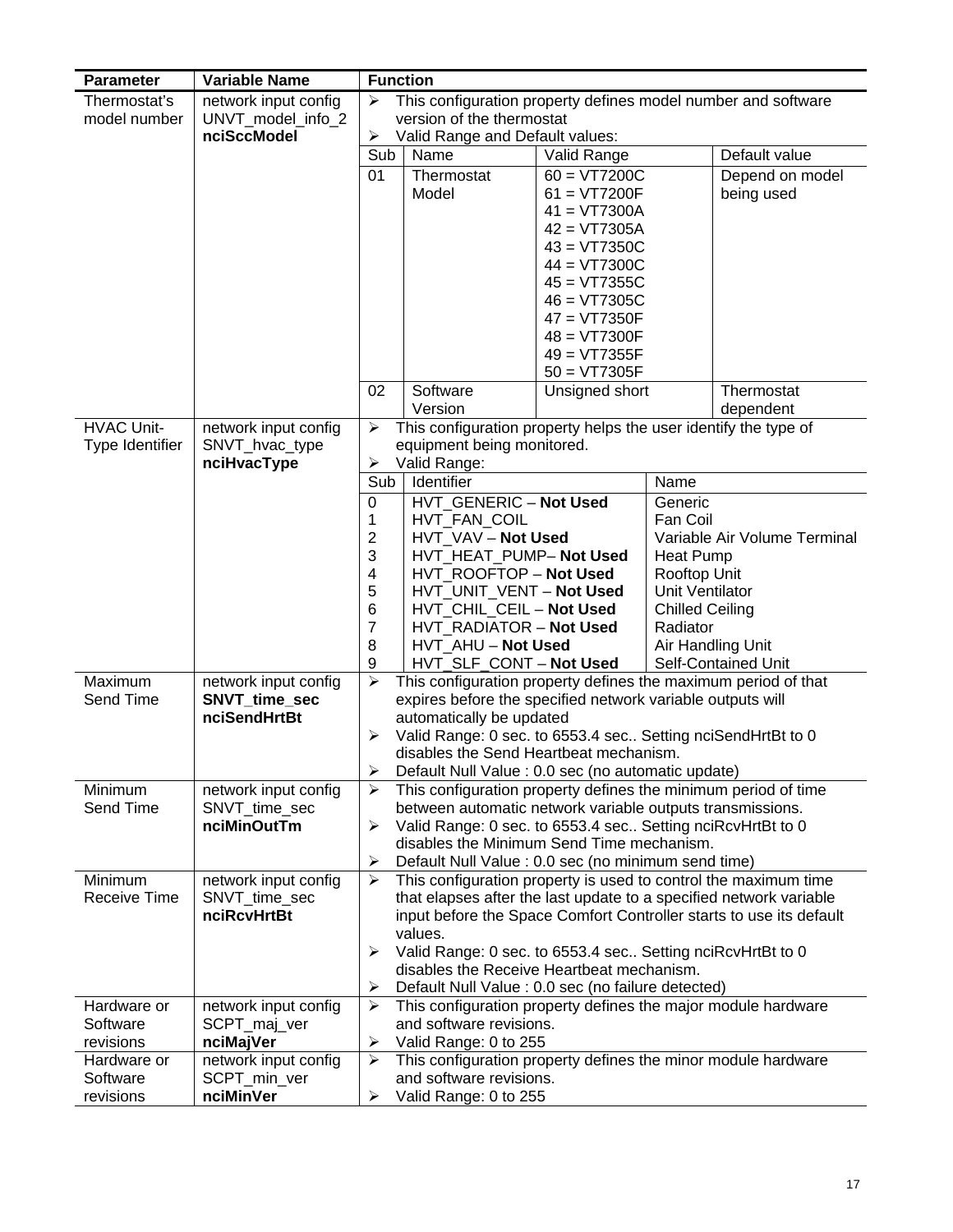| <b>Parameter</b>                     | <b>Variable Name</b>                   |                                                                                        | <b>Function</b>                                                                                                         |                                  |                                 |                              |
|--------------------------------------|----------------------------------------|----------------------------------------------------------------------------------------|-------------------------------------------------------------------------------------------------------------------------|----------------------------------|---------------------------------|------------------------------|
| Thermostat's                         | network input config                   | This configuration property defines model number and software<br>$\blacktriangleright$ |                                                                                                                         |                                  |                                 |                              |
| model number                         | UNVT_model_info_2                      |                                                                                        | version of the thermostat                                                                                               |                                  |                                 |                              |
|                                      | nciSccModel                            | $\blacktriangleright$<br>Sub                                                           | Valid Range and Default values:<br>Name                                                                                 | Valid Range                      |                                 | Default value                |
|                                      |                                        | 01                                                                                     | Thermostat                                                                                                              | $60 = VT7200C$                   |                                 | Depend on model              |
|                                      |                                        |                                                                                        | Model                                                                                                                   | $61 = VT7200F$                   |                                 | being used                   |
|                                      |                                        |                                                                                        |                                                                                                                         | $41 = VT7300A$                   |                                 |                              |
|                                      |                                        |                                                                                        |                                                                                                                         | $42 = VT7305A$                   |                                 |                              |
|                                      |                                        |                                                                                        |                                                                                                                         | $43 = VT7350C$                   |                                 |                              |
|                                      |                                        |                                                                                        |                                                                                                                         | $44 = VT7300C$                   |                                 |                              |
|                                      |                                        |                                                                                        |                                                                                                                         | $45 = VT7355C$                   |                                 |                              |
|                                      |                                        |                                                                                        |                                                                                                                         | $46 = VT7305C$<br>$47 = VT7350F$ |                                 |                              |
|                                      |                                        |                                                                                        |                                                                                                                         | $48 = VT7300F$                   |                                 |                              |
|                                      |                                        |                                                                                        |                                                                                                                         | $49 = VT7355F$                   |                                 |                              |
|                                      |                                        |                                                                                        |                                                                                                                         | $50 = VT7305F$                   |                                 |                              |
|                                      |                                        | 02                                                                                     | Software                                                                                                                | Unsigned short                   |                                 | Thermostat                   |
|                                      |                                        |                                                                                        | Version                                                                                                                 |                                  |                                 | dependent                    |
| <b>HVAC Unit-</b><br>Type Identifier | network input config<br>SNVT_hvac_type | $\blacktriangleright$                                                                  | This configuration property helps the user identify the type of<br>equipment being monitored.                           |                                  |                                 |                              |
|                                      | nciHvacType                            | ➤                                                                                      | Valid Range:                                                                                                            |                                  |                                 |                              |
|                                      |                                        | Sub                                                                                    | Identifier                                                                                                              |                                  | Name                            |                              |
|                                      |                                        | 0                                                                                      | HVT_GENERIC - Not Used                                                                                                  |                                  | Generic                         |                              |
|                                      |                                        | $\mathbf 1$                                                                            | HVT_FAN_COIL                                                                                                            |                                  | Fan Coil                        |                              |
|                                      |                                        | $\boldsymbol{2}$                                                                       | HVT VAV - Not Used                                                                                                      |                                  |                                 | Variable Air Volume Terminal |
|                                      |                                        | $\mathsf 3$                                                                            | HVT_HEAT_PUMP- Not Used                                                                                                 |                                  | Heat Pump                       |                              |
|                                      |                                        | $\overline{\mathbf{4}}$<br>$\mathbf 5$                                                 | HVT_ROOFTOP - Not Used<br>HVT_UNIT_VENT - Not Used                                                                      |                                  | Rooftop Unit<br>Unit Ventilator |                              |
|                                      |                                        | $\,6$                                                                                  | HVT_CHIL_CEIL - Not Used                                                                                                |                                  | <b>Chilled Ceiling</b>          |                              |
|                                      |                                        | $\overline{7}$                                                                         | HVT_RADIATOR - Not Used                                                                                                 |                                  | Radiator                        |                              |
|                                      |                                        | 8                                                                                      | HVT_AHU - Not Used                                                                                                      |                                  |                                 | Air Handling Unit            |
|                                      |                                        | $\boldsymbol{9}$                                                                       | HVT_SLF_CONT - Not Used                                                                                                 |                                  |                                 | Self-Contained Unit          |
| Maximum<br>Send Time                 | network input config                   | $\blacktriangleright$                                                                  | This configuration property defines the maximum period of that                                                          |                                  |                                 |                              |
|                                      | SNVT_time_sec<br>nciSendHrtBt          |                                                                                        | expires before the specified network variable outputs will<br>automatically be updated                                  |                                  |                                 |                              |
|                                      |                                        | ➤                                                                                      | Valid Range: 0 sec. to 6553.4 sec Setting nciSendHrtBt to 0                                                             |                                  |                                 |                              |
|                                      |                                        |                                                                                        | disables the Send Heartbeat mechanism.                                                                                  |                                  |                                 |                              |
|                                      |                                        | ➤                                                                                      | Default Null Value : 0.0 sec (no automatic update)                                                                      |                                  |                                 |                              |
| Minimum                              | network input config                   | $\blacktriangleright$                                                                  | This configuration property defines the minimum period of time                                                          |                                  |                                 |                              |
| Send Time                            | SNVT_time_sec<br>nciMinOutTm           |                                                                                        | between automatic network variable outputs transmissions.<br>Valid Range: 0 sec. to 6553.4 sec Setting nciRcvHrtBt to 0 |                                  |                                 |                              |
|                                      |                                        | ➤                                                                                      | disables the Minimum Send Time mechanism.                                                                               |                                  |                                 |                              |
|                                      |                                        | ➤                                                                                      | Default Null Value : 0.0 sec (no minimum send time)                                                                     |                                  |                                 |                              |
| Minimum                              | network input config                   | ➤                                                                                      | This configuration property is used to control the maximum time                                                         |                                  |                                 |                              |
| <b>Receive Time</b>                  | SNVT_time_sec                          |                                                                                        | that elapses after the last update to a specified network variable                                                      |                                  |                                 |                              |
|                                      | nciRcvHrtBt                            |                                                                                        | input before the Space Comfort Controller starts to use its default                                                     |                                  |                                 |                              |
|                                      |                                        |                                                                                        | values.                                                                                                                 |                                  |                                 |                              |
|                                      |                                        | ➤                                                                                      | Valid Range: 0 sec. to 6553.4 sec Setting nciRcvHrtBt to 0<br>disables the Receive Heartbeat mechanism.                 |                                  |                                 |                              |
|                                      |                                        | ➤                                                                                      | Default Null Value : 0.0 sec (no failure detected)                                                                      |                                  |                                 |                              |
| Hardware or                          | network input config                   | ➤                                                                                      | This configuration property defines the major module hardware                                                           |                                  |                                 |                              |
| Software                             | SCPT_maj_ver                           |                                                                                        | and software revisions.                                                                                                 |                                  |                                 |                              |
| revisions                            | nciMajVer                              | $\blacktriangleright$                                                                  | Valid Range: 0 to 255                                                                                                   |                                  |                                 |                              |
| Hardware or                          | network input config                   | ➤                                                                                      | This configuration property defines the minor module hardware                                                           |                                  |                                 |                              |
| Software                             | SCPT_min_ver                           |                                                                                        | and software revisions.                                                                                                 |                                  |                                 |                              |
| revisions                            | nciMinVer                              | ➤                                                                                      | Valid Range: 0 to 255                                                                                                   |                                  |                                 |                              |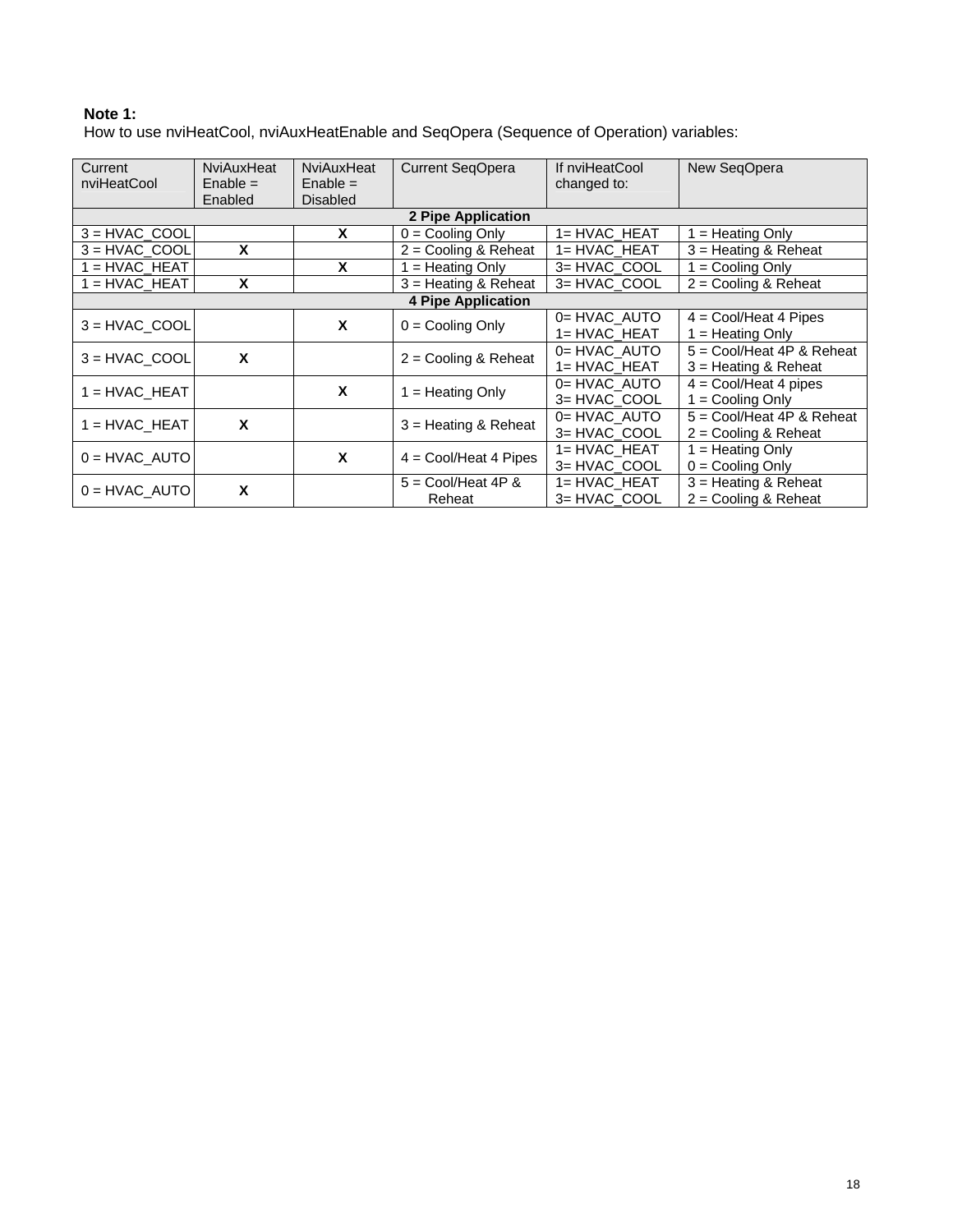# **Note 1:**

How to use nviHeatCool, nviAuxHeatEnable and SeqOpera (Sequence of Operation) variables:

| Current<br>nviHeatCool | NviAuxHeat<br>$Enable =$<br>Enabled | NviAuxHeat<br>$Enable =$<br><b>Disabled</b> | <b>Current SeqOpera</b>        | If nviHeatCool<br>changed to: | New SeqOpera                       |  |
|------------------------|-------------------------------------|---------------------------------------------|--------------------------------|-------------------------------|------------------------------------|--|
|                        |                                     |                                             | 2 Pipe Application             |                               |                                    |  |
| $3 = HVAC COOL$        |                                     | X                                           | $0 =$ Cooling Only             | 1= HVAC HEAT                  | $1 =$ Heating Only                 |  |
| $3 = HVAC COOL$        | X                                   |                                             | $2 =$ Cooling & Reheat         | 1= HVAC HEAT                  | $3$ = Heating & Reheat             |  |
| $1 = HVAC HEAT$        |                                     | X                                           | $=$ Heating Only               | 3= HVAC COOL                  | $1 =$ Cooling Only                 |  |
| $1 = HVAC$ HEAT        | X                                   |                                             | $3$ = Heating & Reheat         | 3= HVAC COOL                  | $2 =$ Cooling & Reheat             |  |
|                        | <b>4 Pipe Application</b>           |                                             |                                |                               |                                    |  |
| $3 = HVAC$ COOL        |                                     | X                                           | $0 =$ Cooling Only             | 0= HVAC AUTO                  | $4 = \text{Cool/Heat} 4$ Pipes     |  |
|                        |                                     |                                             |                                | 1= HVAC_HEAT                  | $=$ Heating Only                   |  |
| $3 = HVAC COOL$        | X                                   |                                             | $2 =$ Cooling & Reheat         | 0= HVAC AUTO                  | $5 = \text{Cool/Heat}$ 4P & Reheat |  |
|                        |                                     |                                             |                                | 1= HVAC_HEAT                  | $3$ = Heating & Reheat             |  |
| $1 = HVAC_HEAT$        |                                     | X                                           | $=$ Heating Only               | 0= HVAC AUTO                  | $4 = \text{Cool/Heat} 4$ pipes     |  |
|                        |                                     |                                             |                                | 3= HVAC_COOL                  | $1 =$ Cooling Only                 |  |
| $1 = HVAC HEAT$        | X                                   |                                             | $3$ = Heating & Reheat         | 0= HVAC AUTO                  | $5 = \text{Cool/Heat}$ 4P & Reheat |  |
|                        |                                     |                                             |                                | 3= HVAC_COOL                  | $2 =$ Cooling & Reheat             |  |
| $0 = HVAC$ AUTO        |                                     | X                                           | $4 = \text{Cool/Heat} 4$ Pipes | 1= HVAC HEAT                  | $1 =$ Heating Only                 |  |
|                        |                                     |                                             |                                | 3= HVAC_COOL                  | $0 =$ Cooling Only                 |  |
| $0 = HVAC$ AUTO        | X                                   |                                             | $5 = \text{Cool/Heat 4P }$ &   | 1= HVAC HEAT                  | $3$ = Heating & Reheat             |  |
|                        |                                     |                                             | Reheat                         | 3= HVAC_COOL                  | $2 =$ Cooling & Reheat             |  |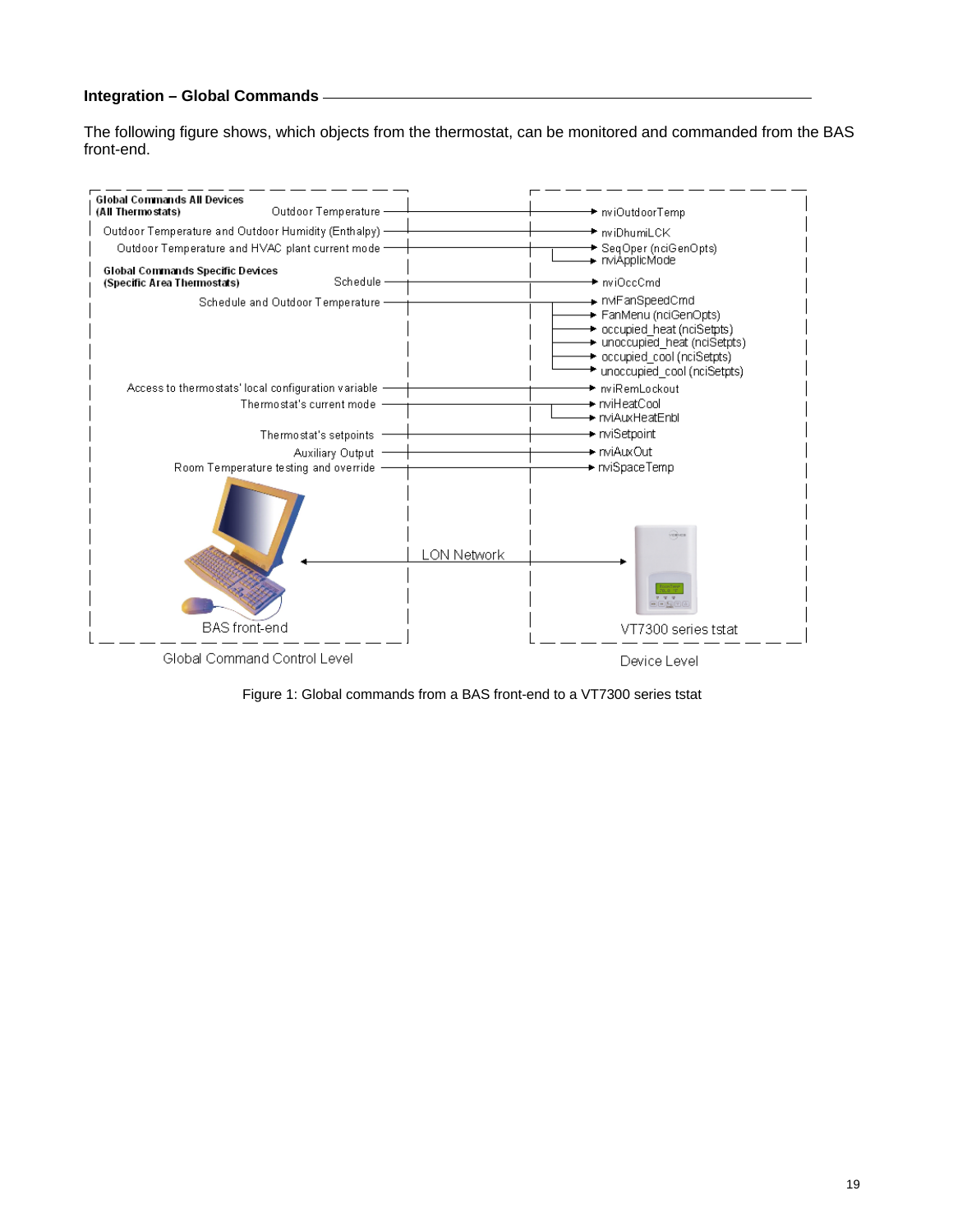# **Integration – Global Commands**

The following figure shows, which objects from the thermostat, can be monitored and commanded from the BAS front-end.



Figure 1: Global commands from a BAS front-end to a VT7300 series tstat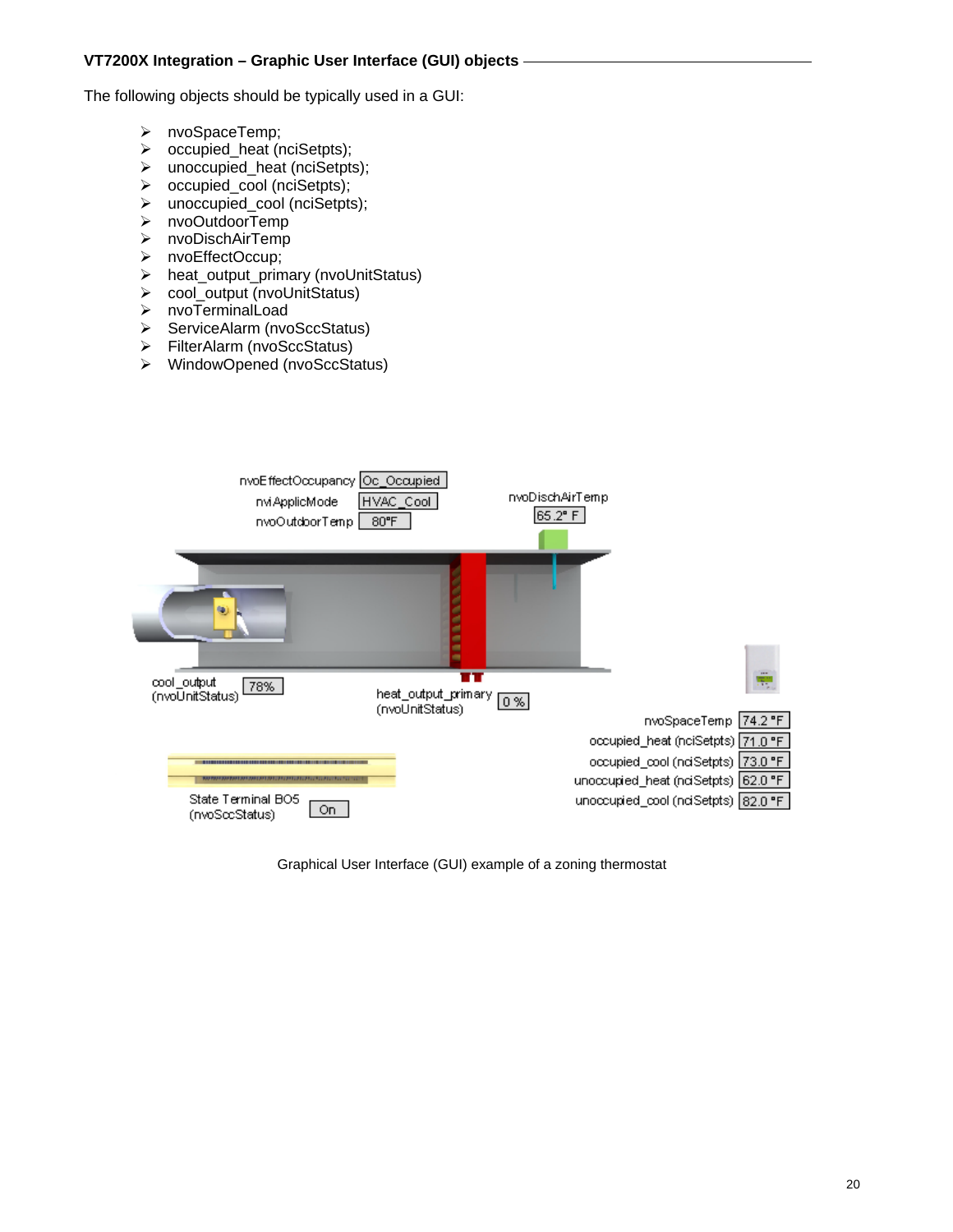The following objects should be typically used in a GUI:

- nvoSpaceTemp;
- occupied\_heat (nciSetpts);
- $\triangleright$  unoccupied heat (nciSetpts);
- occupied\_cool (nciSetpts);
- unoccupied\_cool (nciSetpts);
- nvoOutdoorTemp
- nvoDischAirTemp
- nvoEffectOccup;
- heat\_output\_primary (nvoUnitStatus)
- cool\_output (nvoUnitStatus)
- nvoTerminalLoad
- ServiceAlarm (nvoSccStatus)
- FilterAlarm (nvoSccStatus)
- WindowOpened (nvoSccStatus)



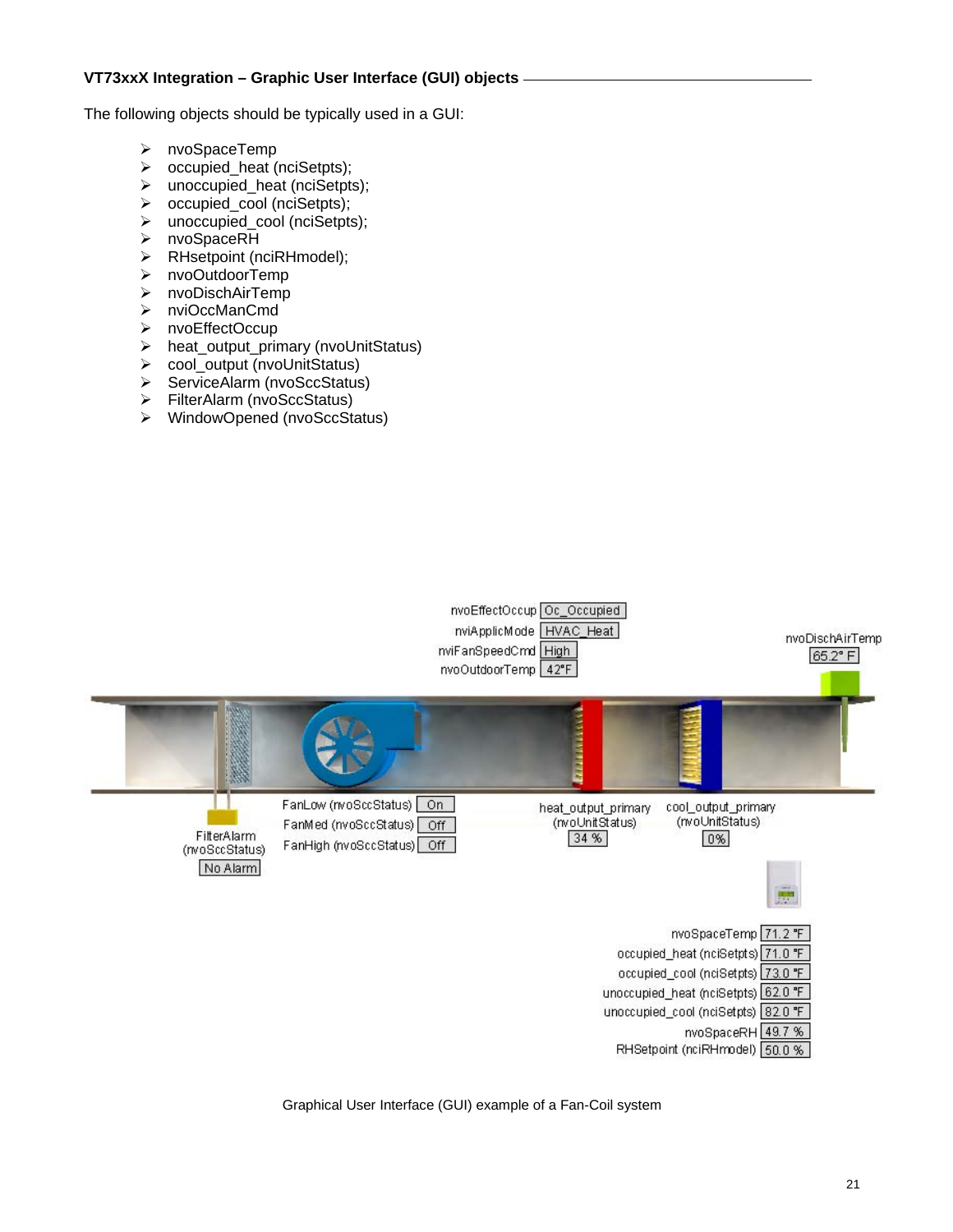The following objects should be typically used in a GUI:

- nvoSpaceTemp
- occupied\_heat (nciSetpts);
- unoccupied\_heat (nciSetpts);
- occupied\_cool (nciSetpts);
- unoccupied\_cool (nciSetpts);
- nvoSpaceRH
- RHsetpoint (nciRHmodel);
- nvoOutdoorTemp
- nvoDischAirTemp
- nviOccManCmd
- nvoEffectOccup
- heat\_output\_primary (nvoUnitStatus)
- $\triangleright$  cool output (nvoUnitStatus)
- ServiceAlarm (nvoSccStatus)
- FilterAlarm (nvoSccStatus)
- WindowOpened (nvoSccStatus)



Graphical User Interface (GUI) example of a Fan-Coil system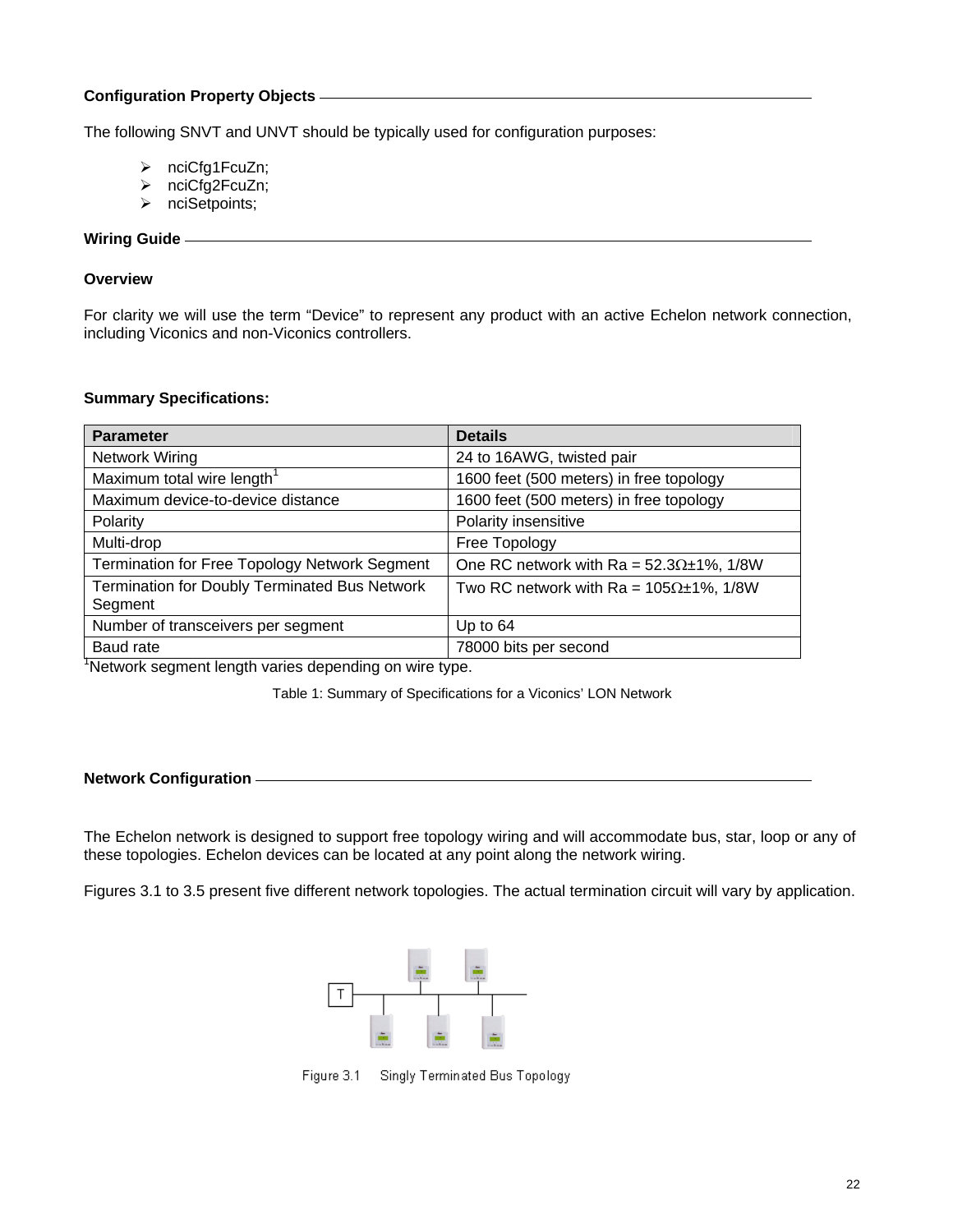# **Configuration Property Objects**

The following SNVT and UNVT should be typically used for configuration purposes:

- ¾ nciCfg1FcuZn;
- ¾ nciCfg2FcuZn;
- ¾ nciSetpoints;

## **Wiring Guide**

#### **Overview**

For clarity we will use the term "Device" to represent any product with an active Echelon network connection, including Viconics and non-Viconics controllers.

#### **Summary Specifications:**

| <b>Parameter</b>                                                | <b>Details</b>                                       |
|-----------------------------------------------------------------|------------------------------------------------------|
| Network Wiring                                                  | 24 to 16AWG, twisted pair                            |
| Maximum total wire length <sup>1</sup>                          | 1600 feet (500 meters) in free topology              |
| Maximum device-to-device distance                               | 1600 feet (500 meters) in free topology              |
| Polarity                                                        | Polarity insensitive                                 |
| Multi-drop                                                      | Free Topology                                        |
| <b>Termination for Free Topology Network Segment</b>            | One RC network with Ra = $52.3\Omega \pm 1\%$ , 1/8W |
| <b>Termination for Doubly Terminated Bus Network</b><br>Segment | Two RC network with Ra = $105\Omega \pm 1\%$ , 1/8W  |
| Number of transceivers per segment                              | Up to $64$                                           |
| Baud rate                                                       | 78000 bits per second                                |

<sup>1</sup>Network segment length varies depending on wire type.

Table 1: Summary of Specifications for a Viconics' LON Network

## **Network Configuration**

The Echelon network is designed to support free topology wiring and will accommodate bus, star, loop or any of these topologies. Echelon devices can be located at any point along the network wiring.

Figures 3.1 to 3.5 present five different network topologies. The actual termination circuit will vary by application.



Figure 3.1 Singly Terminated Bus Topology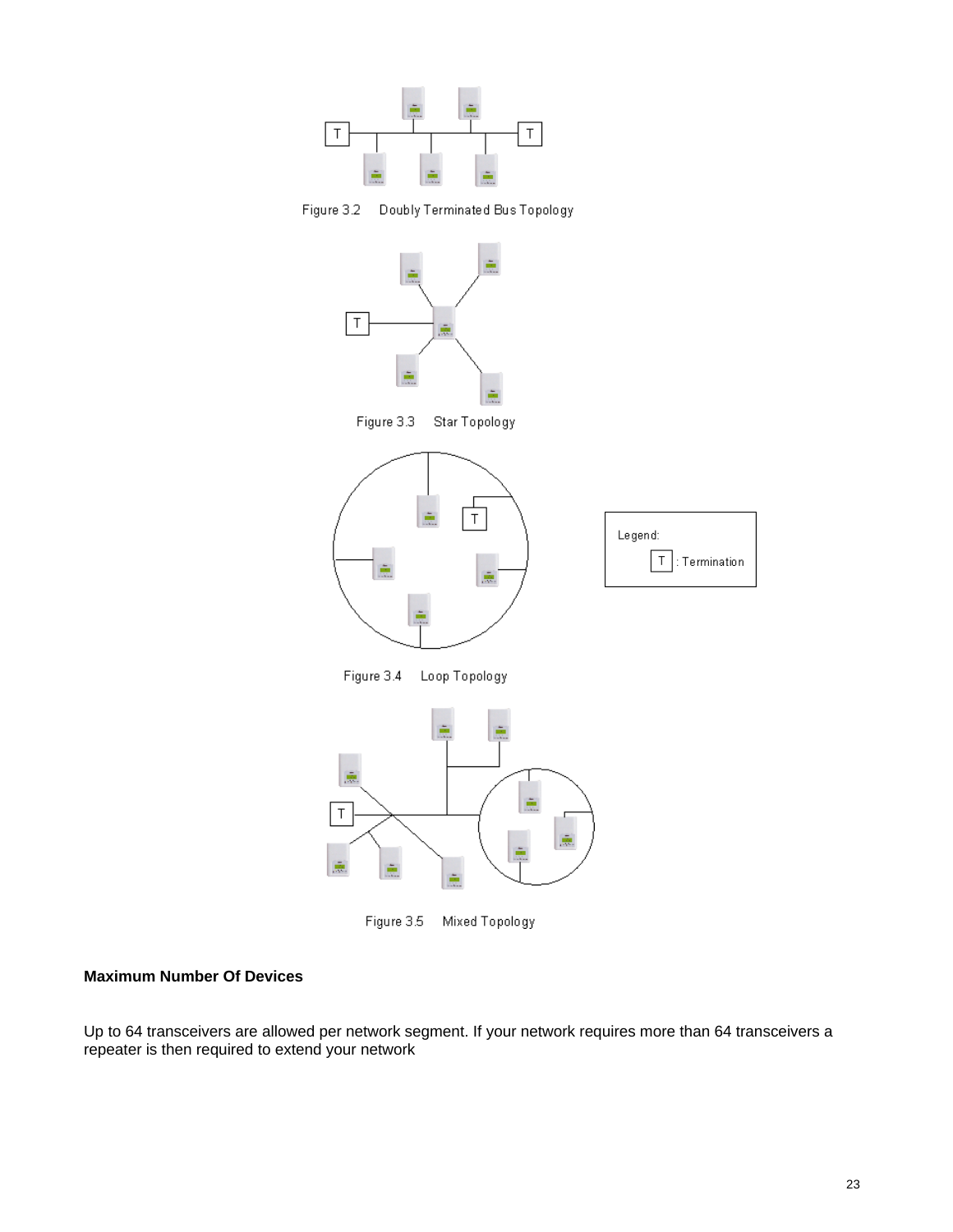





Figure 3.5 Mixed Topology

# **Maximum Number Of Devices**

Up to 64 transceivers are allowed per network segment. If your network requires more than 64 transceivers a repeater is then required to extend your network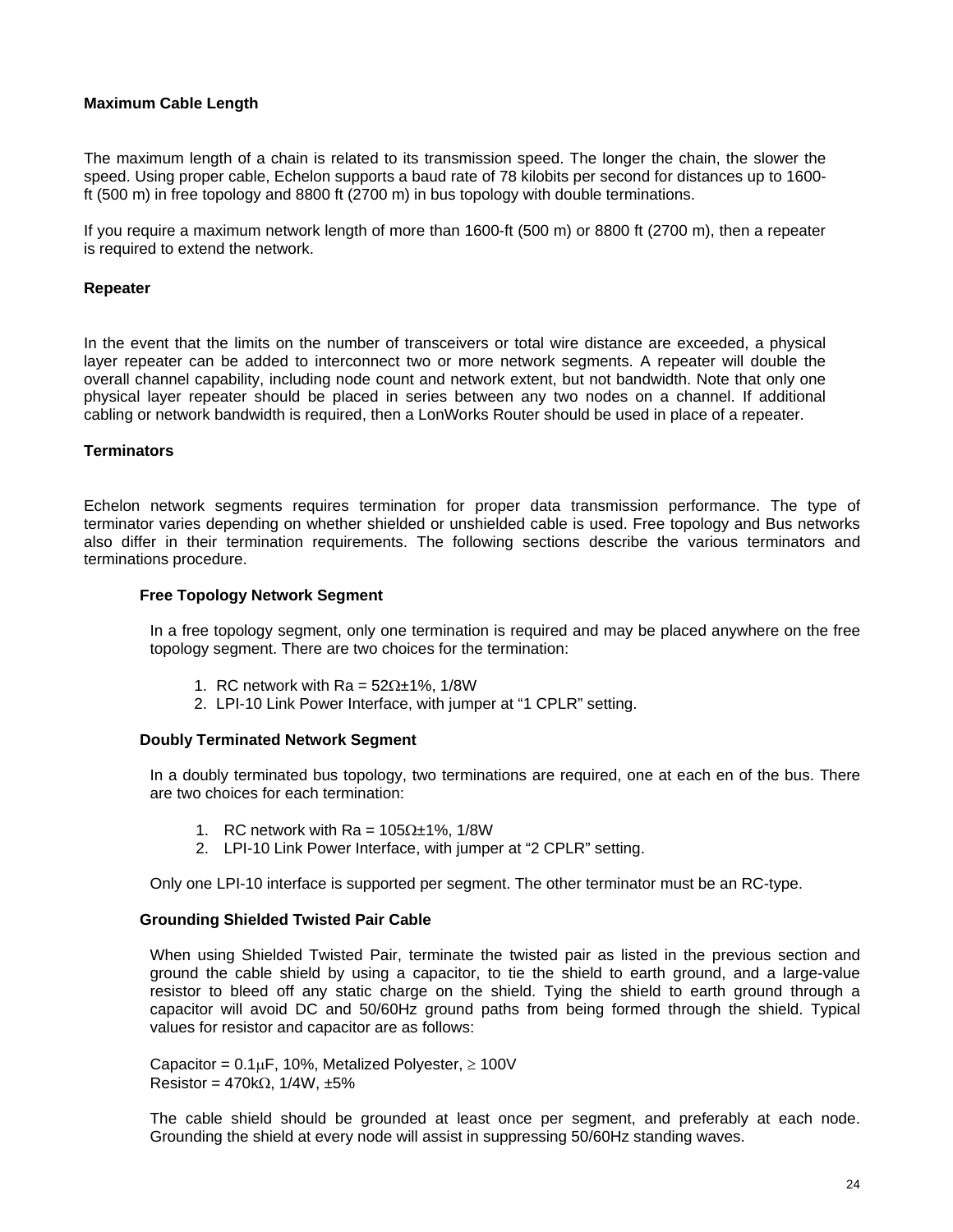# **Maximum Cable Length**

The maximum length of a chain is related to its transmission speed. The longer the chain, the slower the speed. Using proper cable, Echelon supports a baud rate of 78 kilobits per second for distances up to 1600 ft (500 m) in free topology and 8800 ft (2700 m) in bus topology with double terminations.

If you require a maximum network length of more than 1600-ft (500 m) or 8800 ft (2700 m), then a repeater is required to extend the network.

#### **Repeater**

In the event that the limits on the number of transceivers or total wire distance are exceeded, a physical layer repeater can be added to interconnect two or more network segments. A repeater will double the overall channel capability, including node count and network extent, but not bandwidth. Note that only one physical layer repeater should be placed in series between any two nodes on a channel. If additional cabling or network bandwidth is required, then a LonWorks Router should be used in place of a repeater.

#### **Terminators**

Echelon network segments requires termination for proper data transmission performance. The type of terminator varies depending on whether shielded or unshielded cable is used. Free topology and Bus networks also differ in their termination requirements. The following sections describe the various terminators and terminations procedure.

#### **Free Topology Network Segment**

In a free topology segment, only one termination is required and may be placed anywhere on the free topology segment. There are two choices for the termination:

- 1. RC network with Ra =  $52\Omega \pm 1\%$ , 1/8W
- 2. LPI-10 Link Power Interface, with jumper at "1 CPLR" setting.

#### **Doubly Terminated Network Segment**

In a doubly terminated bus topology, two terminations are required, one at each en of the bus. There are two choices for each termination:

- 1. RC network with Ra =  $105\Omega \pm 1\%$ , 1/8W
- 2. LPI-10 Link Power Interface, with jumper at "2 CPLR" setting.

Only one LPI-10 interface is supported per segment. The other terminator must be an RC-type.

#### **Grounding Shielded Twisted Pair Cable**

When using Shielded Twisted Pair, terminate the twisted pair as listed in the previous section and ground the cable shield by using a capacitor, to tie the shield to earth ground, and a large-value resistor to bleed off any static charge on the shield. Tying the shield to earth ground through a capacitor will avoid DC and 50/60Hz ground paths from being formed through the shield. Typical values for resistor and capacitor are as follows:

Capacitor =  $0.1 \mu$ F, 10%, Metalized Polyester,  $\geq 100$ V Resistor =  $470k\Omega$ ,  $1/4W$ ,  $\pm 5\%$ 

The cable shield should be grounded at least once per segment, and preferably at each node. Grounding the shield at every node will assist in suppressing 50/60Hz standing waves.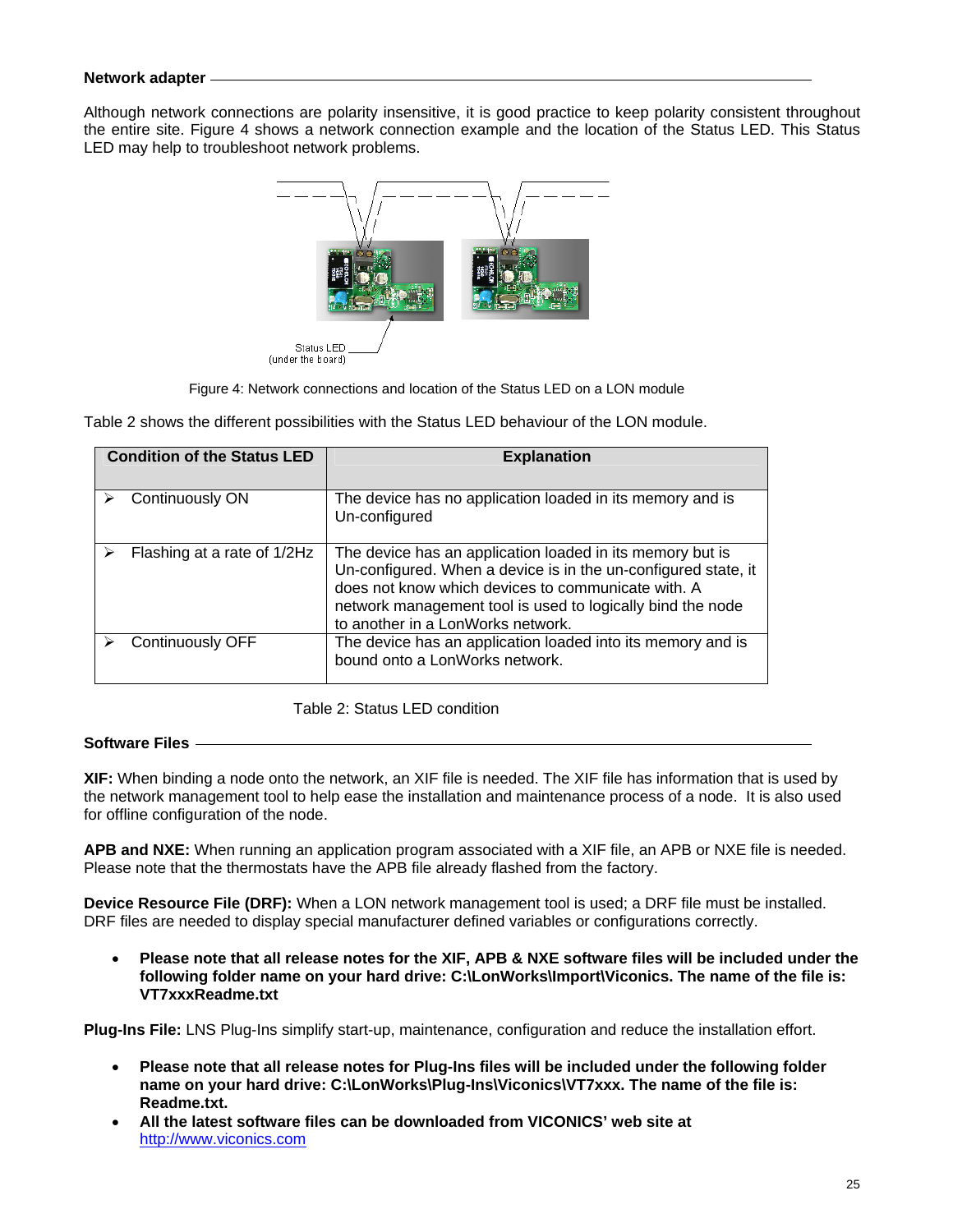## **Network adapter**

Although network connections are polarity insensitive, it is good practice to keep polarity consistent throughout the entire site. Figure 4 shows a network connection example and the location of the Status LED. This Status LED may help to troubleshoot network problems.



Figure 4: Network connections and location of the Status LED on a LON module

Table 2 shows the different possibilities with the Status LED behaviour of the LON module.

| <b>Condition of the Status LED</b> | <b>Explanation</b>                                                                                                                                                                                                                                                                   |
|------------------------------------|--------------------------------------------------------------------------------------------------------------------------------------------------------------------------------------------------------------------------------------------------------------------------------------|
| Continuously ON                    | The device has no application loaded in its memory and is<br>Un-configured                                                                                                                                                                                                           |
| Flashing at a rate of 1/2Hz        | The device has an application loaded in its memory but is<br>Un-configured. When a device is in the un-configured state, it<br>does not know which devices to communicate with. A<br>network management tool is used to logically bind the node<br>to another in a LonWorks network. |
| Continuously OFF                   | The device has an application loaded into its memory and is<br>bound onto a LonWorks network.                                                                                                                                                                                        |

Table 2: Status LED condition

## **Software Files**

**XIF:** When binding a node onto the network, an XIF file is needed. The XIF file has information that is used by the network management tool to help ease the installation and maintenance process of a node. It is also used for offline configuration of the node.

**APB and NXE:** When running an application program associated with a XIF file, an APB or NXE file is needed. Please note that the thermostats have the APB file already flashed from the factory.

**Device Resource File (DRF):** When a LON network management tool is used; a DRF file must be installed. DRF files are needed to display special manufacturer defined variables or configurations correctly.

• **Please note that all release notes for the XIF, APB & NXE software files will be included under the following folder name on your hard drive: C:\LonWorks\Import\Viconics. The name of the file is: VT7xxxReadme.txt** 

**Plug-Ins File:** LNS Plug-Ins simplify start-up, maintenance, configuration and reduce the installation effort.

- **Please note that all release notes for Plug-Ins files will be included under the following folder name on your hard drive: C:\LonWorks\Plug-Ins\Viconics\VT7xxx. The name of the file is: Readme.txt.**
- **All the latest software files can be downloaded from VICONICS' web site at** http://www.viconics.com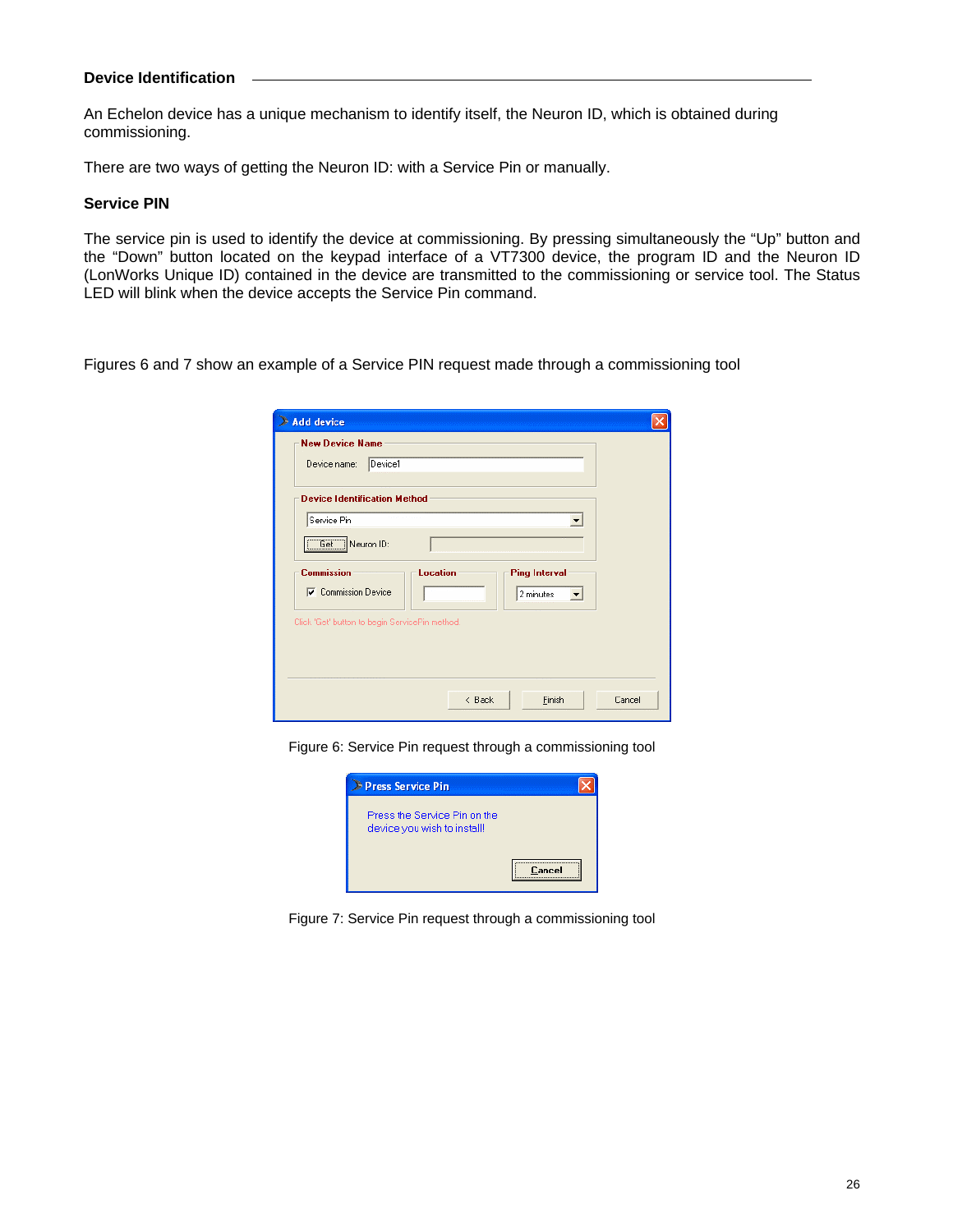## **Device Identification**

An Echelon device has a unique mechanism to identify itself, the Neuron ID, which is obtained during commissioning.

There are two ways of getting the Neuron ID: with a Service Pin or manually.

#### **Service PIN**

The service pin is used to identify the device at commissioning. By pressing simultaneously the "Up" button and the "Down" button located on the keypad interface of a VT7300 device, the program ID and the Neuron ID (LonWorks Unique ID) contained in the device are transmitted to the commissioning or service tool. The Status LED will blink when the device accepts the Service Pin command.

Figures 6 and 7 show an example of a Service PIN request made through a commissioning tool

| <b>Add device</b><br>æ                                                                                                              |        |
|-------------------------------------------------------------------------------------------------------------------------------------|--------|
| <b>New Device Name</b>                                                                                                              |        |
| Device1<br>Device name:                                                                                                             |        |
| <b>Device Identification Method</b>                                                                                                 |        |
| Service Pin                                                                                                                         |        |
| Get Neuron ID:                                                                                                                      |        |
| <b>Commission</b><br><b>Location</b><br><b>Ping Interval</b><br><b>V</b> Commission Device<br>2 minutes<br>$\overline{\phantom{a}}$ |        |
| Click 'Get' button to begin ServicePin method.                                                                                      |        |
|                                                                                                                                     |        |
|                                                                                                                                     |        |
| Finish<br>$\langle$ Back                                                                                                            | Cancel |

Figure 6: Service Pin request through a commissioning tool



Figure 7: Service Pin request through a commissioning tool